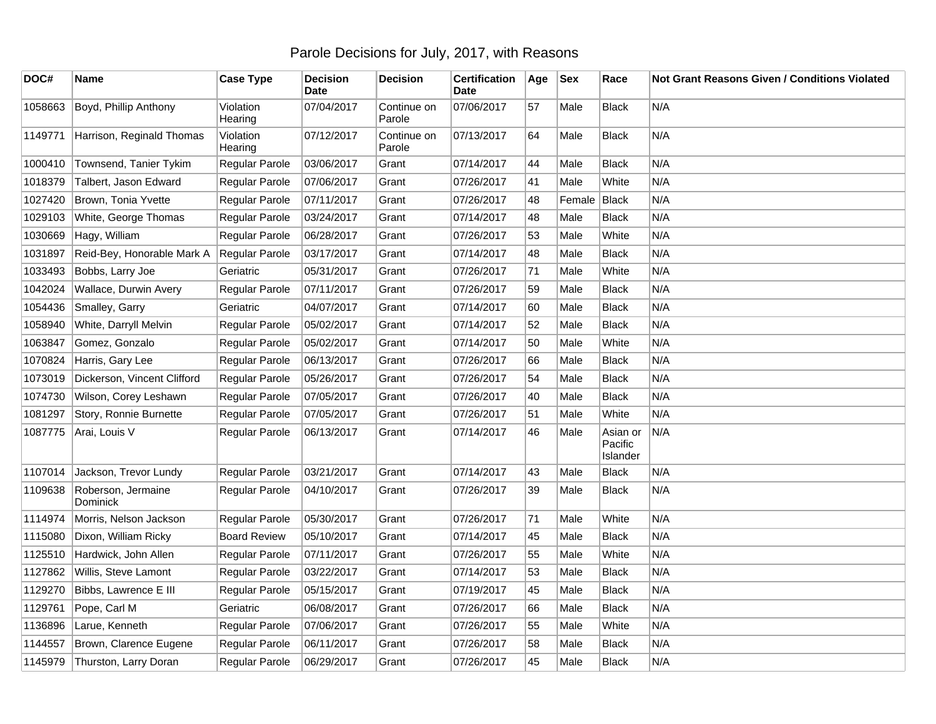## Parole Decisions for July, 2017, with Reasons

| DOC#    | <b>Name</b>                    | <b>Case Type</b>     | <b>Decision</b><br><b>Date</b> | <b>Decision</b>       | <b>Certification</b><br>Date | Age | <b>Sex</b>   | Race                            | Not Grant Reasons Given / Conditions Violated |
|---------|--------------------------------|----------------------|--------------------------------|-----------------------|------------------------------|-----|--------------|---------------------------------|-----------------------------------------------|
| 1058663 | Boyd, Phillip Anthony          | Violation<br>Hearing | 07/04/2017                     | Continue on<br>Parole | 07/06/2017                   | 57  | Male         | <b>Black</b>                    | N/A                                           |
| 1149771 | Harrison, Reginald Thomas      | Violation<br>Hearing | 07/12/2017                     | Continue on<br>Parole | 07/13/2017                   | 64  | Male         | <b>Black</b>                    | N/A                                           |
| 1000410 | Townsend, Tanier Tykim         | Regular Parole       | 03/06/2017                     | Grant                 | 07/14/2017                   | 44  | Male         | <b>Black</b>                    | N/A                                           |
| 1018379 | Talbert, Jason Edward          | Regular Parole       | 07/06/2017                     | Grant                 | 07/26/2017                   | 41  | Male         | White                           | N/A                                           |
| 1027420 | Brown, Tonia Yvette            | Regular Parole       | 07/11/2017                     | Grant                 | 07/26/2017                   | 48  | Female Black |                                 | N/A                                           |
| 1029103 | White, George Thomas           | Regular Parole       | 03/24/2017                     | Grant                 | 07/14/2017                   | 48  | Male         | <b>Black</b>                    | N/A                                           |
| 1030669 | Hagy, William                  | Regular Parole       | 06/28/2017                     | Grant                 | 07/26/2017                   | 53  | Male         | White                           | N/A                                           |
| 1031897 | Reid-Bey, Honorable Mark A     | Regular Parole       | 03/17/2017                     | Grant                 | 07/14/2017                   | 48  | Male         | <b>Black</b>                    | N/A                                           |
| 1033493 | Bobbs, Larry Joe               | Geriatric            | 05/31/2017                     | Grant                 | 07/26/2017                   | 71  | Male         | White                           | N/A                                           |
| 1042024 | Wallace, Durwin Avery          | Regular Parole       | 07/11/2017                     | Grant                 | 07/26/2017                   | 59  | Male         | <b>Black</b>                    | N/A                                           |
| 1054436 | Smalley, Garry                 | Geriatric            | 04/07/2017                     | Grant                 | 07/14/2017                   | 60  | Male         | <b>Black</b>                    | N/A                                           |
| 1058940 | White, Darryll Melvin          | Regular Parole       | 05/02/2017                     | Grant                 | 07/14/2017                   | 52  | Male         | <b>Black</b>                    | N/A                                           |
| 1063847 | Gomez, Gonzalo                 | Regular Parole       | 05/02/2017                     | Grant                 | 07/14/2017                   | 50  | Male         | White                           | N/A                                           |
| 1070824 | Harris, Gary Lee               | Regular Parole       | 06/13/2017                     | Grant                 | 07/26/2017                   | 66  | Male         | <b>Black</b>                    | N/A                                           |
| 1073019 | Dickerson, Vincent Clifford    | Regular Parole       | 05/26/2017                     | Grant                 | 07/26/2017                   | 54  | Male         | <b>Black</b>                    | N/A                                           |
| 1074730 | Wilson, Corey Leshawn          | Regular Parole       | 07/05/2017                     | Grant                 | 07/26/2017                   | 40  | Male         | <b>Black</b>                    | N/A                                           |
| 1081297 | Story, Ronnie Burnette         | Regular Parole       | 07/05/2017                     | Grant                 | 07/26/2017                   | 51  | Male         | White                           | N/A                                           |
| 1087775 | Arai, Louis V                  | Regular Parole       | 06/13/2017                     | Grant                 | 07/14/2017                   | 46  | Male         | Asian or<br>Pacific<br>Islander | N/A                                           |
| 1107014 | Jackson, Trevor Lundy          | Regular Parole       | 03/21/2017                     | Grant                 | 07/14/2017                   | 43  | Male         | <b>Black</b>                    | N/A                                           |
| 1109638 | Roberson, Jermaine<br>Dominick | Regular Parole       | 04/10/2017                     | Grant                 | 07/26/2017                   | 39  | Male         | Black                           | N/A                                           |
| 1114974 | Morris, Nelson Jackson         | Regular Parole       | 05/30/2017                     | Grant                 | 07/26/2017                   | 71  | Male         | White                           | N/A                                           |
| 1115080 | Dixon, William Ricky           | <b>Board Review</b>  | 05/10/2017                     | Grant                 | 07/14/2017                   | 45  | Male         | <b>Black</b>                    | N/A                                           |
| 1125510 | Hardwick, John Allen           | Regular Parole       | 07/11/2017                     | Grant                 | 07/26/2017                   | 55  | Male         | White                           | N/A                                           |
| 1127862 | Willis, Steve Lamont           | Regular Parole       | 03/22/2017                     | Grant                 | 07/14/2017                   | 53  | Male         | Black                           | N/A                                           |
| 1129270 | Bibbs, Lawrence E III          | Regular Parole       | 05/15/2017                     | Grant                 | 07/19/2017                   | 45  | Male         | <b>Black</b>                    | N/A                                           |
| 1129761 | Pope, Carl M                   | Geriatric            | 06/08/2017                     | Grant                 | 07/26/2017                   | 66  | Male         | <b>Black</b>                    | N/A                                           |
| 1136896 | Larue, Kenneth                 | Regular Parole       | 07/06/2017                     | Grant                 | 07/26/2017                   | 55  | Male         | White                           | N/A                                           |
| 1144557 | Brown, Clarence Eugene         | Regular Parole       | 06/11/2017                     | Grant                 | 07/26/2017                   | 58  | Male         | <b>Black</b>                    | N/A                                           |
| 1145979 | Thurston, Larry Doran          | Regular Parole       | 06/29/2017                     | Grant                 | 07/26/2017                   | 45  | Male         | <b>Black</b>                    | N/A                                           |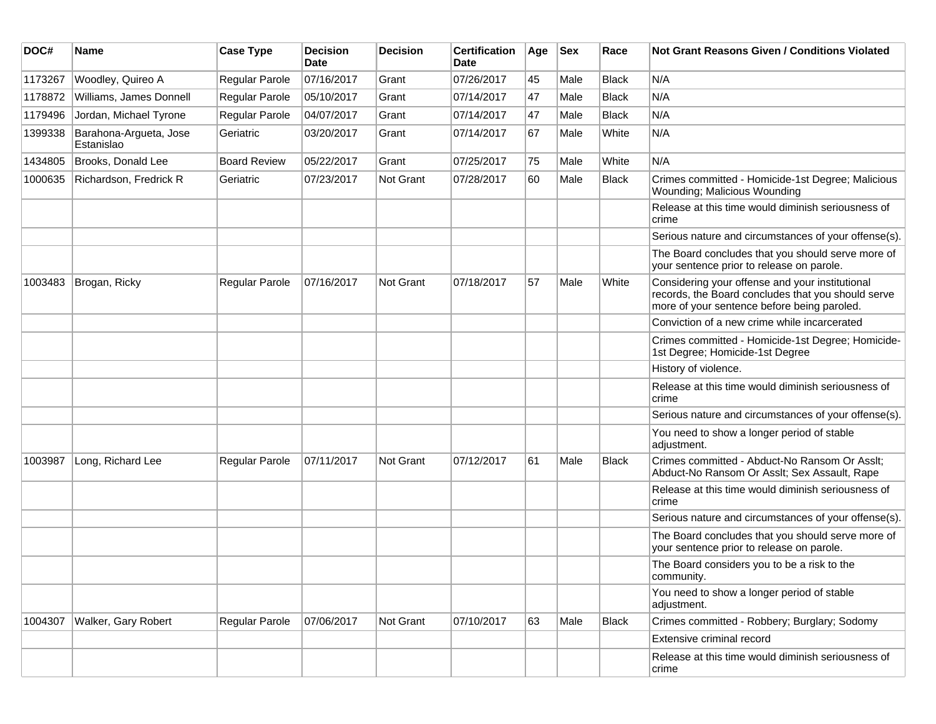| DOC#    | <b>Name</b>                          | <b>Case Type</b>    | <b>Decision</b><br>Date | <b>Decision</b> | <b>Certification</b><br>Date | Age | <b>Sex</b> | Race         | Not Grant Reasons Given / Conditions Violated                                                                                                        |
|---------|--------------------------------------|---------------------|-------------------------|-----------------|------------------------------|-----|------------|--------------|------------------------------------------------------------------------------------------------------------------------------------------------------|
| 1173267 | Woodley, Quireo A                    | Regular Parole      | 07/16/2017              | Grant           | 07/26/2017                   | 45  | Male       | <b>Black</b> | N/A                                                                                                                                                  |
| 1178872 | Williams, James Donnell              | Regular Parole      | 05/10/2017              | Grant           | 07/14/2017                   | 47  | Male       | Black        | N/A                                                                                                                                                  |
| 1179496 | Jordan, Michael Tyrone               | Regular Parole      | 04/07/2017              | Grant           | 07/14/2017                   | 47  | Male       | Black        | N/A                                                                                                                                                  |
| 1399338 | Barahona-Argueta, Jose<br>Estanislao | Geriatric           | 03/20/2017              | Grant           | 07/14/2017                   | 67  | Male       | White        | N/A                                                                                                                                                  |
| 1434805 | Brooks, Donald Lee                   | <b>Board Review</b> | 05/22/2017              | Grant           | 07/25/2017                   | 75  | Male       | White        | N/A                                                                                                                                                  |
| 1000635 | Richardson, Fredrick R               | Geriatric           | 07/23/2017              | Not Grant       | 07/28/2017                   | 60  | Male       | Black        | Crimes committed - Homicide-1st Degree; Malicious<br>Wounding; Malicious Wounding                                                                    |
|         |                                      |                     |                         |                 |                              |     |            |              | Release at this time would diminish seriousness of<br>crime                                                                                          |
|         |                                      |                     |                         |                 |                              |     |            |              | Serious nature and circumstances of your offense(s).                                                                                                 |
|         |                                      |                     |                         |                 |                              |     |            |              | The Board concludes that you should serve more of<br>your sentence prior to release on parole.                                                       |
| 1003483 | Brogan, Ricky                        | Regular Parole      | 07/16/2017              | Not Grant       | 07/18/2017                   | 57  | Male       | White        | Considering your offense and your institutional<br>records, the Board concludes that you should serve<br>more of your sentence before being paroled. |
|         |                                      |                     |                         |                 |                              |     |            |              | Conviction of a new crime while incarcerated                                                                                                         |
|         |                                      |                     |                         |                 |                              |     |            |              | Crimes committed - Homicide-1st Degree; Homicide-<br>1st Degree; Homicide-1st Degree                                                                 |
|         |                                      |                     |                         |                 |                              |     |            |              | History of violence.                                                                                                                                 |
|         |                                      |                     |                         |                 |                              |     |            |              | Release at this time would diminish seriousness of<br>crime                                                                                          |
|         |                                      |                     |                         |                 |                              |     |            |              | Serious nature and circumstances of your offense(s).                                                                                                 |
|         |                                      |                     |                         |                 |                              |     |            |              | You need to show a longer period of stable<br>adjustment.                                                                                            |
| 1003987 | Long, Richard Lee                    | Regular Parole      | 07/11/2017              | Not Grant       | 07/12/2017                   | 61  | Male       | Black        | Crimes committed - Abduct-No Ransom Or Asslt;<br>Abduct-No Ransom Or Asslt; Sex Assault, Rape                                                        |
|         |                                      |                     |                         |                 |                              |     |            |              | Release at this time would diminish seriousness of<br>crime                                                                                          |
|         |                                      |                     |                         |                 |                              |     |            |              | Serious nature and circumstances of your offense(s).                                                                                                 |
|         |                                      |                     |                         |                 |                              |     |            |              | The Board concludes that you should serve more of<br>your sentence prior to release on parole.                                                       |
|         |                                      |                     |                         |                 |                              |     |            |              | The Board considers you to be a risk to the<br>community.                                                                                            |
|         |                                      |                     |                         |                 |                              |     |            |              | You need to show a longer period of stable<br>adjustment.                                                                                            |
| 1004307 | Walker, Gary Robert                  | Regular Parole      | 07/06/2017              | Not Grant       | 07/10/2017                   | 63  | Male       | Black        | Crimes committed - Robbery; Burglary; Sodomy                                                                                                         |
|         |                                      |                     |                         |                 |                              |     |            |              | Extensive criminal record                                                                                                                            |
|         |                                      |                     |                         |                 |                              |     |            |              | Release at this time would diminish seriousness of<br>crime                                                                                          |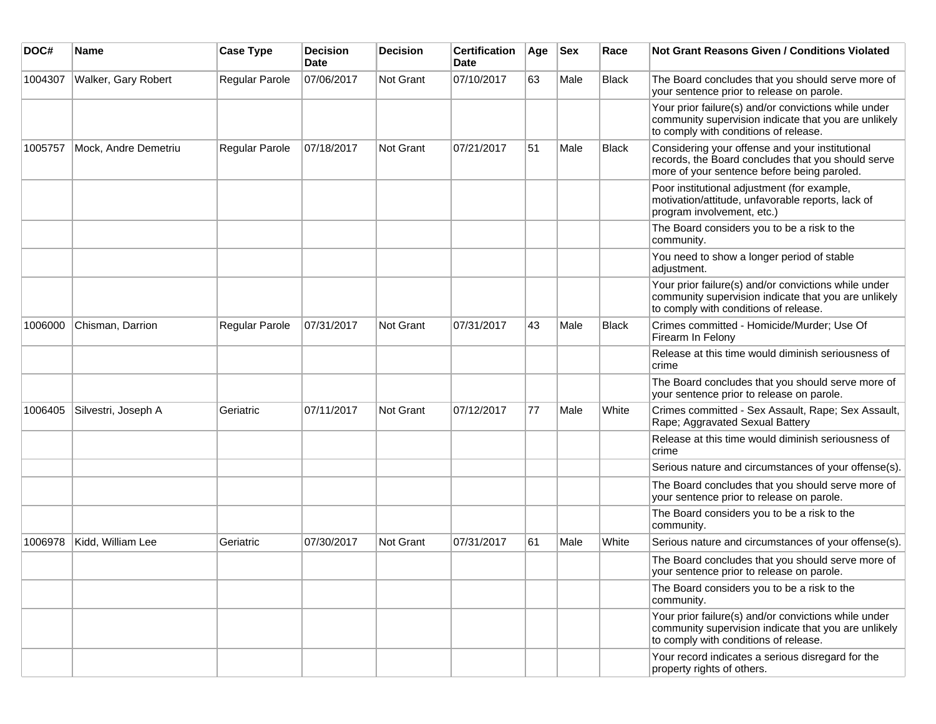| DOC#    | <b>Name</b>          | <b>Case Type</b> | <b>Decision</b><br><b>Date</b> | Decision  | <b>Certification</b><br>Date | Age | <b>Sex</b> | Race         | Not Grant Reasons Given / Conditions Violated                                                                                                         |
|---------|----------------------|------------------|--------------------------------|-----------|------------------------------|-----|------------|--------------|-------------------------------------------------------------------------------------------------------------------------------------------------------|
| 1004307 | Walker, Gary Robert  | Regular Parole   | 07/06/2017                     | Not Grant | 07/10/2017                   | 63  | Male       | Black        | The Board concludes that you should serve more of<br>your sentence prior to release on parole.                                                        |
|         |                      |                  |                                |           |                              |     |            |              | Your prior failure(s) and/or convictions while under<br>community supervision indicate that you are unlikely<br>to comply with conditions of release. |
| 1005757 | Mock, Andre Demetriu | Regular Parole   | 07/18/2017                     | Not Grant | 07/21/2017                   | 51  | Male       | Black        | Considering your offense and your institutional<br>records, the Board concludes that you should serve<br>more of your sentence before being paroled.  |
|         |                      |                  |                                |           |                              |     |            |              | Poor institutional adjustment (for example,<br>motivation/attitude, unfavorable reports, lack of<br>program involvement, etc.)                        |
|         |                      |                  |                                |           |                              |     |            |              | The Board considers you to be a risk to the<br>community.                                                                                             |
|         |                      |                  |                                |           |                              |     |            |              | You need to show a longer period of stable<br>adjustment.                                                                                             |
|         |                      |                  |                                |           |                              |     |            |              | Your prior failure(s) and/or convictions while under<br>community supervision indicate that you are unlikely<br>to comply with conditions of release. |
| 1006000 | Chisman, Darrion     | Regular Parole   | 07/31/2017                     | Not Grant | 07/31/2017                   | 43  | Male       | <b>Black</b> | Crimes committed - Homicide/Murder; Use Of<br>Firearm In Felony                                                                                       |
|         |                      |                  |                                |           |                              |     |            |              | Release at this time would diminish seriousness of<br>crime                                                                                           |
|         |                      |                  |                                |           |                              |     |            |              | The Board concludes that you should serve more of<br>your sentence prior to release on parole.                                                        |
| 1006405 | Silvestri, Joseph A  | Geriatric        | 07/11/2017                     | Not Grant | 07/12/2017                   | 77  | Male       | White        | Crimes committed - Sex Assault, Rape; Sex Assault,<br>Rape; Aggravated Sexual Battery                                                                 |
|         |                      |                  |                                |           |                              |     |            |              | Release at this time would diminish seriousness of<br>crime                                                                                           |
|         |                      |                  |                                |           |                              |     |            |              | Serious nature and circumstances of your offense(s).                                                                                                  |
|         |                      |                  |                                |           |                              |     |            |              | The Board concludes that you should serve more of<br>your sentence prior to release on parole.                                                        |
|         |                      |                  |                                |           |                              |     |            |              | The Board considers you to be a risk to the<br>community.                                                                                             |
| 1006978 | Kidd, William Lee    | Geriatric        | 07/30/2017                     | Not Grant | 07/31/2017                   | 61  | Male       | White        | Serious nature and circumstances of your offense(s).                                                                                                  |
|         |                      |                  |                                |           |                              |     |            |              | The Board concludes that you should serve more of<br>your sentence prior to release on parole.                                                        |
|         |                      |                  |                                |           |                              |     |            |              | The Board considers you to be a risk to the<br>community.                                                                                             |
|         |                      |                  |                                |           |                              |     |            |              | Your prior failure(s) and/or convictions while under<br>community supervision indicate that you are unlikely<br>to comply with conditions of release. |
|         |                      |                  |                                |           |                              |     |            |              | Your record indicates a serious disregard for the<br>property rights of others.                                                                       |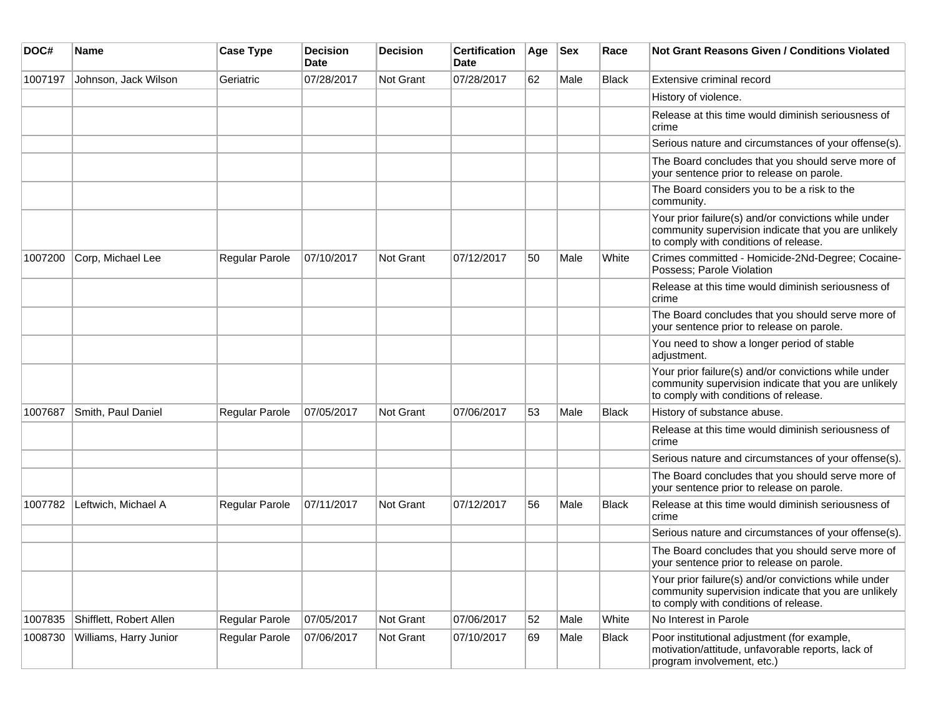| DOC#    | <b>Name</b>             | <b>Case Type</b> | <b>Decision</b><br><b>Date</b> | <b>Decision</b> | <b>Certification</b><br>Date | Age | <b>Sex</b> | Race         | <b>Not Grant Reasons Given / Conditions Violated</b>                                                                                                  |
|---------|-------------------------|------------------|--------------------------------|-----------------|------------------------------|-----|------------|--------------|-------------------------------------------------------------------------------------------------------------------------------------------------------|
| 1007197 | Johnson, Jack Wilson    | Geriatric        | 07/28/2017                     | Not Grant       | 07/28/2017                   | 62  | Male       | Black        | Extensive criminal record                                                                                                                             |
|         |                         |                  |                                |                 |                              |     |            |              | History of violence.                                                                                                                                  |
|         |                         |                  |                                |                 |                              |     |            |              | Release at this time would diminish seriousness of<br>crime                                                                                           |
|         |                         |                  |                                |                 |                              |     |            |              | Serious nature and circumstances of your offense(s).                                                                                                  |
|         |                         |                  |                                |                 |                              |     |            |              | The Board concludes that you should serve more of<br>your sentence prior to release on parole.                                                        |
|         |                         |                  |                                |                 |                              |     |            |              | The Board considers you to be a risk to the<br>community.                                                                                             |
|         |                         |                  |                                |                 |                              |     |            |              | Your prior failure(s) and/or convictions while under<br>community supervision indicate that you are unlikely<br>to comply with conditions of release. |
| 1007200 | Corp, Michael Lee       | Regular Parole   | 07/10/2017                     | Not Grant       | 07/12/2017                   | 50  | Male       | White        | Crimes committed - Homicide-2Nd-Degree; Cocaine-<br>Possess; Parole Violation                                                                         |
|         |                         |                  |                                |                 |                              |     |            |              | Release at this time would diminish seriousness of<br>crime                                                                                           |
|         |                         |                  |                                |                 |                              |     |            |              | The Board concludes that you should serve more of<br>your sentence prior to release on parole.                                                        |
|         |                         |                  |                                |                 |                              |     |            |              | You need to show a longer period of stable<br>adjustment.                                                                                             |
|         |                         |                  |                                |                 |                              |     |            |              | Your prior failure(s) and/or convictions while under<br>community supervision indicate that you are unlikely<br>to comply with conditions of release. |
| 1007687 | Smith, Paul Daniel      | Regular Parole   | 07/05/2017                     | Not Grant       | 07/06/2017                   | 53  | Male       | <b>Black</b> | History of substance abuse.                                                                                                                           |
|         |                         |                  |                                |                 |                              |     |            |              | Release at this time would diminish seriousness of<br>crime                                                                                           |
|         |                         |                  |                                |                 |                              |     |            |              | Serious nature and circumstances of your offense(s).                                                                                                  |
|         |                         |                  |                                |                 |                              |     |            |              | The Board concludes that you should serve more of<br>your sentence prior to release on parole.                                                        |
| 1007782 | Leftwich, Michael A     | Regular Parole   | 07/11/2017                     | Not Grant       | 07/12/2017                   | 56  | Male       | <b>Black</b> | Release at this time would diminish seriousness of<br>crime                                                                                           |
|         |                         |                  |                                |                 |                              |     |            |              | Serious nature and circumstances of your offense(s).                                                                                                  |
|         |                         |                  |                                |                 |                              |     |            |              | The Board concludes that you should serve more of<br>your sentence prior to release on parole.                                                        |
|         |                         |                  |                                |                 |                              |     |            |              | Your prior failure(s) and/or convictions while under<br>community supervision indicate that you are unlikely<br>to comply with conditions of release. |
| 1007835 | Shifflett, Robert Allen | Regular Parole   | 07/05/2017                     | Not Grant       | 07/06/2017                   | 52  | Male       | White        | No Interest in Parole                                                                                                                                 |
| 1008730 | Williams, Harry Junior  | Regular Parole   | 07/06/2017                     | Not Grant       | 07/10/2017                   | 69  | Male       | Black        | Poor institutional adjustment (for example,<br>motivation/attitude, unfavorable reports, lack of<br>program involvement, etc.)                        |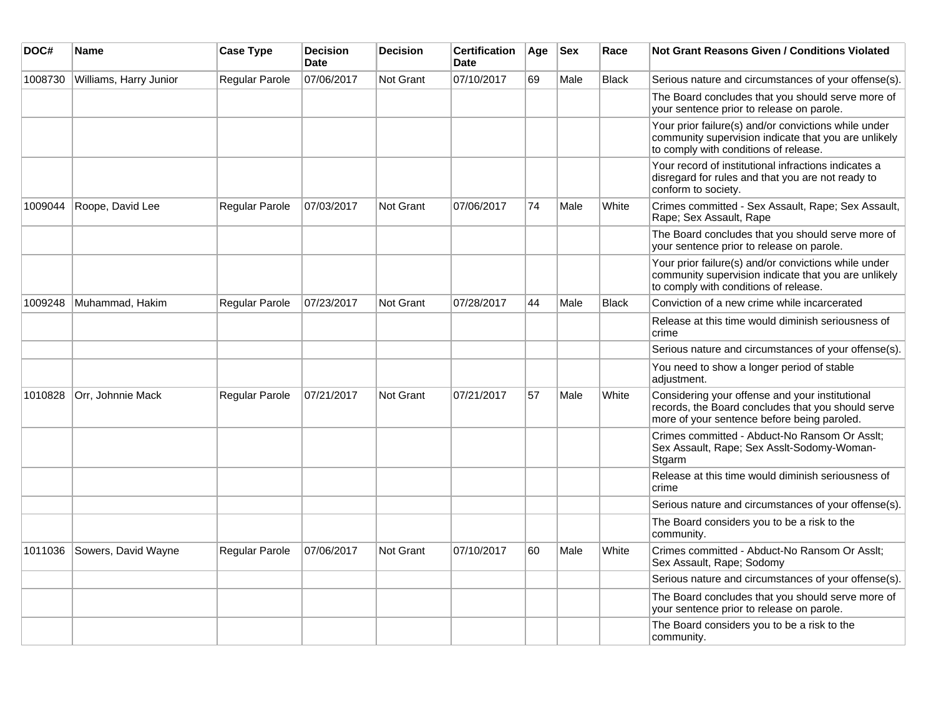| DOC#    | <b>Name</b>            | <b>Case Type</b>      | <b>Decision</b><br><b>Date</b> | <b>Decision</b>  | <b>Certification</b><br>Date | Age | <b>Sex</b> | Race         | <b>Not Grant Reasons Given / Conditions Violated</b>                                                                                                  |
|---------|------------------------|-----------------------|--------------------------------|------------------|------------------------------|-----|------------|--------------|-------------------------------------------------------------------------------------------------------------------------------------------------------|
| 1008730 | Williams, Harry Junior | Regular Parole        | 07/06/2017                     | <b>Not Grant</b> | 07/10/2017                   | 69  | Male       | <b>Black</b> | Serious nature and circumstances of your offense(s).                                                                                                  |
|         |                        |                       |                                |                  |                              |     |            |              | The Board concludes that you should serve more of<br>your sentence prior to release on parole.                                                        |
|         |                        |                       |                                |                  |                              |     |            |              | Your prior failure(s) and/or convictions while under<br>community supervision indicate that you are unlikely<br>to comply with conditions of release. |
|         |                        |                       |                                |                  |                              |     |            |              | Your record of institutional infractions indicates a<br>disregard for rules and that you are not ready to<br>conform to society.                      |
| 1009044 | Roope, David Lee       | <b>Regular Parole</b> | 07/03/2017                     | Not Grant        | 07/06/2017                   | 74  | Male       | White        | Crimes committed - Sex Assault, Rape; Sex Assault,<br>Rape; Sex Assault, Rape                                                                         |
|         |                        |                       |                                |                  |                              |     |            |              | The Board concludes that you should serve more of<br>your sentence prior to release on parole.                                                        |
|         |                        |                       |                                |                  |                              |     |            |              | Your prior failure(s) and/or convictions while under<br>community supervision indicate that you are unlikely<br>to comply with conditions of release. |
| 1009248 | Muhammad, Hakim        | Regular Parole        | 07/23/2017                     | Not Grant        | 07/28/2017                   | 44  | Male       | <b>Black</b> | Conviction of a new crime while incarcerated                                                                                                          |
|         |                        |                       |                                |                  |                              |     |            |              | Release at this time would diminish seriousness of<br>crime                                                                                           |
|         |                        |                       |                                |                  |                              |     |            |              | Serious nature and circumstances of your offense(s).                                                                                                  |
|         |                        |                       |                                |                  |                              |     |            |              | You need to show a longer period of stable<br>adjustment.                                                                                             |
| 1010828 | Orr, Johnnie Mack      | Regular Parole        | 07/21/2017                     | Not Grant        | 07/21/2017                   | 57  | Male       | White        | Considering your offense and your institutional<br>records, the Board concludes that you should serve<br>more of your sentence before being paroled.  |
|         |                        |                       |                                |                  |                              |     |            |              | Crimes committed - Abduct-No Ransom Or Asslt;<br>Sex Assault, Rape; Sex Asslt-Sodomy-Woman-<br>Stgarm                                                 |
|         |                        |                       |                                |                  |                              |     |            |              | Release at this time would diminish seriousness of<br>crime                                                                                           |
|         |                        |                       |                                |                  |                              |     |            |              | Serious nature and circumstances of your offense(s).                                                                                                  |
|         |                        |                       |                                |                  |                              |     |            |              | The Board considers you to be a risk to the<br>community.                                                                                             |
| 1011036 | Sowers, David Wayne    | Regular Parole        | 07/06/2017                     | Not Grant        | 07/10/2017                   | 60  | Male       | White        | Crimes committed - Abduct-No Ransom Or Asslt;<br>Sex Assault, Rape; Sodomy                                                                            |
|         |                        |                       |                                |                  |                              |     |            |              | Serious nature and circumstances of your offense(s).                                                                                                  |
|         |                        |                       |                                |                  |                              |     |            |              | The Board concludes that you should serve more of<br>your sentence prior to release on parole.                                                        |
|         |                        |                       |                                |                  |                              |     |            |              | The Board considers you to be a risk to the<br>community.                                                                                             |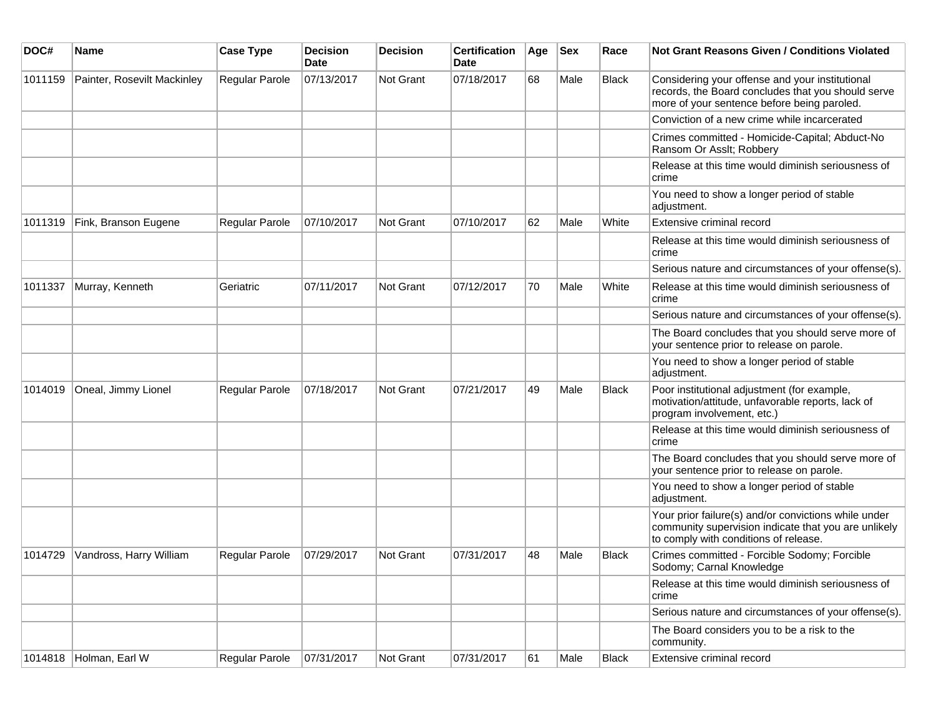| DOC#    | Name                        | <b>Case Type</b> | <b>Decision</b><br>Date | <b>Decision</b>  | <b>Certification</b><br>Date | Age | <b>Sex</b> | Race         | Not Grant Reasons Given / Conditions Violated                                                                                                         |
|---------|-----------------------------|------------------|-------------------------|------------------|------------------------------|-----|------------|--------------|-------------------------------------------------------------------------------------------------------------------------------------------------------|
| 1011159 | Painter, Rosevilt Mackinley | Regular Parole   | 07/13/2017              | <b>Not Grant</b> | 07/18/2017                   | 68  | Male       | Black        | Considering your offense and your institutional<br>records, the Board concludes that you should serve<br>more of your sentence before being paroled.  |
|         |                             |                  |                         |                  |                              |     |            |              | Conviction of a new crime while incarcerated                                                                                                          |
|         |                             |                  |                         |                  |                              |     |            |              | Crimes committed - Homicide-Capital; Abduct-No<br>Ransom Or Asslt; Robbery                                                                            |
|         |                             |                  |                         |                  |                              |     |            |              | Release at this time would diminish seriousness of<br>crime                                                                                           |
|         |                             |                  |                         |                  |                              |     |            |              | You need to show a longer period of stable<br>adjustment.                                                                                             |
| 1011319 | Fink, Branson Eugene        | Regular Parole   | 07/10/2017              | Not Grant        | 07/10/2017                   | 62  | Male       | White        | Extensive criminal record                                                                                                                             |
|         |                             |                  |                         |                  |                              |     |            |              | Release at this time would diminish seriousness of<br>crime                                                                                           |
|         |                             |                  |                         |                  |                              |     |            |              | Serious nature and circumstances of your offense(s).                                                                                                  |
| 1011337 | Murray, Kenneth             | Geriatric        | 07/11/2017              | Not Grant        | 07/12/2017                   | 70  | Male       | White        | Release at this time would diminish seriousness of<br>crime                                                                                           |
|         |                             |                  |                         |                  |                              |     |            |              | Serious nature and circumstances of your offense(s).                                                                                                  |
|         |                             |                  |                         |                  |                              |     |            |              | The Board concludes that you should serve more of<br>your sentence prior to release on parole.                                                        |
|         |                             |                  |                         |                  |                              |     |            |              | You need to show a longer period of stable<br>adjustment.                                                                                             |
| 1014019 | Oneal, Jimmy Lionel         | Regular Parole   | 07/18/2017              | Not Grant        | 07/21/2017                   | 49  | Male       | <b>Black</b> | Poor institutional adjustment (for example,<br>motivation/attitude, unfavorable reports, lack of<br>program involvement, etc.)                        |
|         |                             |                  |                         |                  |                              |     |            |              | Release at this time would diminish seriousness of<br>crime                                                                                           |
|         |                             |                  |                         |                  |                              |     |            |              | The Board concludes that you should serve more of<br>your sentence prior to release on parole.                                                        |
|         |                             |                  |                         |                  |                              |     |            |              | You need to show a longer period of stable<br>adjustment.                                                                                             |
|         |                             |                  |                         |                  |                              |     |            |              | Your prior failure(s) and/or convictions while under<br>community supervision indicate that you are unlikely<br>to comply with conditions of release. |
| 1014729 | Vandross, Harry William     | Regular Parole   | 07/29/2017              | <b>Not Grant</b> | 07/31/2017                   | 48  | Male       | Black        | Crimes committed - Forcible Sodomy; Forcible<br>Sodomy; Carnal Knowledge                                                                              |
|         |                             |                  |                         |                  |                              |     |            |              | Release at this time would diminish seriousness of<br>crime                                                                                           |
|         |                             |                  |                         |                  |                              |     |            |              | Serious nature and circumstances of your offense(s).                                                                                                  |
|         |                             |                  |                         |                  |                              |     |            |              | The Board considers you to be a risk to the<br>community.                                                                                             |
|         | 1014818 Holman, Earl W      | Regular Parole   | 07/31/2017              | Not Grant        | 07/31/2017                   | 61  | Male       | Black        | Extensive criminal record                                                                                                                             |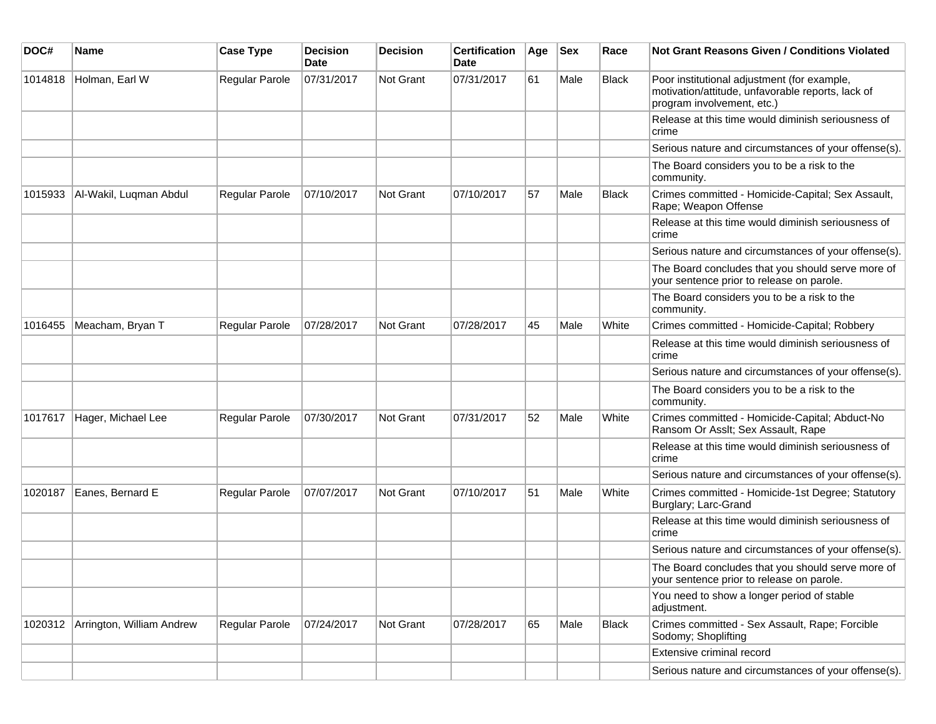| DOC#    | <b>Name</b>               | <b>Case Type</b> | <b>Decision</b><br><b>Date</b> | <b>Decision</b>  | <b>Certification</b><br>Date | Age | <b>Sex</b> | Race         | Not Grant Reasons Given / Conditions Violated                                                                                  |
|---------|---------------------------|------------------|--------------------------------|------------------|------------------------------|-----|------------|--------------|--------------------------------------------------------------------------------------------------------------------------------|
| 1014818 | Holman, Earl W            | Regular Parole   | 07/31/2017                     | Not Grant        | 07/31/2017                   | 61  | Male       | Black        | Poor institutional adjustment (for example,<br>motivation/attitude, unfavorable reports, lack of<br>program involvement, etc.) |
|         |                           |                  |                                |                  |                              |     |            |              | Release at this time would diminish seriousness of<br>crime                                                                    |
|         |                           |                  |                                |                  |                              |     |            |              | Serious nature and circumstances of your offense(s).                                                                           |
|         |                           |                  |                                |                  |                              |     |            |              | The Board considers you to be a risk to the<br>community.                                                                      |
| 1015933 | Al-Wakil, Luqman Abdul    | Regular Parole   | 07/10/2017                     | Not Grant        | 07/10/2017                   | 57  | Male       | Black        | Crimes committed - Homicide-Capital; Sex Assault,<br>Rape; Weapon Offense                                                      |
|         |                           |                  |                                |                  |                              |     |            |              | Release at this time would diminish seriousness of<br>crime                                                                    |
|         |                           |                  |                                |                  |                              |     |            |              | Serious nature and circumstances of your offense(s).                                                                           |
|         |                           |                  |                                |                  |                              |     |            |              | The Board concludes that you should serve more of<br>your sentence prior to release on parole.                                 |
|         |                           |                  |                                |                  |                              |     |            |              | The Board considers you to be a risk to the<br>community.                                                                      |
| 1016455 | Meacham, Bryan T          | Regular Parole   | 07/28/2017                     | <b>Not Grant</b> | 07/28/2017                   | 45  | Male       | White        | Crimes committed - Homicide-Capital; Robbery                                                                                   |
|         |                           |                  |                                |                  |                              |     |            |              | Release at this time would diminish seriousness of<br>crime                                                                    |
|         |                           |                  |                                |                  |                              |     |            |              | Serious nature and circumstances of your offense(s).                                                                           |
|         |                           |                  |                                |                  |                              |     |            |              | The Board considers you to be a risk to the<br>community.                                                                      |
| 1017617 | Hager, Michael Lee        | Regular Parole   | 07/30/2017                     | Not Grant        | 07/31/2017                   | 52  | Male       | White        | Crimes committed - Homicide-Capital; Abduct-No<br>Ransom Or Asslt; Sex Assault, Rape                                           |
|         |                           |                  |                                |                  |                              |     |            |              | Release at this time would diminish seriousness of<br>crime                                                                    |
|         |                           |                  |                                |                  |                              |     |            |              | Serious nature and circumstances of your offense(s).                                                                           |
| 1020187 | Eanes, Bernard E          | Regular Parole   | 07/07/2017                     | Not Grant        | 07/10/2017                   | 51  | Male       | White        | Crimes committed - Homicide-1st Degree; Statutory<br>Burglary; Larc-Grand                                                      |
|         |                           |                  |                                |                  |                              |     |            |              | Release at this time would diminish seriousness of<br>crime                                                                    |
|         |                           |                  |                                |                  |                              |     |            |              | Serious nature and circumstances of your offense(s).                                                                           |
|         |                           |                  |                                |                  |                              |     |            |              | The Board concludes that you should serve more of<br>your sentence prior to release on parole.                                 |
|         |                           |                  |                                |                  |                              |     |            |              | You need to show a longer period of stable<br>adjustment.                                                                      |
| 1020312 | Arrington, William Andrew | Regular Parole   | 07/24/2017                     | Not Grant        | 07/28/2017                   | 65  | Male       | <b>Black</b> | Crimes committed - Sex Assault, Rape; Forcible<br>Sodomy; Shoplifting                                                          |
|         |                           |                  |                                |                  |                              |     |            |              | Extensive criminal record                                                                                                      |
|         |                           |                  |                                |                  |                              |     |            |              | Serious nature and circumstances of your offense(s).                                                                           |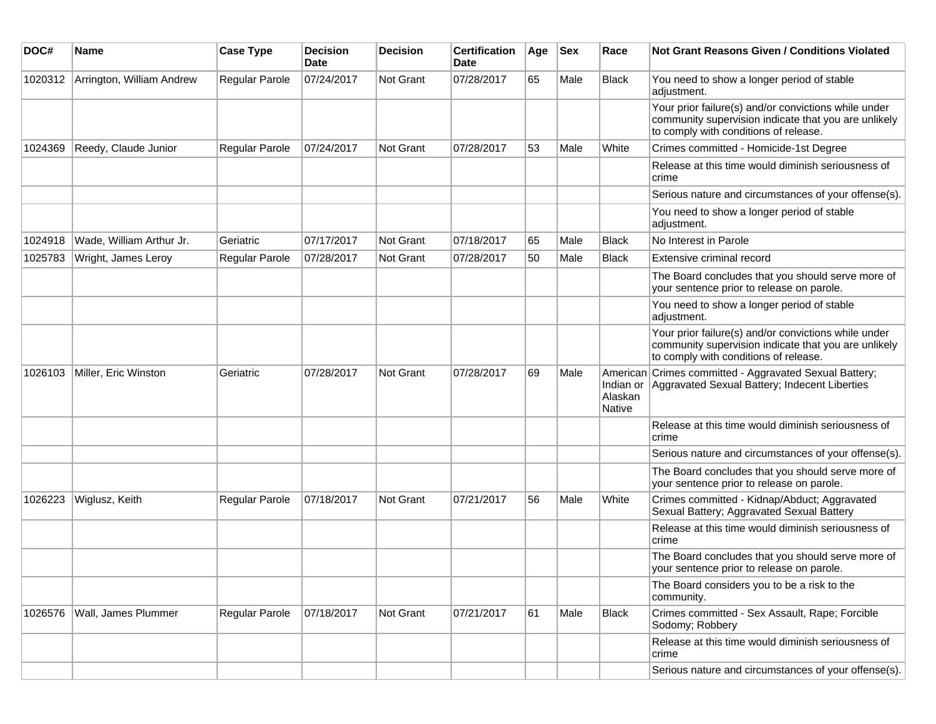| DOC#    | <b>Name</b>               | <b>Case Type</b> | <b>Decision</b><br><b>Date</b> | <b>Decision</b> | <b>Certification</b><br>Date | Age | <b>Sex</b> | Race                           | <b>Not Grant Reasons Given / Conditions Violated</b>                                                                                                  |
|---------|---------------------------|------------------|--------------------------------|-----------------|------------------------------|-----|------------|--------------------------------|-------------------------------------------------------------------------------------------------------------------------------------------------------|
| 1020312 | Arrington, William Andrew | Regular Parole   | 07/24/2017                     | Not Grant       | 07/28/2017                   | 65  | Male       | <b>Black</b>                   | You need to show a longer period of stable<br>adjustment.                                                                                             |
|         |                           |                  |                                |                 |                              |     |            |                                | Your prior failure(s) and/or convictions while under<br>community supervision indicate that you are unlikely<br>to comply with conditions of release. |
| 1024369 | Reedy, Claude Junior      | Regular Parole   | 07/24/2017                     | Not Grant       | 07/28/2017                   | 53  | Male       | White                          | Crimes committed - Homicide-1st Degree                                                                                                                |
|         |                           |                  |                                |                 |                              |     |            |                                | Release at this time would diminish seriousness of<br>crime                                                                                           |
|         |                           |                  |                                |                 |                              |     |            |                                | Serious nature and circumstances of your offense(s).                                                                                                  |
|         |                           |                  |                                |                 |                              |     |            |                                | You need to show a longer period of stable<br>adjustment.                                                                                             |
| 1024918 | Wade, William Arthur Jr.  | Geriatric        | 07/17/2017                     | Not Grant       | 07/18/2017                   | 65  | Male       | Black                          | No Interest in Parole                                                                                                                                 |
| 1025783 | Wright, James Leroy       | Regular Parole   | 07/28/2017                     | Not Grant       | 07/28/2017                   | 50  | Male       | <b>Black</b>                   | Extensive criminal record                                                                                                                             |
|         |                           |                  |                                |                 |                              |     |            |                                | The Board concludes that you should serve more of<br>your sentence prior to release on parole.                                                        |
|         |                           |                  |                                |                 |                              |     |            |                                | You need to show a longer period of stable<br>adjustment.                                                                                             |
|         |                           |                  |                                |                 |                              |     |            |                                | Your prior failure(s) and/or convictions while under<br>community supervision indicate that you are unlikely<br>to comply with conditions of release. |
| 1026103 | Miller, Eric Winston      | Geriatric        | 07/28/2017                     | Not Grant       | 07/28/2017                   | 69  | Male       | Indian or<br>Alaskan<br>Native | American Crimes committed - Aggravated Sexual Battery;<br>Aggravated Sexual Battery; Indecent Liberties                                               |
|         |                           |                  |                                |                 |                              |     |            |                                | Release at this time would diminish seriousness of<br>crime                                                                                           |
|         |                           |                  |                                |                 |                              |     |            |                                | Serious nature and circumstances of your offense(s).                                                                                                  |
|         |                           |                  |                                |                 |                              |     |            |                                | The Board concludes that you should serve more of<br>your sentence prior to release on parole.                                                        |
| 1026223 | Wiglusz, Keith            | Regular Parole   | 07/18/2017                     | Not Grant       | 07/21/2017                   | 56  | Male       | White                          | Crimes committed - Kidnap/Abduct; Aggravated<br>Sexual Battery; Aggravated Sexual Battery                                                             |
|         |                           |                  |                                |                 |                              |     |            |                                | Release at this time would diminish seriousness of<br>crime                                                                                           |
|         |                           |                  |                                |                 |                              |     |            |                                | The Board concludes that you should serve more of<br>your sentence prior to release on parole.                                                        |
|         |                           |                  |                                |                 |                              |     |            |                                | The Board considers you to be a risk to the<br>community.                                                                                             |
| 1026576 | Wall, James Plummer       | Regular Parole   | 07/18/2017                     | Not Grant       | 07/21/2017                   | 61  | Male       | <b>Black</b>                   | Crimes committed - Sex Assault, Rape; Forcible<br>Sodomy; Robbery                                                                                     |
|         |                           |                  |                                |                 |                              |     |            |                                | Release at this time would diminish seriousness of<br>crime                                                                                           |
|         |                           |                  |                                |                 |                              |     |            |                                | Serious nature and circumstances of your offense(s).                                                                                                  |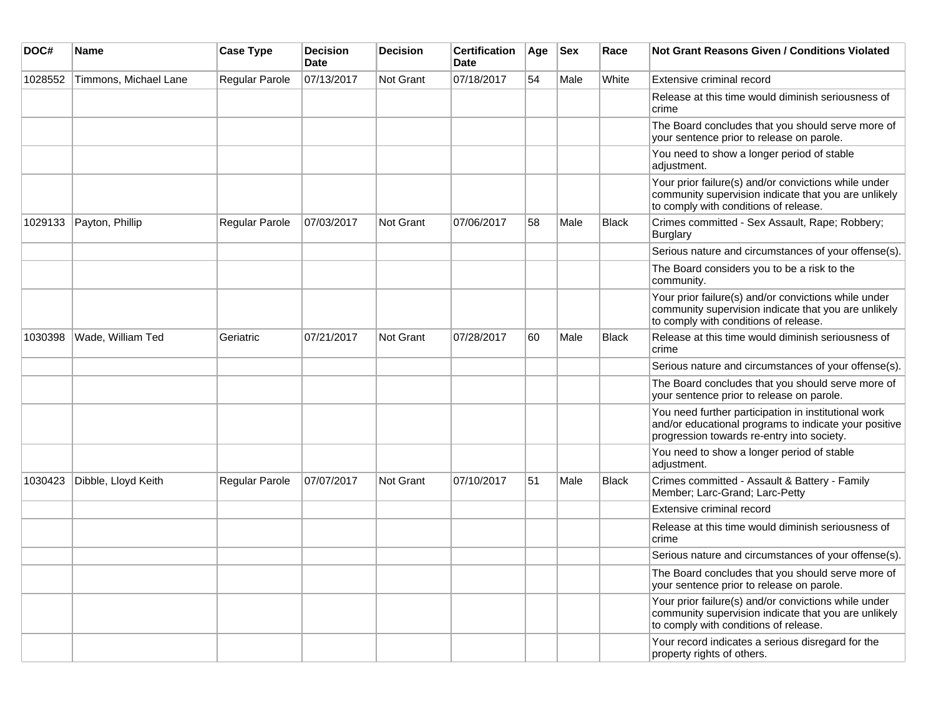| DOC#    | Name                  | <b>Case Type</b>      | <b>Decision</b><br>Date | <b>Decision</b>  | <b>Certification</b><br>Date | Age | <b>Sex</b> | Race         | <b>Not Grant Reasons Given / Conditions Violated</b>                                                                                                        |
|---------|-----------------------|-----------------------|-------------------------|------------------|------------------------------|-----|------------|--------------|-------------------------------------------------------------------------------------------------------------------------------------------------------------|
| 1028552 | Timmons, Michael Lane | <b>Regular Parole</b> | 07/13/2017              | Not Grant        | 07/18/2017                   | 54  | Male       | White        | Extensive criminal record                                                                                                                                   |
|         |                       |                       |                         |                  |                              |     |            |              | Release at this time would diminish seriousness of<br>crime                                                                                                 |
|         |                       |                       |                         |                  |                              |     |            |              | The Board concludes that you should serve more of<br>your sentence prior to release on parole.                                                              |
|         |                       |                       |                         |                  |                              |     |            |              | You need to show a longer period of stable<br>adjustment.                                                                                                   |
|         |                       |                       |                         |                  |                              |     |            |              | Your prior failure(s) and/or convictions while under<br>community supervision indicate that you are unlikely<br>to comply with conditions of release.       |
| 1029133 | Payton, Phillip       | <b>Regular Parole</b> | 07/03/2017              | Not Grant        | 07/06/2017                   | 58  | Male       | <b>Black</b> | Crimes committed - Sex Assault, Rape; Robbery;<br><b>Burglary</b>                                                                                           |
|         |                       |                       |                         |                  |                              |     |            |              | Serious nature and circumstances of your offense(s).                                                                                                        |
|         |                       |                       |                         |                  |                              |     |            |              | The Board considers you to be a risk to the<br>community.                                                                                                   |
|         |                       |                       |                         |                  |                              |     |            |              | Your prior failure(s) and/or convictions while under<br>community supervision indicate that you are unlikely<br>to comply with conditions of release.       |
| 1030398 | Wade, William Ted     | Geriatric             | 07/21/2017              | <b>Not Grant</b> | 07/28/2017                   | 60  | Male       | Black        | Release at this time would diminish seriousness of<br>crime                                                                                                 |
|         |                       |                       |                         |                  |                              |     |            |              | Serious nature and circumstances of your offense(s).                                                                                                        |
|         |                       |                       |                         |                  |                              |     |            |              | The Board concludes that you should serve more of<br>your sentence prior to release on parole.                                                              |
|         |                       |                       |                         |                  |                              |     |            |              | You need further participation in institutional work<br>and/or educational programs to indicate your positive<br>progression towards re-entry into society. |
|         |                       |                       |                         |                  |                              |     |            |              | You need to show a longer period of stable<br>adjustment.                                                                                                   |
| 1030423 | Dibble, Lloyd Keith   | <b>Regular Parole</b> | 07/07/2017              | <b>Not Grant</b> | 07/10/2017                   | 51  | Male       | Black        | Crimes committed - Assault & Battery - Family<br>Member; Larc-Grand; Larc-Petty                                                                             |
|         |                       |                       |                         |                  |                              |     |            |              | Extensive criminal record                                                                                                                                   |
|         |                       |                       |                         |                  |                              |     |            |              | Release at this time would diminish seriousness of<br>crime                                                                                                 |
|         |                       |                       |                         |                  |                              |     |            |              | Serious nature and circumstances of your offense(s).                                                                                                        |
|         |                       |                       |                         |                  |                              |     |            |              | The Board concludes that you should serve more of<br>your sentence prior to release on parole.                                                              |
|         |                       |                       |                         |                  |                              |     |            |              | Your prior failure(s) and/or convictions while under<br>community supervision indicate that you are unlikely<br>to comply with conditions of release.       |
|         |                       |                       |                         |                  |                              |     |            |              | Your record indicates a serious disregard for the<br>property rights of others.                                                                             |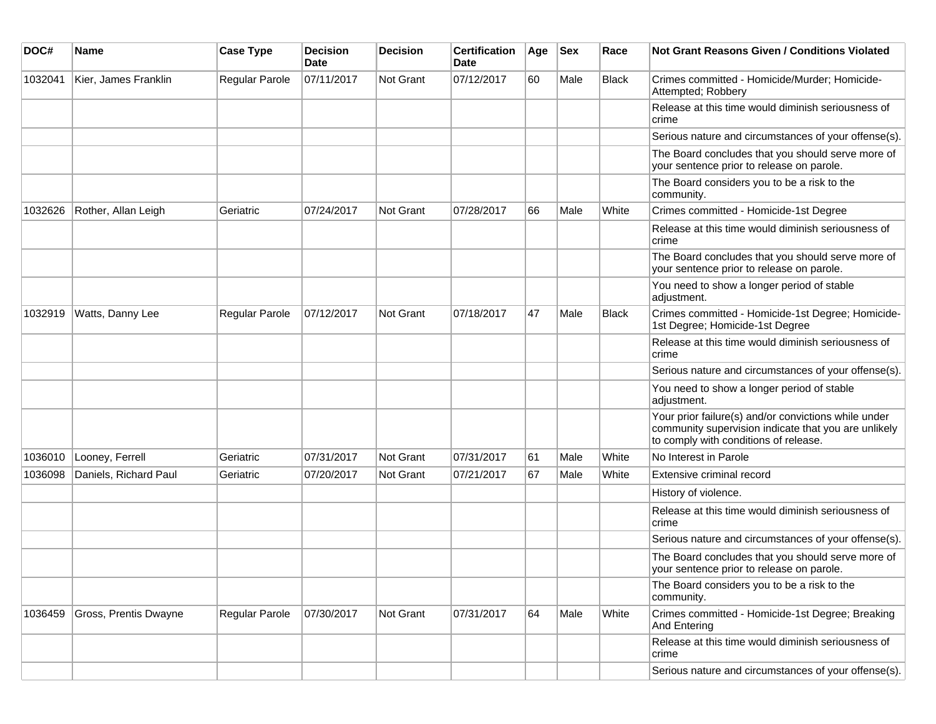| DOC#    | <b>Name</b>           | <b>Case Type</b> | <b>Decision</b><br><b>Date</b> | <b>Decision</b> | <b>Certification</b><br>Date | Age | <b>Sex</b> | Race         | Not Grant Reasons Given / Conditions Violated                                                                                                         |
|---------|-----------------------|------------------|--------------------------------|-----------------|------------------------------|-----|------------|--------------|-------------------------------------------------------------------------------------------------------------------------------------------------------|
| 1032041 | Kier, James Franklin  | Regular Parole   | 07/11/2017                     | Not Grant       | 07/12/2017                   | 60  | Male       | <b>Black</b> | Crimes committed - Homicide/Murder; Homicide-<br>Attempted; Robbery                                                                                   |
|         |                       |                  |                                |                 |                              |     |            |              | Release at this time would diminish seriousness of<br>crime                                                                                           |
|         |                       |                  |                                |                 |                              |     |            |              | Serious nature and circumstances of your offense(s).                                                                                                  |
|         |                       |                  |                                |                 |                              |     |            |              | The Board concludes that you should serve more of<br>your sentence prior to release on parole.                                                        |
|         |                       |                  |                                |                 |                              |     |            |              | The Board considers you to be a risk to the<br>community.                                                                                             |
| 1032626 | Rother, Allan Leigh   | Geriatric        | 07/24/2017                     | Not Grant       | 07/28/2017                   | 66  | Male       | White        | Crimes committed - Homicide-1st Degree                                                                                                                |
|         |                       |                  |                                |                 |                              |     |            |              | Release at this time would diminish seriousness of<br>crime                                                                                           |
|         |                       |                  |                                |                 |                              |     |            |              | The Board concludes that you should serve more of<br>your sentence prior to release on parole.                                                        |
|         |                       |                  |                                |                 |                              |     |            |              | You need to show a longer period of stable<br>adjustment.                                                                                             |
| 1032919 | Watts, Danny Lee      | Regular Parole   | 07/12/2017                     | Not Grant       | 07/18/2017                   | 47  | Male       | <b>Black</b> | Crimes committed - Homicide-1st Degree; Homicide-<br>1st Degree; Homicide-1st Degree                                                                  |
|         |                       |                  |                                |                 |                              |     |            |              | Release at this time would diminish seriousness of<br>crime                                                                                           |
|         |                       |                  |                                |                 |                              |     |            |              | Serious nature and circumstances of your offense(s).                                                                                                  |
|         |                       |                  |                                |                 |                              |     |            |              | You need to show a longer period of stable<br>adjustment.                                                                                             |
|         |                       |                  |                                |                 |                              |     |            |              | Your prior failure(s) and/or convictions while under<br>community supervision indicate that you are unlikely<br>to comply with conditions of release. |
| 1036010 | Looney, Ferrell       | Geriatric        | 07/31/2017                     | Not Grant       | 07/31/2017                   | 61  | Male       | White        | No Interest in Parole                                                                                                                                 |
| 1036098 | Daniels, Richard Paul | Geriatric        | 07/20/2017                     | Not Grant       | 07/21/2017                   | 67  | Male       | White        | Extensive criminal record                                                                                                                             |
|         |                       |                  |                                |                 |                              |     |            |              | History of violence.                                                                                                                                  |
|         |                       |                  |                                |                 |                              |     |            |              | Release at this time would diminish seriousness of<br>crime                                                                                           |
|         |                       |                  |                                |                 |                              |     |            |              | Serious nature and circumstances of your offense(s).                                                                                                  |
|         |                       |                  |                                |                 |                              |     |            |              | The Board concludes that you should serve more of<br>your sentence prior to release on parole.                                                        |
|         |                       |                  |                                |                 |                              |     |            |              | The Board considers you to be a risk to the<br>community.                                                                                             |
| 1036459 | Gross, Prentis Dwayne | Regular Parole   | 07/30/2017                     | Not Grant       | 07/31/2017                   | 64  | Male       | White        | Crimes committed - Homicide-1st Degree; Breaking<br>And Entering                                                                                      |
|         |                       |                  |                                |                 |                              |     |            |              | Release at this time would diminish seriousness of<br>crime                                                                                           |
|         |                       |                  |                                |                 |                              |     |            |              | Serious nature and circumstances of your offense(s).                                                                                                  |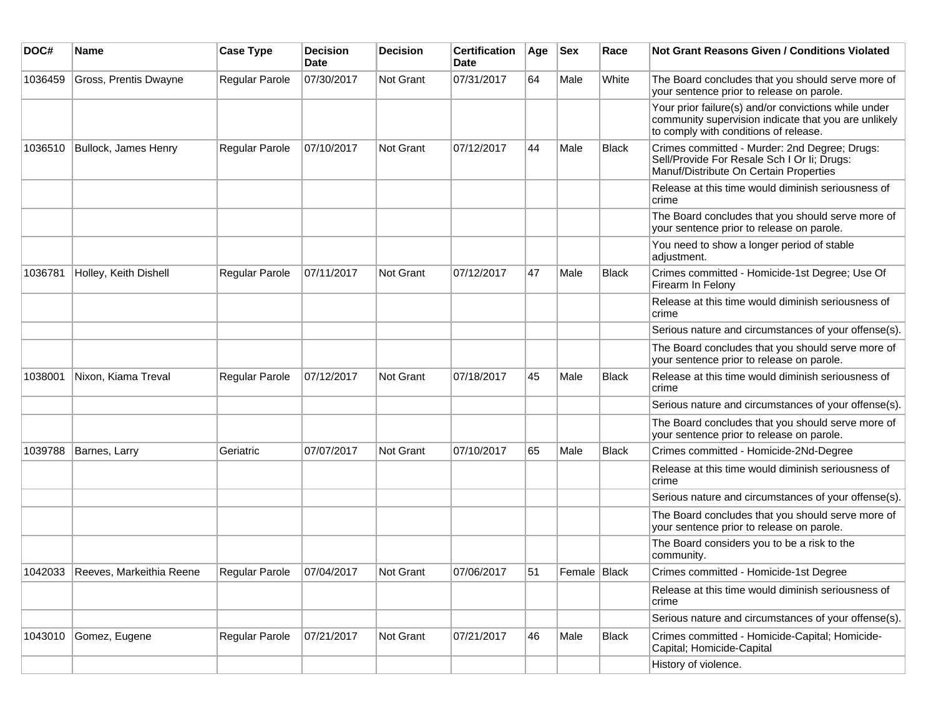| DOC#    | <b>Name</b>                      | <b>Case Type</b> | <b>Decision</b><br>Date | Decision  | <b>Certification</b><br>Date | Age | <b>Sex</b>   | Race         | Not Grant Reasons Given / Conditions Violated                                                                                                         |
|---------|----------------------------------|------------------|-------------------------|-----------|------------------------------|-----|--------------|--------------|-------------------------------------------------------------------------------------------------------------------------------------------------------|
| 1036459 | Gross, Prentis Dwayne            | Regular Parole   | 07/30/2017              | Not Grant | 07/31/2017                   | 64  | Male         | White        | The Board concludes that you should serve more of<br>your sentence prior to release on parole.                                                        |
|         |                                  |                  |                         |           |                              |     |              |              | Your prior failure(s) and/or convictions while under<br>community supervision indicate that you are unlikely<br>to comply with conditions of release. |
| 1036510 | Bullock, James Henry             | Regular Parole   | 07/10/2017              | Not Grant | 07/12/2017                   | 44  | Male         | <b>Black</b> | Crimes committed - Murder: 2nd Degree; Drugs:<br>Sell/Provide For Resale Sch I Or Ii; Drugs:<br>Manuf/Distribute On Certain Properties                |
|         |                                  |                  |                         |           |                              |     |              |              | Release at this time would diminish seriousness of<br>crime                                                                                           |
|         |                                  |                  |                         |           |                              |     |              |              | The Board concludes that you should serve more of<br>your sentence prior to release on parole.                                                        |
|         |                                  |                  |                         |           |                              |     |              |              | You need to show a longer period of stable<br>adjustment.                                                                                             |
| 1036781 | Holley, Keith Dishell            | Regular Parole   | 07/11/2017              | Not Grant | 07/12/2017                   | 47  | Male         | <b>Black</b> | Crimes committed - Homicide-1st Degree; Use Of<br>Firearm In Felony                                                                                   |
|         |                                  |                  |                         |           |                              |     |              |              | Release at this time would diminish seriousness of<br>crime                                                                                           |
|         |                                  |                  |                         |           |                              |     |              |              | Serious nature and circumstances of your offense(s).                                                                                                  |
|         |                                  |                  |                         |           |                              |     |              |              | The Board concludes that you should serve more of<br>your sentence prior to release on parole.                                                        |
| 1038001 | Nixon, Kiama Treval              | Regular Parole   | 07/12/2017              | Not Grant | 07/18/2017                   | 45  | Male         | <b>Black</b> | Release at this time would diminish seriousness of<br>crime                                                                                           |
|         |                                  |                  |                         |           |                              |     |              |              | Serious nature and circumstances of your offense(s).                                                                                                  |
|         |                                  |                  |                         |           |                              |     |              |              | The Board concludes that you should serve more of<br>your sentence prior to release on parole.                                                        |
| 1039788 | Barnes, Larry                    | Geriatric        | 07/07/2017              | Not Grant | 07/10/2017                   | 65  | Male         | <b>Black</b> | Crimes committed - Homicide-2Nd-Degree                                                                                                                |
|         |                                  |                  |                         |           |                              |     |              |              | Release at this time would diminish seriousness of<br>crime                                                                                           |
|         |                                  |                  |                         |           |                              |     |              |              | Serious nature and circumstances of your offense(s).                                                                                                  |
|         |                                  |                  |                         |           |                              |     |              |              | The Board concludes that you should serve more of<br>your sentence prior to release on parole.                                                        |
|         |                                  |                  |                         |           |                              |     |              |              | The Board considers you to be a risk to the<br>community.                                                                                             |
|         | 1042033 Reeves, Markeithia Reene | Regular Parole   | 07/04/2017              | Not Grant | 07/06/2017                   | 51  | Female Black |              | Crimes committed - Homicide-1st Degree                                                                                                                |
|         |                                  |                  |                         |           |                              |     |              |              | Release at this time would diminish seriousness of<br>crime                                                                                           |
|         |                                  |                  |                         |           |                              |     |              |              | Serious nature and circumstances of your offense(s).                                                                                                  |
| 1043010 | Gomez, Eugene                    | Regular Parole   | 07/21/2017              | Not Grant | 07/21/2017                   | 46  | Male         | <b>Black</b> | Crimes committed - Homicide-Capital; Homicide-<br>Capital; Homicide-Capital                                                                           |
|         |                                  |                  |                         |           |                              |     |              |              | History of violence.                                                                                                                                  |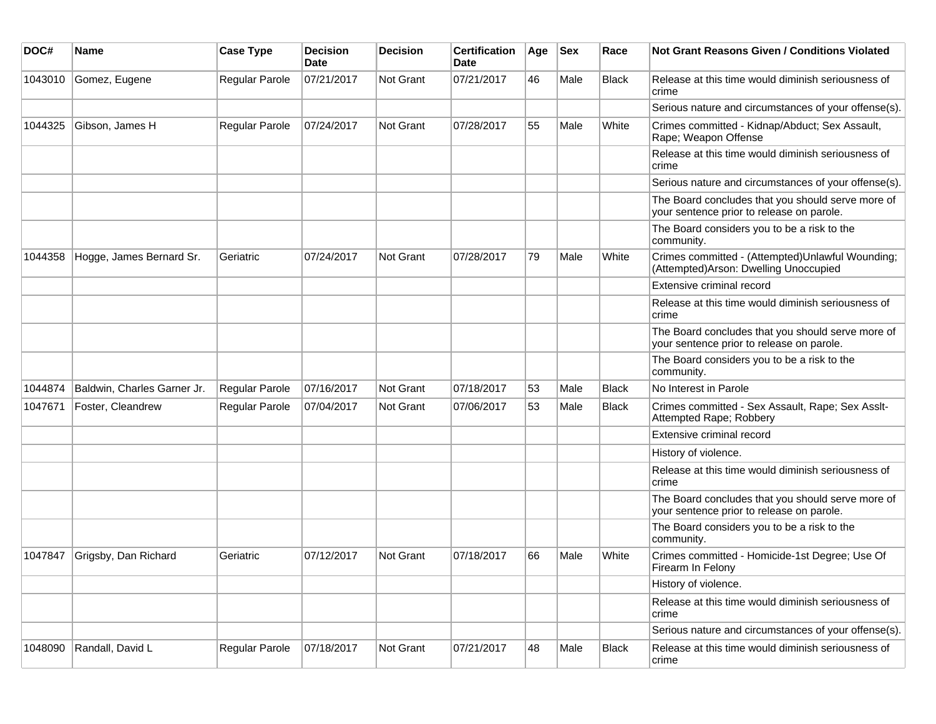| DOC#    | Name                        | <b>Case Type</b>      | <b>Decision</b><br>Date | <b>Decision</b>  | <b>Certification</b><br>Date | Age | Sex  | Race         | Not Grant Reasons Given / Conditions Violated                                                  |
|---------|-----------------------------|-----------------------|-------------------------|------------------|------------------------------|-----|------|--------------|------------------------------------------------------------------------------------------------|
| 1043010 | Gomez, Eugene               | Regular Parole        | 07/21/2017              | <b>Not Grant</b> | 07/21/2017                   | 46  | Male | <b>Black</b> | Release at this time would diminish seriousness of<br>crime                                    |
|         |                             |                       |                         |                  |                              |     |      |              | Serious nature and circumstances of your offense(s).                                           |
| 1044325 | Gibson, James H             | <b>Regular Parole</b> | 07/24/2017              | Not Grant        | 07/28/2017                   | 55  | Male | White        | Crimes committed - Kidnap/Abduct; Sex Assault,<br>Rape; Weapon Offense                         |
|         |                             |                       |                         |                  |                              |     |      |              | Release at this time would diminish seriousness of<br>crime                                    |
|         |                             |                       |                         |                  |                              |     |      |              | Serious nature and circumstances of your offense(s).                                           |
|         |                             |                       |                         |                  |                              |     |      |              | The Board concludes that you should serve more of<br>your sentence prior to release on parole. |
|         |                             |                       |                         |                  |                              |     |      |              | The Board considers you to be a risk to the<br>community.                                      |
| 1044358 | Hogge, James Bernard Sr.    | Geriatric             | 07/24/2017              | Not Grant        | 07/28/2017                   | 79  | Male | White        | Crimes committed - (Attempted)Unlawful Wounding;<br>(Attempted) Arson: Dwelling Unoccupied     |
|         |                             |                       |                         |                  |                              |     |      |              | Extensive criminal record                                                                      |
|         |                             |                       |                         |                  |                              |     |      |              | Release at this time would diminish seriousness of<br>crime                                    |
|         |                             |                       |                         |                  |                              |     |      |              | The Board concludes that you should serve more of<br>your sentence prior to release on parole. |
|         |                             |                       |                         |                  |                              |     |      |              | The Board considers you to be a risk to the<br>community.                                      |
| 1044874 | Baldwin, Charles Garner Jr. | Regular Parole        | 07/16/2017              | Not Grant        | 07/18/2017                   | 53  | Male | <b>Black</b> | No Interest in Parole                                                                          |
| 1047671 | Foster, Cleandrew           | Regular Parole        | 07/04/2017              | <b>Not Grant</b> | 07/06/2017                   | 53  | Male | <b>Black</b> | Crimes committed - Sex Assault, Rape; Sex Asslt-<br>Attempted Rape; Robbery                    |
|         |                             |                       |                         |                  |                              |     |      |              | Extensive criminal record                                                                      |
|         |                             |                       |                         |                  |                              |     |      |              | History of violence.                                                                           |
|         |                             |                       |                         |                  |                              |     |      |              | Release at this time would diminish seriousness of<br>crime                                    |
|         |                             |                       |                         |                  |                              |     |      |              | The Board concludes that you should serve more of<br>your sentence prior to release on parole. |
|         |                             |                       |                         |                  |                              |     |      |              | The Board considers you to be a risk to the<br>community.                                      |
| 1047847 | Grigsby, Dan Richard        | Geriatric             | 07/12/2017              | <b>Not Grant</b> | 07/18/2017                   | 66  | Male | White        | Crimes committed - Homicide-1st Degree; Use Of<br>Firearm In Felony                            |
|         |                             |                       |                         |                  |                              |     |      |              | History of violence.                                                                           |
|         |                             |                       |                         |                  |                              |     |      |              | Release at this time would diminish seriousness of<br>crime                                    |
|         |                             |                       |                         |                  |                              |     |      |              | Serious nature and circumstances of your offense(s).                                           |
| 1048090 | Randall, David L            | Regular Parole        | 07/18/2017              | Not Grant        | 07/21/2017                   | 48  | Male | Black        | Release at this time would diminish seriousness of<br>crime                                    |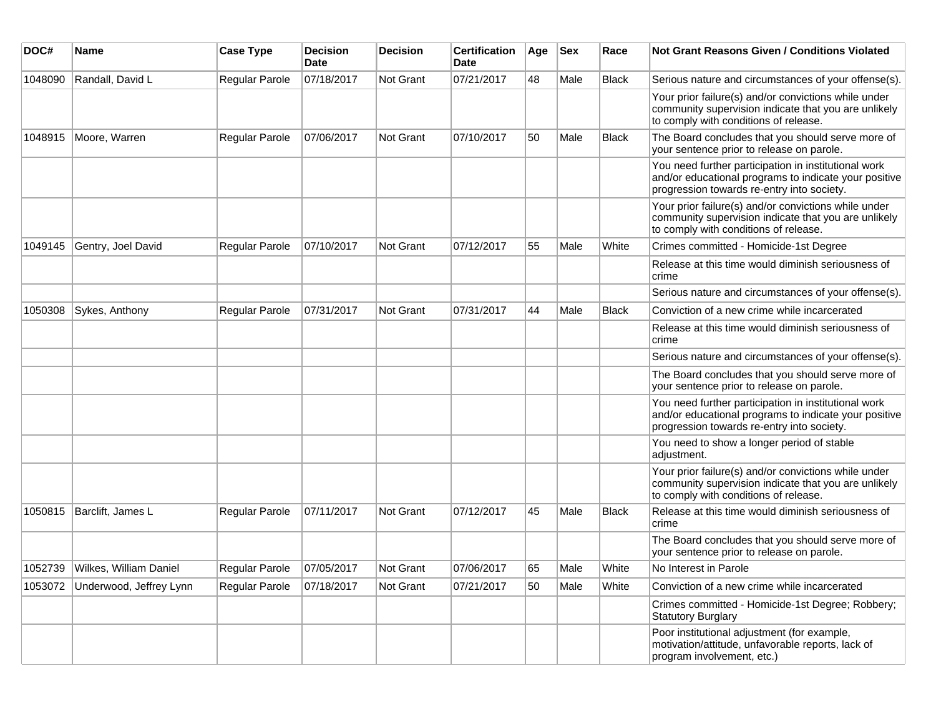| DOC#    | Name                            | <b>Case Type</b>      | <b>Decision</b><br>Date | <b>Decision</b> | <b>Certification</b><br>Date | Age | <b>Sex</b> | Race         | Not Grant Reasons Given / Conditions Violated                                                                                                               |
|---------|---------------------------------|-----------------------|-------------------------|-----------------|------------------------------|-----|------------|--------------|-------------------------------------------------------------------------------------------------------------------------------------------------------------|
| 1048090 | Randall, David L                | Regular Parole        | 07/18/2017              | Not Grant       | 07/21/2017                   | 48  | Male       | <b>Black</b> | Serious nature and circumstances of your offense(s).                                                                                                        |
|         |                                 |                       |                         |                 |                              |     |            |              | Your prior failure(s) and/or convictions while under<br>community supervision indicate that you are unlikely<br>to comply with conditions of release.       |
| 1048915 | Moore, Warren                   | Regular Parole        | 07/06/2017              | Not Grant       | 07/10/2017                   | 50  | Male       | <b>Black</b> | The Board concludes that you should serve more of<br>your sentence prior to release on parole.                                                              |
|         |                                 |                       |                         |                 |                              |     |            |              | You need further participation in institutional work<br>and/or educational programs to indicate your positive<br>progression towards re-entry into society. |
|         |                                 |                       |                         |                 |                              |     |            |              | Your prior failure(s) and/or convictions while under<br>community supervision indicate that you are unlikely<br>to comply with conditions of release.       |
| 1049145 | Gentry, Joel David              | Regular Parole        | 07/10/2017              | Not Grant       | 07/12/2017                   | 55  | Male       | White        | Crimes committed - Homicide-1st Degree                                                                                                                      |
|         |                                 |                       |                         |                 |                              |     |            |              | Release at this time would diminish seriousness of<br>crime                                                                                                 |
|         |                                 |                       |                         |                 |                              |     |            |              | Serious nature and circumstances of your offense(s).                                                                                                        |
| 1050308 | Sykes, Anthony                  | Regular Parole        | 07/31/2017              | Not Grant       | 07/31/2017                   | 44  | Male       | <b>Black</b> | Conviction of a new crime while incarcerated                                                                                                                |
|         |                                 |                       |                         |                 |                              |     |            |              | Release at this time would diminish seriousness of<br>crime                                                                                                 |
|         |                                 |                       |                         |                 |                              |     |            |              | Serious nature and circumstances of your offense(s).                                                                                                        |
|         |                                 |                       |                         |                 |                              |     |            |              | The Board concludes that you should serve more of<br>your sentence prior to release on parole.                                                              |
|         |                                 |                       |                         |                 |                              |     |            |              | You need further participation in institutional work<br>and/or educational programs to indicate your positive<br>progression towards re-entry into society. |
|         |                                 |                       |                         |                 |                              |     |            |              | You need to show a longer period of stable<br>adjustment.                                                                                                   |
|         |                                 |                       |                         |                 |                              |     |            |              | Your prior failure(s) and/or convictions while under<br>community supervision indicate that you are unlikely<br>to comply with conditions of release.       |
| 1050815 | Barclift, James L               | Regular Parole        | 07/11/2017              | Not Grant       | 07/12/2017                   | 45  | Male       | <b>Black</b> | Release at this time would diminish seriousness of<br>crime                                                                                                 |
|         |                                 |                       |                         |                 |                              |     |            |              | The Board concludes that you should serve more of<br>your sentence prior to release on parole.                                                              |
| 1052739 | Wilkes, William Daniel          | Regular Parole        | 07/05/2017              | Not Grant       | 07/06/2017                   | 65  | Male       | White        | No Interest in Parole                                                                                                                                       |
|         | 1053072 Underwood, Jeffrey Lynn | <b>Regular Parole</b> | 07/18/2017              | Not Grant       | 07/21/2017                   | 50  | Male       | White        | Conviction of a new crime while incarcerated                                                                                                                |
|         |                                 |                       |                         |                 |                              |     |            |              | Crimes committed - Homicide-1st Degree; Robbery;<br><b>Statutory Burglary</b>                                                                               |
|         |                                 |                       |                         |                 |                              |     |            |              | Poor institutional adjustment (for example,<br>motivation/attitude, unfavorable reports, lack of<br>program involvement, etc.)                              |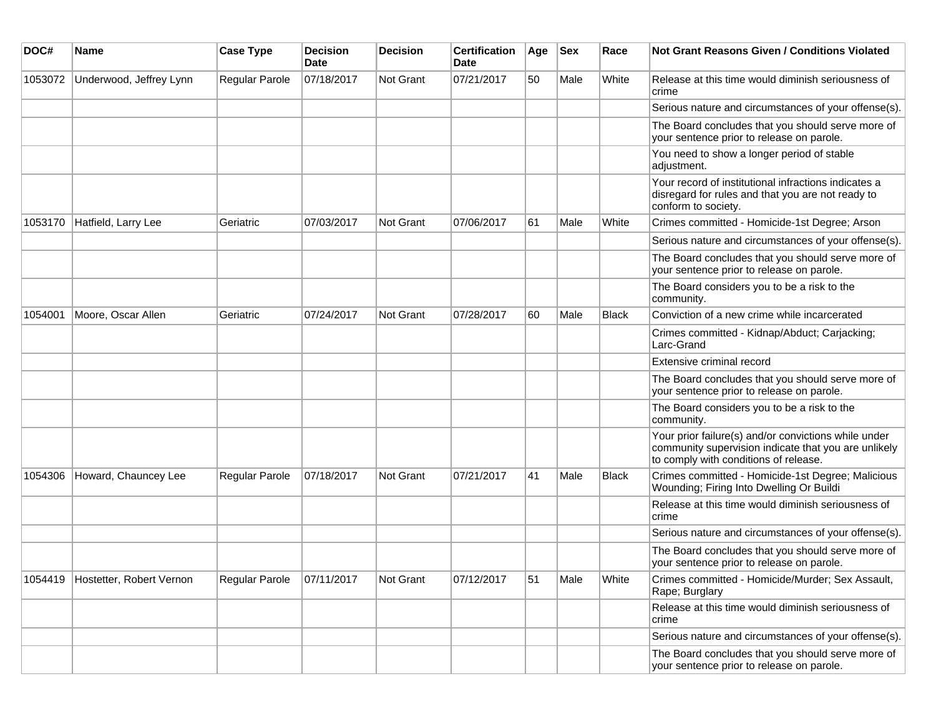| DOC#    | Name                             | <b>Case Type</b> | <b>Decision</b><br><b>Date</b> | <b>Decision</b>  | <b>Certification</b><br>Date | Age | <b>Sex</b> | Race         | <b>Not Grant Reasons Given / Conditions Violated</b>                                                                                                  |
|---------|----------------------------------|------------------|--------------------------------|------------------|------------------------------|-----|------------|--------------|-------------------------------------------------------------------------------------------------------------------------------------------------------|
| 1053072 | Underwood, Jeffrey Lynn          | Regular Parole   | 07/18/2017                     | Not Grant        | 07/21/2017                   | 50  | Male       | White        | Release at this time would diminish seriousness of<br>crime                                                                                           |
|         |                                  |                  |                                |                  |                              |     |            |              | Serious nature and circumstances of your offense(s).                                                                                                  |
|         |                                  |                  |                                |                  |                              |     |            |              | The Board concludes that you should serve more of<br>your sentence prior to release on parole.                                                        |
|         |                                  |                  |                                |                  |                              |     |            |              | You need to show a longer period of stable<br>adjustment.                                                                                             |
|         |                                  |                  |                                |                  |                              |     |            |              | Your record of institutional infractions indicates a<br>disregard for rules and that you are not ready to<br>conform to society.                      |
| 1053170 | Hatfield, Larry Lee              | Geriatric        | 07/03/2017                     | <b>Not Grant</b> | 07/06/2017                   | 61  | Male       | White        | Crimes committed - Homicide-1st Degree; Arson                                                                                                         |
|         |                                  |                  |                                |                  |                              |     |            |              | Serious nature and circumstances of your offense(s).                                                                                                  |
|         |                                  |                  |                                |                  |                              |     |            |              | The Board concludes that you should serve more of<br>your sentence prior to release on parole.                                                        |
|         |                                  |                  |                                |                  |                              |     |            |              | The Board considers you to be a risk to the<br>community.                                                                                             |
| 1054001 | Moore, Oscar Allen               | Geriatric        | 07/24/2017                     | <b>Not Grant</b> | 07/28/2017                   | 60  | Male       | <b>Black</b> | Conviction of a new crime while incarcerated                                                                                                          |
|         |                                  |                  |                                |                  |                              |     |            |              | Crimes committed - Kidnap/Abduct; Carjacking;<br>Larc-Grand                                                                                           |
|         |                                  |                  |                                |                  |                              |     |            |              | Extensive criminal record                                                                                                                             |
|         |                                  |                  |                                |                  |                              |     |            |              | The Board concludes that you should serve more of<br>your sentence prior to release on parole.                                                        |
|         |                                  |                  |                                |                  |                              |     |            |              | The Board considers you to be a risk to the<br>community.                                                                                             |
|         |                                  |                  |                                |                  |                              |     |            |              | Your prior failure(s) and/or convictions while under<br>community supervision indicate that you are unlikely<br>to comply with conditions of release. |
| 1054306 | Howard, Chauncey Lee             | Regular Parole   | 07/18/2017                     | Not Grant        | 07/21/2017                   | 41  | Male       | <b>Black</b> | Crimes committed - Homicide-1st Degree; Malicious<br>Wounding; Firing Into Dwelling Or Buildi                                                         |
|         |                                  |                  |                                |                  |                              |     |            |              | Release at this time would diminish seriousness of<br>crime                                                                                           |
|         |                                  |                  |                                |                  |                              |     |            |              | Serious nature and circumstances of your offense(s).                                                                                                  |
|         |                                  |                  |                                |                  |                              |     |            |              | The Board concludes that you should serve more of<br>your sentence prior to release on parole.                                                        |
|         | 1054419 Hostetter, Robert Vernon | Regular Parole   | 07/11/2017                     | Not Grant        | 07/12/2017                   | 51  | Male       | White        | Crimes committed - Homicide/Murder; Sex Assault,<br>Rape; Burglary                                                                                    |
|         |                                  |                  |                                |                  |                              |     |            |              | Release at this time would diminish seriousness of<br>crime                                                                                           |
|         |                                  |                  |                                |                  |                              |     |            |              | Serious nature and circumstances of your offense(s).                                                                                                  |
|         |                                  |                  |                                |                  |                              |     |            |              | The Board concludes that you should serve more of<br>your sentence prior to release on parole.                                                        |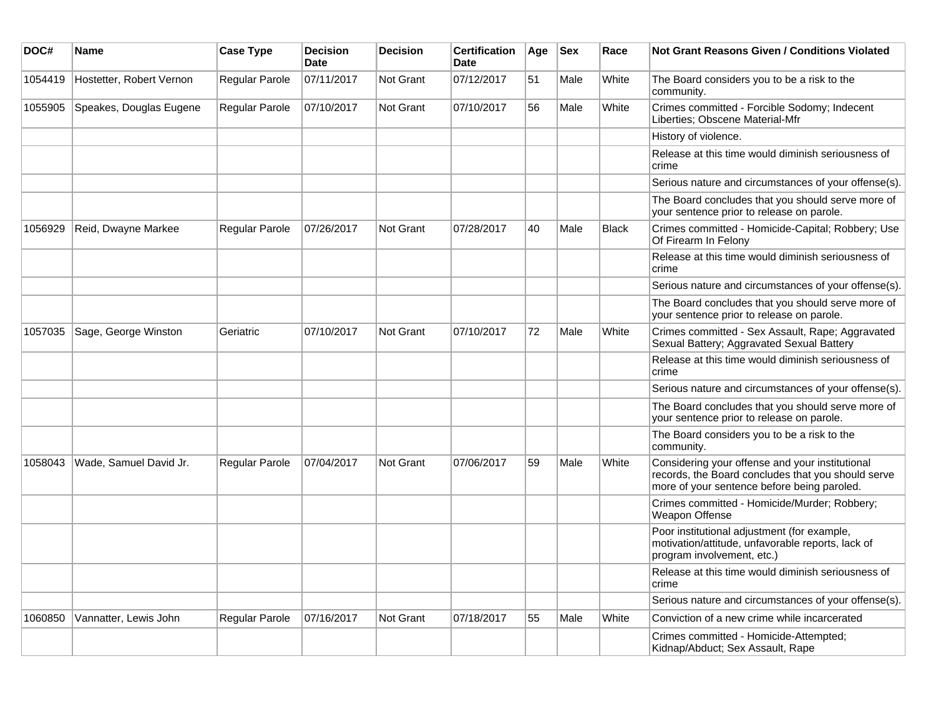| DOC#    | <b>Name</b>              | <b>Case Type</b>      | <b>Decision</b><br><b>Date</b> | <b>Decision</b>  | <b>Certification</b><br><b>Date</b> | Age | <b>Sex</b> | Race         | <b>Not Grant Reasons Given / Conditions Violated</b>                                                                                                 |
|---------|--------------------------|-----------------------|--------------------------------|------------------|-------------------------------------|-----|------------|--------------|------------------------------------------------------------------------------------------------------------------------------------------------------|
| 1054419 | Hostetter, Robert Vernon | Regular Parole        | 07/11/2017                     | <b>Not Grant</b> | 07/12/2017                          | 51  | Male       | White        | The Board considers you to be a risk to the<br>community.                                                                                            |
| 1055905 | Speakes, Douglas Eugene  | Regular Parole        | 07/10/2017                     | <b>Not Grant</b> | 07/10/2017                          | 56  | Male       | White        | Crimes committed - Forcible Sodomy; Indecent<br>Liberties; Obscene Material-Mfr                                                                      |
|         |                          |                       |                                |                  |                                     |     |            |              | History of violence.                                                                                                                                 |
|         |                          |                       |                                |                  |                                     |     |            |              | Release at this time would diminish seriousness of<br>crime                                                                                          |
|         |                          |                       |                                |                  |                                     |     |            |              | Serious nature and circumstances of your offense(s).                                                                                                 |
|         |                          |                       |                                |                  |                                     |     |            |              | The Board concludes that you should serve more of<br>your sentence prior to release on parole.                                                       |
| 1056929 | Reid, Dwayne Markee      | <b>Regular Parole</b> | 07/26/2017                     | <b>Not Grant</b> | 07/28/2017                          | 40  | Male       | <b>Black</b> | Crimes committed - Homicide-Capital; Robbery; Use<br>Of Firearm In Felony                                                                            |
|         |                          |                       |                                |                  |                                     |     |            |              | Release at this time would diminish seriousness of<br>crime                                                                                          |
|         |                          |                       |                                |                  |                                     |     |            |              | Serious nature and circumstances of your offense(s).                                                                                                 |
|         |                          |                       |                                |                  |                                     |     |            |              | The Board concludes that you should serve more of<br>your sentence prior to release on parole.                                                       |
| 1057035 | Sage, George Winston     | Geriatric             | 07/10/2017                     | <b>Not Grant</b> | 07/10/2017                          | 72  | Male       | White        | Crimes committed - Sex Assault, Rape; Aggravated<br>Sexual Battery; Aggravated Sexual Battery                                                        |
|         |                          |                       |                                |                  |                                     |     |            |              | Release at this time would diminish seriousness of<br>crime                                                                                          |
|         |                          |                       |                                |                  |                                     |     |            |              | Serious nature and circumstances of your offense(s).                                                                                                 |
|         |                          |                       |                                |                  |                                     |     |            |              | The Board concludes that you should serve more of<br>your sentence prior to release on parole.                                                       |
|         |                          |                       |                                |                  |                                     |     |            |              | The Board considers you to be a risk to the<br>community.                                                                                            |
| 1058043 | Wade, Samuel David Jr.   | <b>Regular Parole</b> | 07/04/2017                     | Not Grant        | 07/06/2017                          | 59  | Male       | White        | Considering your offense and your institutional<br>records, the Board concludes that you should serve<br>more of your sentence before being paroled. |
|         |                          |                       |                                |                  |                                     |     |            |              | Crimes committed - Homicide/Murder; Robbery;<br>Weapon Offense                                                                                       |
|         |                          |                       |                                |                  |                                     |     |            |              | Poor institutional adjustment (for example,<br>motivation/attitude, unfavorable reports, lack of<br>program involvement, etc.)                       |
|         |                          |                       |                                |                  |                                     |     |            |              | Release at this time would diminish seriousness of<br>crime                                                                                          |
|         |                          |                       |                                |                  |                                     |     |            |              | Serious nature and circumstances of your offense(s).                                                                                                 |
| 1060850 | Vannatter, Lewis John    | Regular Parole        | 07/16/2017                     | Not Grant        | 07/18/2017                          | 55  | Male       | White        | Conviction of a new crime while incarcerated                                                                                                         |
|         |                          |                       |                                |                  |                                     |     |            |              | Crimes committed - Homicide-Attempted;<br>Kidnap/Abduct; Sex Assault, Rape                                                                           |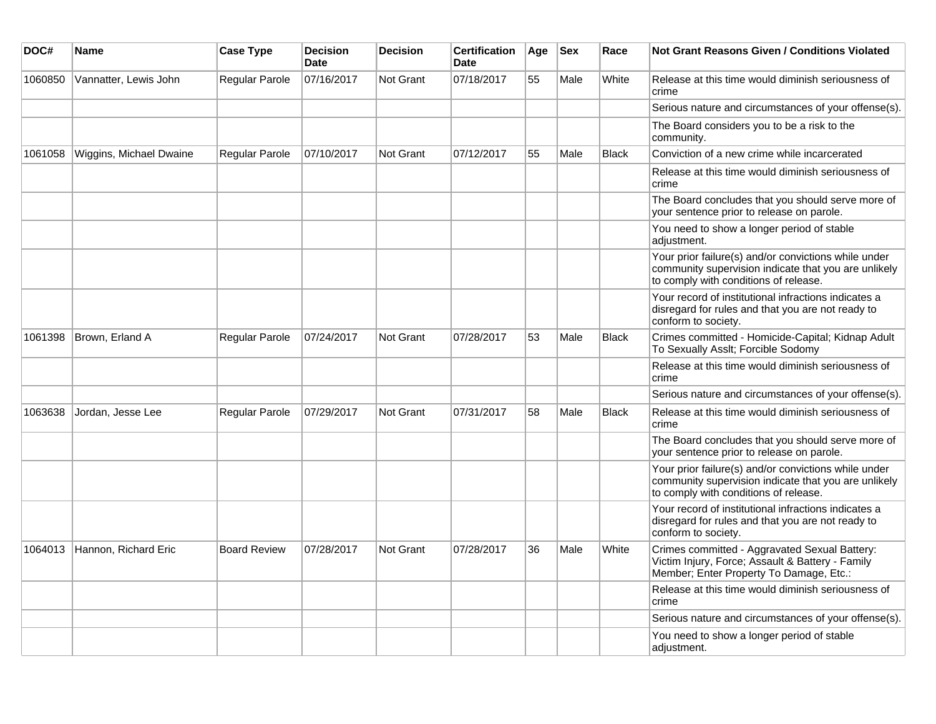| DOC#    | Name                    | <b>Case Type</b>      | <b>Decision</b><br><b>Date</b> | <b>Decision</b>  | <b>Certification</b><br><b>Date</b> | Age | <b>Sex</b> | Race         | <b>Not Grant Reasons Given / Conditions Violated</b>                                                                                                  |
|---------|-------------------------|-----------------------|--------------------------------|------------------|-------------------------------------|-----|------------|--------------|-------------------------------------------------------------------------------------------------------------------------------------------------------|
| 1060850 | Vannatter, Lewis John   | <b>Regular Parole</b> | 07/16/2017                     | Not Grant        | 07/18/2017                          | 55  | Male       | White        | Release at this time would diminish seriousness of<br>crime                                                                                           |
|         |                         |                       |                                |                  |                                     |     |            |              | Serious nature and circumstances of your offense(s).                                                                                                  |
|         |                         |                       |                                |                  |                                     |     |            |              | The Board considers you to be a risk to the<br>community.                                                                                             |
| 1061058 | Wiggins, Michael Dwaine | <b>Regular Parole</b> | 07/10/2017                     | <b>Not Grant</b> | 07/12/2017                          | 55  | Male       | <b>Black</b> | Conviction of a new crime while incarcerated                                                                                                          |
|         |                         |                       |                                |                  |                                     |     |            |              | Release at this time would diminish seriousness of<br>crime                                                                                           |
|         |                         |                       |                                |                  |                                     |     |            |              | The Board concludes that you should serve more of<br>your sentence prior to release on parole.                                                        |
|         |                         |                       |                                |                  |                                     |     |            |              | You need to show a longer period of stable<br>adjustment.                                                                                             |
|         |                         |                       |                                |                  |                                     |     |            |              | Your prior failure(s) and/or convictions while under<br>community supervision indicate that you are unlikely<br>to comply with conditions of release. |
|         |                         |                       |                                |                  |                                     |     |            |              | Your record of institutional infractions indicates a<br>disregard for rules and that you are not ready to<br>conform to society.                      |
| 1061398 | Brown, Erland A         | Regular Parole        | 07/24/2017                     | Not Grant        | 07/28/2017                          | 53  | Male       | <b>Black</b> | Crimes committed - Homicide-Capital; Kidnap Adult<br>To Sexually Asslt; Forcible Sodomy                                                               |
|         |                         |                       |                                |                  |                                     |     |            |              | Release at this time would diminish seriousness of<br>crime                                                                                           |
|         |                         |                       |                                |                  |                                     |     |            |              | Serious nature and circumstances of your offense(s).                                                                                                  |
| 1063638 | Jordan, Jesse Lee       | <b>Regular Parole</b> | 07/29/2017                     | <b>Not Grant</b> | 07/31/2017                          | 58  | Male       | Black        | Release at this time would diminish seriousness of<br>crime                                                                                           |
|         |                         |                       |                                |                  |                                     |     |            |              | The Board concludes that you should serve more of<br>your sentence prior to release on parole.                                                        |
|         |                         |                       |                                |                  |                                     |     |            |              | Your prior failure(s) and/or convictions while under<br>community supervision indicate that you are unlikely<br>to comply with conditions of release. |
|         |                         |                       |                                |                  |                                     |     |            |              | Your record of institutional infractions indicates a<br>disregard for rules and that you are not ready to<br>conform to society.                      |
| 1064013 | Hannon, Richard Eric    | <b>Board Review</b>   | 07/28/2017                     | Not Grant        | 07/28/2017                          | 36  | Male       | White        | Crimes committed - Aggravated Sexual Battery:<br>Victim Injury, Force; Assault & Battery - Family<br>Member; Enter Property To Damage, Etc.:          |
|         |                         |                       |                                |                  |                                     |     |            |              | Release at this time would diminish seriousness of<br>crime                                                                                           |
|         |                         |                       |                                |                  |                                     |     |            |              | Serious nature and circumstances of your offense(s).                                                                                                  |
|         |                         |                       |                                |                  |                                     |     |            |              | You need to show a longer period of stable<br>adjustment.                                                                                             |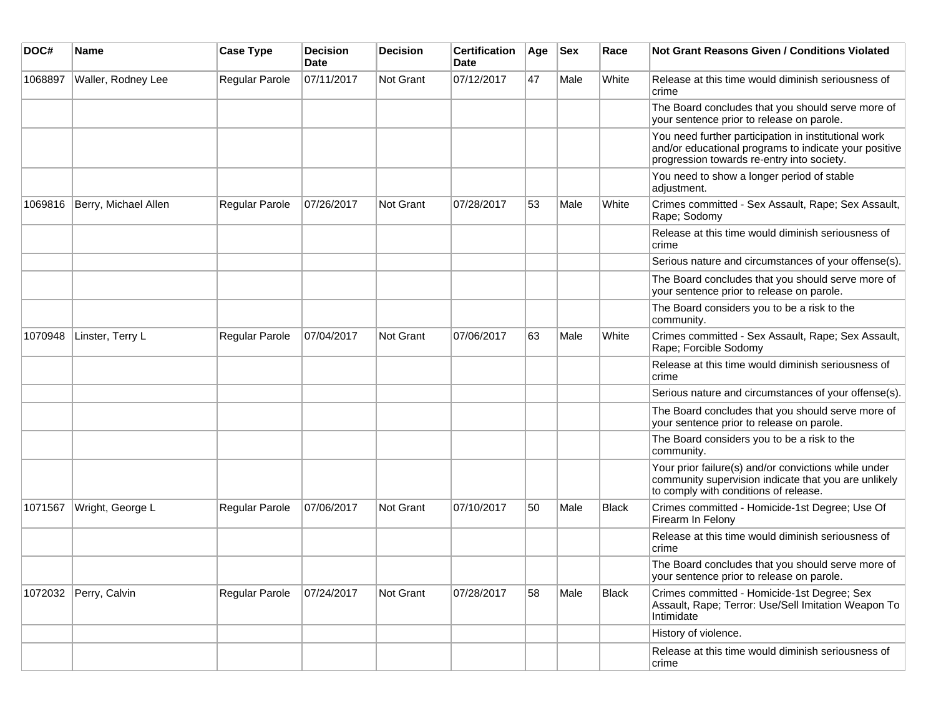| DOC#    | Name                  | <b>Case Type</b>      | <b>Decision</b><br><b>Date</b> | <b>Decision</b>  | <b>Certification</b><br><b>Date</b> | Age | <b>Sex</b> | Race         | <b>Not Grant Reasons Given / Conditions Violated</b>                                                                                                        |
|---------|-----------------------|-----------------------|--------------------------------|------------------|-------------------------------------|-----|------------|--------------|-------------------------------------------------------------------------------------------------------------------------------------------------------------|
| 1068897 | Waller, Rodney Lee    | Regular Parole        | 07/11/2017                     | Not Grant        | 07/12/2017                          | 47  | Male       | White        | Release at this time would diminish seriousness of<br>crime                                                                                                 |
|         |                       |                       |                                |                  |                                     |     |            |              | The Board concludes that you should serve more of<br>your sentence prior to release on parole.                                                              |
|         |                       |                       |                                |                  |                                     |     |            |              | You need further participation in institutional work<br>and/or educational programs to indicate your positive<br>progression towards re-entry into society. |
|         |                       |                       |                                |                  |                                     |     |            |              | You need to show a longer period of stable<br>adjustment.                                                                                                   |
| 1069816 | Berry, Michael Allen  | Regular Parole        | 07/26/2017                     | <b>Not Grant</b> | 07/28/2017                          | 53  | Male       | White        | Crimes committed - Sex Assault, Rape; Sex Assault,<br>Rape; Sodomy                                                                                          |
|         |                       |                       |                                |                  |                                     |     |            |              | Release at this time would diminish seriousness of<br>crime                                                                                                 |
|         |                       |                       |                                |                  |                                     |     |            |              | Serious nature and circumstances of your offense(s).                                                                                                        |
|         |                       |                       |                                |                  |                                     |     |            |              | The Board concludes that you should serve more of<br>your sentence prior to release on parole.                                                              |
|         |                       |                       |                                |                  |                                     |     |            |              | The Board considers you to be a risk to the<br>community.                                                                                                   |
| 1070948 | Linster, Terry L      | Regular Parole        | 07/04/2017                     | <b>Not Grant</b> | 07/06/2017                          | 63  | Male       | White        | Crimes committed - Sex Assault, Rape; Sex Assault,<br>Rape; Forcible Sodomy                                                                                 |
|         |                       |                       |                                |                  |                                     |     |            |              | Release at this time would diminish seriousness of<br>crime                                                                                                 |
|         |                       |                       |                                |                  |                                     |     |            |              | Serious nature and circumstances of your offense(s).                                                                                                        |
|         |                       |                       |                                |                  |                                     |     |            |              | The Board concludes that you should serve more of<br>your sentence prior to release on parole.                                                              |
|         |                       |                       |                                |                  |                                     |     |            |              | The Board considers you to be a risk to the<br>community.                                                                                                   |
|         |                       |                       |                                |                  |                                     |     |            |              | Your prior failure(s) and/or convictions while under<br>community supervision indicate that you are unlikely<br>to comply with conditions of release.       |
| 1071567 | Wright, George L      | <b>Regular Parole</b> | 07/06/2017                     | <b>Not Grant</b> | 07/10/2017                          | 50  | Male       | Black        | Crimes committed - Homicide-1st Degree; Use Of<br>Firearm In Felony                                                                                         |
|         |                       |                       |                                |                  |                                     |     |            |              | Release at this time would diminish seriousness of<br>crime                                                                                                 |
|         |                       |                       |                                |                  |                                     |     |            |              | The Board concludes that you should serve more of<br>your sentence prior to release on parole.                                                              |
|         | 1072032 Perry, Calvin | Regular Parole        | 07/24/2017                     | Not Grant        | 07/28/2017                          | 58  | Male       | <b>Black</b> | Crimes committed - Homicide-1st Degree; Sex<br>Assault, Rape; Terror: Use/Sell Imitation Weapon To<br>Intimidate                                            |
|         |                       |                       |                                |                  |                                     |     |            |              | History of violence.                                                                                                                                        |
|         |                       |                       |                                |                  |                                     |     |            |              | Release at this time would diminish seriousness of<br>crime                                                                                                 |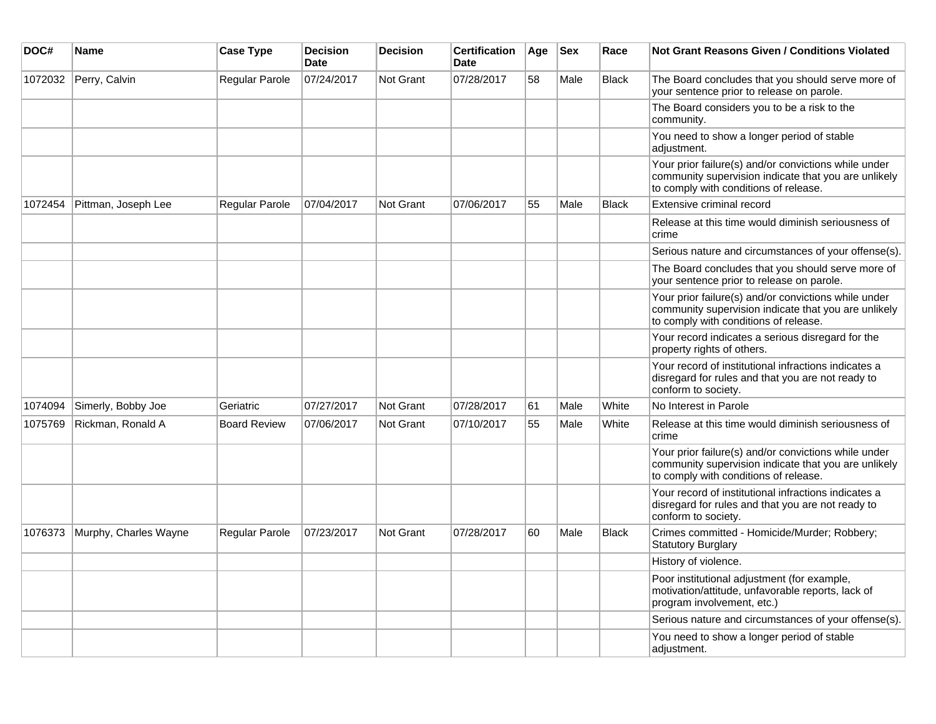| DOC#    | <b>Name</b>           | <b>Case Type</b>      | <b>Decision</b><br><b>Date</b> | <b>Decision</b>  | <b>Certification</b><br>Date | Age | <b>Sex</b> | Race         | <b>Not Grant Reasons Given / Conditions Violated</b>                                                                                                  |
|---------|-----------------------|-----------------------|--------------------------------|------------------|------------------------------|-----|------------|--------------|-------------------------------------------------------------------------------------------------------------------------------------------------------|
| 1072032 | Perry, Calvin         | Regular Parole        | 07/24/2017                     | Not Grant        | 07/28/2017                   | 58  | Male       | <b>Black</b> | The Board concludes that you should serve more of<br>your sentence prior to release on parole.                                                        |
|         |                       |                       |                                |                  |                              |     |            |              | The Board considers you to be a risk to the<br>community.                                                                                             |
|         |                       |                       |                                |                  |                              |     |            |              | You need to show a longer period of stable<br>adjustment.                                                                                             |
|         |                       |                       |                                |                  |                              |     |            |              | Your prior failure(s) and/or convictions while under<br>community supervision indicate that you are unlikely<br>to comply with conditions of release. |
| 1072454 | Pittman, Joseph Lee   | Regular Parole        | 07/04/2017                     | Not Grant        | 07/06/2017                   | 55  | Male       | <b>Black</b> | Extensive criminal record                                                                                                                             |
|         |                       |                       |                                |                  |                              |     |            |              | Release at this time would diminish seriousness of<br>crime                                                                                           |
|         |                       |                       |                                |                  |                              |     |            |              | Serious nature and circumstances of your offense(s).                                                                                                  |
|         |                       |                       |                                |                  |                              |     |            |              | The Board concludes that you should serve more of<br>your sentence prior to release on parole.                                                        |
|         |                       |                       |                                |                  |                              |     |            |              | Your prior failure(s) and/or convictions while under<br>community supervision indicate that you are unlikely<br>to comply with conditions of release. |
|         |                       |                       |                                |                  |                              |     |            |              | Your record indicates a serious disregard for the<br>property rights of others.                                                                       |
|         |                       |                       |                                |                  |                              |     |            |              | Your record of institutional infractions indicates a<br>disregard for rules and that you are not ready to<br>conform to society.                      |
| 1074094 | Simerly, Bobby Joe    | Geriatric             | 07/27/2017                     | Not Grant        | 07/28/2017                   | 61  | Male       | White        | No Interest in Parole                                                                                                                                 |
| 1075769 | Rickman, Ronald A     | <b>Board Review</b>   | 07/06/2017                     | Not Grant        | 07/10/2017                   | 55  | Male       | White        | Release at this time would diminish seriousness of<br>crime                                                                                           |
|         |                       |                       |                                |                  |                              |     |            |              | Your prior failure(s) and/or convictions while under<br>community supervision indicate that you are unlikely<br>to comply with conditions of release. |
|         |                       |                       |                                |                  |                              |     |            |              | Your record of institutional infractions indicates a<br>disregard for rules and that you are not ready to<br>conform to society.                      |
| 1076373 | Murphy, Charles Wayne | <b>Regular Parole</b> | 07/23/2017                     | <b>Not Grant</b> | 07/28/2017                   | 60  | Male       | <b>Black</b> | Crimes committed - Homicide/Murder; Robbery;<br><b>Statutory Burglary</b>                                                                             |
|         |                       |                       |                                |                  |                              |     |            |              | History of violence.                                                                                                                                  |
|         |                       |                       |                                |                  |                              |     |            |              | Poor institutional adjustment (for example,<br>motivation/attitude, unfavorable reports, lack of<br>program involvement, etc.)                        |
|         |                       |                       |                                |                  |                              |     |            |              | Serious nature and circumstances of your offense(s).                                                                                                  |
|         |                       |                       |                                |                  |                              |     |            |              | You need to show a longer period of stable<br>adjustment.                                                                                             |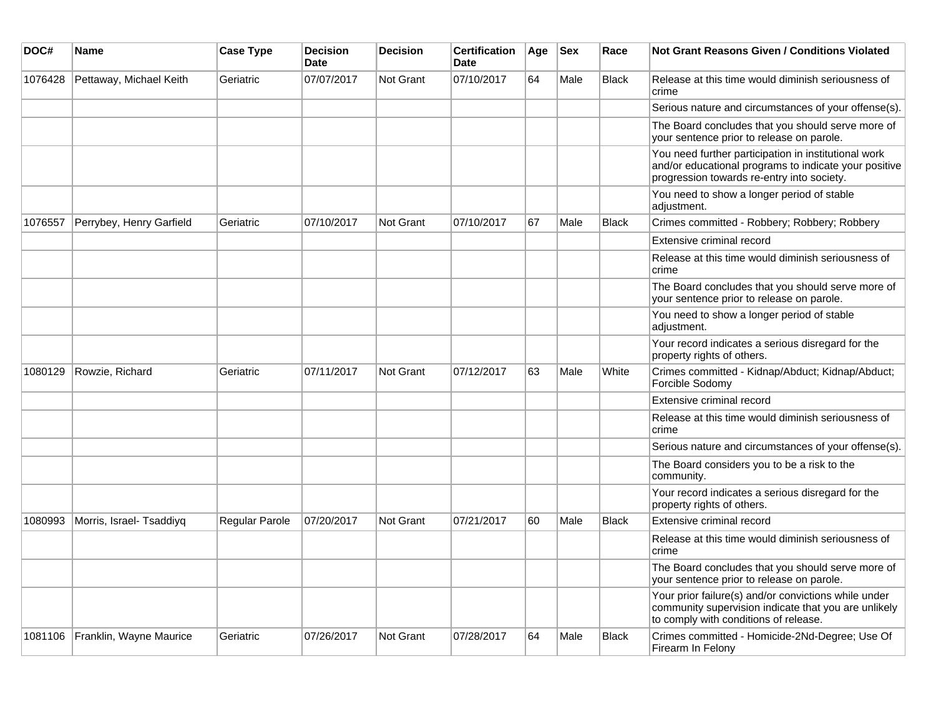| DOC#    | Name                     | <b>Case Type</b>      | <b>Decision</b><br><b>Date</b> | <b>Decision</b>  | <b>Certification</b><br><b>Date</b> | Age | <b>Sex</b> | Race         | <b>Not Grant Reasons Given / Conditions Violated</b>                                                                                                        |
|---------|--------------------------|-----------------------|--------------------------------|------------------|-------------------------------------|-----|------------|--------------|-------------------------------------------------------------------------------------------------------------------------------------------------------------|
| 1076428 | Pettaway, Michael Keith  | Geriatric             | 07/07/2017                     | Not Grant        | 07/10/2017                          | 64  | Male       | <b>Black</b> | Release at this time would diminish seriousness of<br>crime                                                                                                 |
|         |                          |                       |                                |                  |                                     |     |            |              | Serious nature and circumstances of your offense(s).                                                                                                        |
|         |                          |                       |                                |                  |                                     |     |            |              | The Board concludes that you should serve more of<br>your sentence prior to release on parole.                                                              |
|         |                          |                       |                                |                  |                                     |     |            |              | You need further participation in institutional work<br>and/or educational programs to indicate your positive<br>progression towards re-entry into society. |
|         |                          |                       |                                |                  |                                     |     |            |              | You need to show a longer period of stable<br>adjustment.                                                                                                   |
| 1076557 | Perrybey, Henry Garfield | Geriatric             | 07/10/2017                     | <b>Not Grant</b> | 07/10/2017                          | 67  | Male       | <b>Black</b> | Crimes committed - Robbery; Robbery; Robbery                                                                                                                |
|         |                          |                       |                                |                  |                                     |     |            |              | Extensive criminal record                                                                                                                                   |
|         |                          |                       |                                |                  |                                     |     |            |              | Release at this time would diminish seriousness of<br>crime                                                                                                 |
|         |                          |                       |                                |                  |                                     |     |            |              | The Board concludes that you should serve more of<br>your sentence prior to release on parole.                                                              |
|         |                          |                       |                                |                  |                                     |     |            |              | You need to show a longer period of stable<br>adjustment.                                                                                                   |
|         |                          |                       |                                |                  |                                     |     |            |              | Your record indicates a serious disregard for the<br>property rights of others.                                                                             |
| 1080129 | Rowzie, Richard          | Geriatric             | 07/11/2017                     | <b>Not Grant</b> | 07/12/2017                          | 63  | Male       | White        | Crimes committed - Kidnap/Abduct; Kidnap/Abduct;<br>Forcible Sodomy                                                                                         |
|         |                          |                       |                                |                  |                                     |     |            |              | Extensive criminal record                                                                                                                                   |
|         |                          |                       |                                |                  |                                     |     |            |              | Release at this time would diminish seriousness of<br>crime                                                                                                 |
|         |                          |                       |                                |                  |                                     |     |            |              | Serious nature and circumstances of your offense(s).                                                                                                        |
|         |                          |                       |                                |                  |                                     |     |            |              | The Board considers you to be a risk to the<br>community.                                                                                                   |
|         |                          |                       |                                |                  |                                     |     |            |              | Your record indicates a serious disregard for the<br>property rights of others.                                                                             |
| 1080993 | Morris, Israel- Tsaddiyq | <b>Regular Parole</b> | 07/20/2017                     | <b>Not Grant</b> | 07/21/2017                          | 60  | Male       | <b>Black</b> | Extensive criminal record                                                                                                                                   |
|         |                          |                       |                                |                  |                                     |     |            |              | Release at this time would diminish seriousness of<br>crime                                                                                                 |
|         |                          |                       |                                |                  |                                     |     |            |              | The Board concludes that you should serve more of<br>your sentence prior to release on parole.                                                              |
|         |                          |                       |                                |                  |                                     |     |            |              | Your prior failure(s) and/or convictions while under<br>community supervision indicate that you are unlikely<br>to comply with conditions of release.       |
| 1081106 | Franklin, Wayne Maurice  | Geriatric             | 07/26/2017                     | <b>Not Grant</b> | 07/28/2017                          | 64  | Male       | <b>Black</b> | Crimes committed - Homicide-2Nd-Degree; Use Of<br>Firearm In Felony                                                                                         |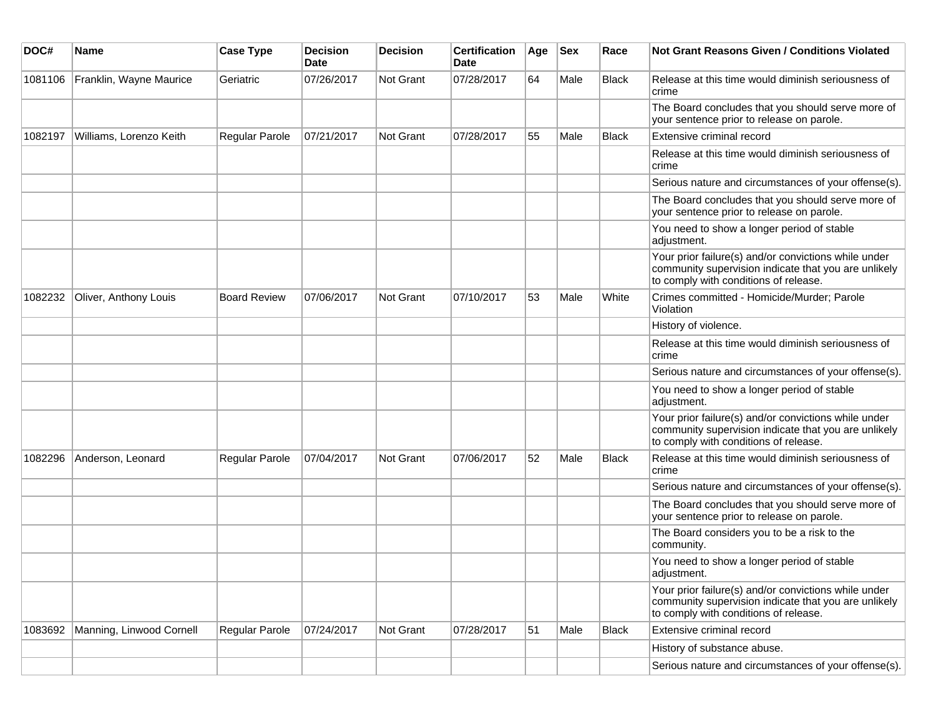| DOC#    | <b>Name</b>              | <b>Case Type</b>    | <b>Decision</b><br><b>Date</b> | <b>Decision</b> | <b>Certification</b><br>Date | Age | <b>Sex</b> | Race         | <b>Not Grant Reasons Given / Conditions Violated</b>                                                                                                  |
|---------|--------------------------|---------------------|--------------------------------|-----------------|------------------------------|-----|------------|--------------|-------------------------------------------------------------------------------------------------------------------------------------------------------|
| 1081106 | Franklin, Wayne Maurice  | Geriatric           | 07/26/2017                     | Not Grant       | 07/28/2017                   | 64  | Male       | <b>Black</b> | Release at this time would diminish seriousness of<br>crime                                                                                           |
|         |                          |                     |                                |                 |                              |     |            |              | The Board concludes that you should serve more of<br>your sentence prior to release on parole.                                                        |
| 1082197 | Williams, Lorenzo Keith  | Regular Parole      | 07/21/2017                     | Not Grant       | 07/28/2017                   | 55  | Male       | Black        | Extensive criminal record                                                                                                                             |
|         |                          |                     |                                |                 |                              |     |            |              | Release at this time would diminish seriousness of<br>crime                                                                                           |
|         |                          |                     |                                |                 |                              |     |            |              | Serious nature and circumstances of your offense(s).                                                                                                  |
|         |                          |                     |                                |                 |                              |     |            |              | The Board concludes that you should serve more of<br>your sentence prior to release on parole.                                                        |
|         |                          |                     |                                |                 |                              |     |            |              | You need to show a longer period of stable<br>adjustment.                                                                                             |
|         |                          |                     |                                |                 |                              |     |            |              | Your prior failure(s) and/or convictions while under<br>community supervision indicate that you are unlikely<br>to comply with conditions of release. |
| 1082232 | Oliver, Anthony Louis    | <b>Board Review</b> | 07/06/2017                     | Not Grant       | 07/10/2017                   | 53  | Male       | White        | Crimes committed - Homicide/Murder; Parole<br>Violation                                                                                               |
|         |                          |                     |                                |                 |                              |     |            |              | History of violence.                                                                                                                                  |
|         |                          |                     |                                |                 |                              |     |            |              | Release at this time would diminish seriousness of<br>crime                                                                                           |
|         |                          |                     |                                |                 |                              |     |            |              | Serious nature and circumstances of your offense(s).                                                                                                  |
|         |                          |                     |                                |                 |                              |     |            |              | You need to show a longer period of stable<br>adjustment.                                                                                             |
|         |                          |                     |                                |                 |                              |     |            |              | Your prior failure(s) and/or convictions while under<br>community supervision indicate that you are unlikely<br>to comply with conditions of release. |
| 1082296 | Anderson, Leonard        | Regular Parole      | 07/04/2017                     | Not Grant       | 07/06/2017                   | 52  | Male       | <b>Black</b> | Release at this time would diminish seriousness of<br>crime                                                                                           |
|         |                          |                     |                                |                 |                              |     |            |              | Serious nature and circumstances of your offense(s).                                                                                                  |
|         |                          |                     |                                |                 |                              |     |            |              | The Board concludes that you should serve more of<br>your sentence prior to release on parole.                                                        |
|         |                          |                     |                                |                 |                              |     |            |              | The Board considers you to be a risk to the<br>community.                                                                                             |
|         |                          |                     |                                |                 |                              |     |            |              | You need to show a longer period of stable<br>adjustment.                                                                                             |
|         |                          |                     |                                |                 |                              |     |            |              | Your prior failure(s) and/or convictions while under<br>community supervision indicate that you are unlikely<br>to comply with conditions of release. |
| 1083692 | Manning, Linwood Cornell | Regular Parole      | 07/24/2017                     | Not Grant       | 07/28/2017                   | 51  | Male       | Black        | Extensive criminal record                                                                                                                             |
|         |                          |                     |                                |                 |                              |     |            |              | History of substance abuse.                                                                                                                           |
|         |                          |                     |                                |                 |                              |     |            |              | Serious nature and circumstances of your offense(s).                                                                                                  |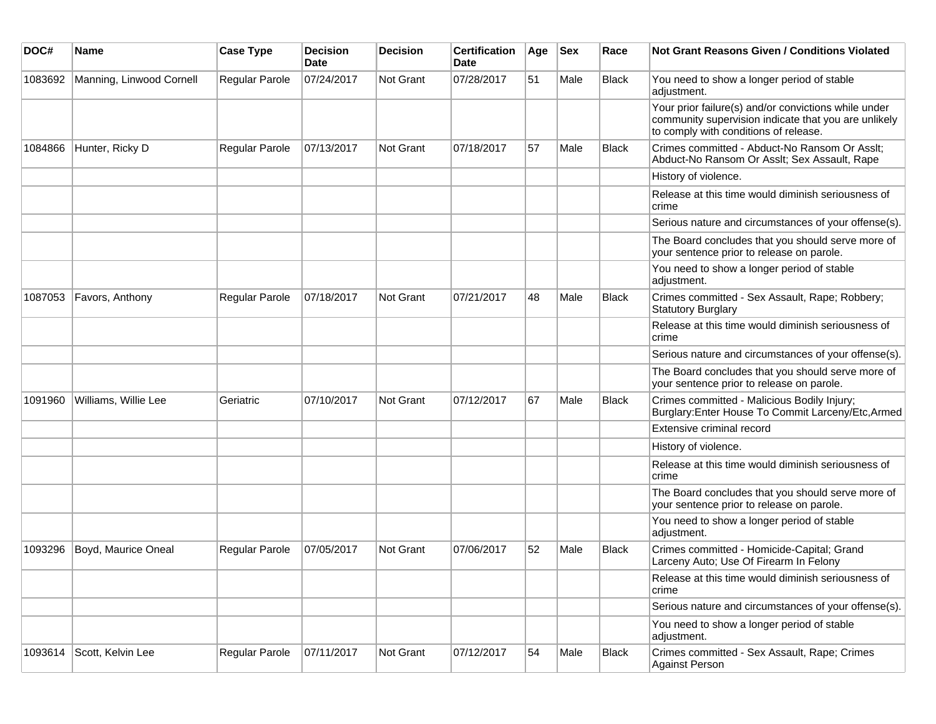| DOC#    | <b>Name</b>              | <b>Case Type</b> | <b>Decision</b><br><b>Date</b> | <b>Decision</b>  | <b>Certification</b><br>Date | Age | <b>Sex</b> | Race         | <b>Not Grant Reasons Given / Conditions Violated</b>                                                                                                  |
|---------|--------------------------|------------------|--------------------------------|------------------|------------------------------|-----|------------|--------------|-------------------------------------------------------------------------------------------------------------------------------------------------------|
| 1083692 | Manning, Linwood Cornell | Regular Parole   | 07/24/2017                     | Not Grant        | 07/28/2017                   | 51  | Male       | Black        | You need to show a longer period of stable<br>adjustment.                                                                                             |
|         |                          |                  |                                |                  |                              |     |            |              | Your prior failure(s) and/or convictions while under<br>community supervision indicate that you are unlikely<br>to comply with conditions of release. |
| 1084866 | Hunter, Ricky D          | Regular Parole   | 07/13/2017                     | Not Grant        | 07/18/2017                   | 57  | Male       | Black        | Crimes committed - Abduct-No Ransom Or Asslt;<br>Abduct-No Ransom Or Asslt; Sex Assault, Rape                                                         |
|         |                          |                  |                                |                  |                              |     |            |              | History of violence.                                                                                                                                  |
|         |                          |                  |                                |                  |                              |     |            |              | Release at this time would diminish seriousness of<br>crime                                                                                           |
|         |                          |                  |                                |                  |                              |     |            |              | Serious nature and circumstances of your offense(s).                                                                                                  |
|         |                          |                  |                                |                  |                              |     |            |              | The Board concludes that you should serve more of<br>your sentence prior to release on parole.                                                        |
|         |                          |                  |                                |                  |                              |     |            |              | You need to show a longer period of stable<br>adjustment.                                                                                             |
| 1087053 | Favors, Anthony          | Regular Parole   | 07/18/2017                     | <b>Not Grant</b> | 07/21/2017                   | 48  | Male       | Black        | Crimes committed - Sex Assault, Rape; Robbery;<br><b>Statutory Burglary</b>                                                                           |
|         |                          |                  |                                |                  |                              |     |            |              | Release at this time would diminish seriousness of<br>crime                                                                                           |
|         |                          |                  |                                |                  |                              |     |            |              | Serious nature and circumstances of your offense(s).                                                                                                  |
|         |                          |                  |                                |                  |                              |     |            |              | The Board concludes that you should serve more of<br>your sentence prior to release on parole.                                                        |
| 1091960 | Williams, Willie Lee     | Geriatric        | 07/10/2017                     | <b>Not Grant</b> | 07/12/2017                   | 67  | Male       | <b>Black</b> | Crimes committed - Malicious Bodily Injury;<br>Burglary: Enter House To Commit Larceny/Etc, Armed                                                     |
|         |                          |                  |                                |                  |                              |     |            |              | Extensive criminal record                                                                                                                             |
|         |                          |                  |                                |                  |                              |     |            |              | History of violence.                                                                                                                                  |
|         |                          |                  |                                |                  |                              |     |            |              | Release at this time would diminish seriousness of<br>crime                                                                                           |
|         |                          |                  |                                |                  |                              |     |            |              | The Board concludes that you should serve more of<br>your sentence prior to release on parole.                                                        |
|         |                          |                  |                                |                  |                              |     |            |              | You need to show a longer period of stable<br>adjustment.                                                                                             |
| 1093296 | Boyd, Maurice Oneal      | Regular Parole   | 07/05/2017                     | Not Grant        | 07/06/2017                   | 52  | Male       | <b>Black</b> | Crimes committed - Homicide-Capital; Grand<br>Larceny Auto; Use Of Firearm In Felony                                                                  |
|         |                          |                  |                                |                  |                              |     |            |              | Release at this time would diminish seriousness of<br>crime                                                                                           |
|         |                          |                  |                                |                  |                              |     |            |              | Serious nature and circumstances of your offense(s).                                                                                                  |
|         |                          |                  |                                |                  |                              |     |            |              | You need to show a longer period of stable<br>adjustment.                                                                                             |
| 1093614 | Scott, Kelvin Lee        | Regular Parole   | 07/11/2017                     | Not Grant        | 07/12/2017                   | 54  | Male       | <b>Black</b> | Crimes committed - Sex Assault, Rape; Crimes<br><b>Against Person</b>                                                                                 |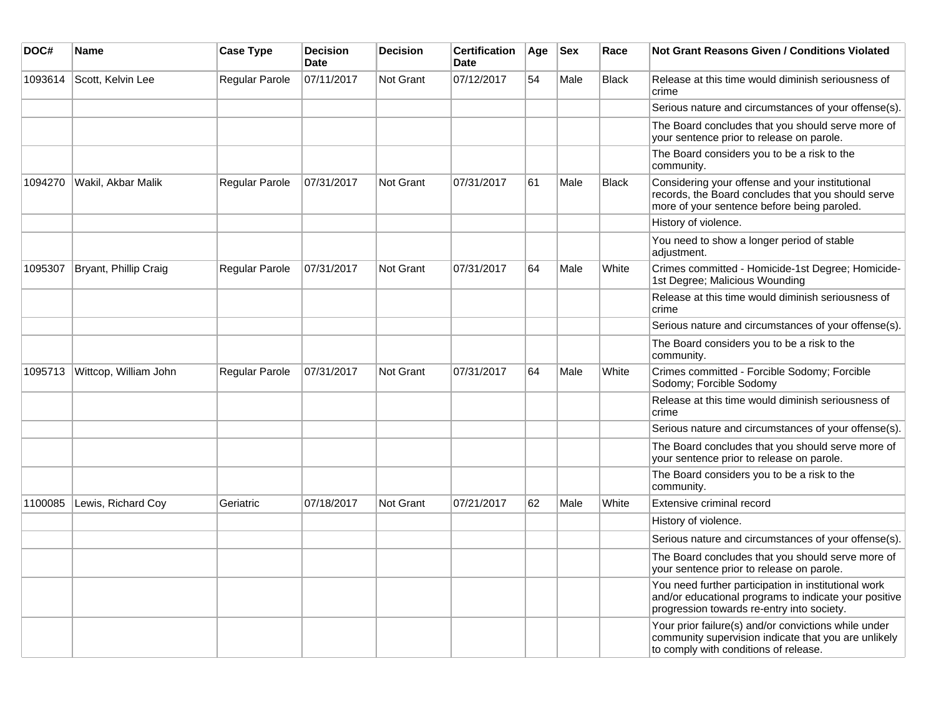| DOC#    | Name                  | <b>Case Type</b>      | <b>Decision</b><br><b>Date</b> | <b>Decision</b>  | <b>Certification</b><br><b>Date</b> | Age | <b>Sex</b> | Race         | <b>Not Grant Reasons Given / Conditions Violated</b>                                                                                                        |
|---------|-----------------------|-----------------------|--------------------------------|------------------|-------------------------------------|-----|------------|--------------|-------------------------------------------------------------------------------------------------------------------------------------------------------------|
| 1093614 | Scott, Kelvin Lee     | <b>Regular Parole</b> | 07/11/2017                     | <b>Not Grant</b> | 07/12/2017                          | 54  | Male       | <b>Black</b> | Release at this time would diminish seriousness of<br>crime                                                                                                 |
|         |                       |                       |                                |                  |                                     |     |            |              | Serious nature and circumstances of your offense(s).                                                                                                        |
|         |                       |                       |                                |                  |                                     |     |            |              | The Board concludes that you should serve more of<br>your sentence prior to release on parole.                                                              |
|         |                       |                       |                                |                  |                                     |     |            |              | The Board considers you to be a risk to the<br>community.                                                                                                   |
| 1094270 | Wakil, Akbar Malik    | Regular Parole        | 07/31/2017                     | <b>Not Grant</b> | 07/31/2017                          | 61  | Male       | <b>Black</b> | Considering your offense and your institutional<br>records, the Board concludes that you should serve<br>more of your sentence before being paroled.        |
|         |                       |                       |                                |                  |                                     |     |            |              | History of violence.                                                                                                                                        |
|         |                       |                       |                                |                  |                                     |     |            |              | You need to show a longer period of stable<br>adjustment.                                                                                                   |
| 1095307 | Bryant, Phillip Craig | <b>Regular Parole</b> | 07/31/2017                     | <b>Not Grant</b> | 07/31/2017                          | 64  | Male       | White        | Crimes committed - Homicide-1st Degree; Homicide-<br>1st Degree; Malicious Wounding                                                                         |
|         |                       |                       |                                |                  |                                     |     |            |              | Release at this time would diminish seriousness of<br>crime                                                                                                 |
|         |                       |                       |                                |                  |                                     |     |            |              | Serious nature and circumstances of your offense(s).                                                                                                        |
|         |                       |                       |                                |                  |                                     |     |            |              | The Board considers you to be a risk to the<br>community.                                                                                                   |
| 1095713 | Wittcop, William John | <b>Regular Parole</b> | 07/31/2017                     | <b>Not Grant</b> | 07/31/2017                          | 64  | Male       | White        | Crimes committed - Forcible Sodomy; Forcible<br>Sodomy; Forcible Sodomy                                                                                     |
|         |                       |                       |                                |                  |                                     |     |            |              | Release at this time would diminish seriousness of<br>crime                                                                                                 |
|         |                       |                       |                                |                  |                                     |     |            |              | Serious nature and circumstances of your offense(s).                                                                                                        |
|         |                       |                       |                                |                  |                                     |     |            |              | The Board concludes that you should serve more of<br>your sentence prior to release on parole.                                                              |
|         |                       |                       |                                |                  |                                     |     |            |              | The Board considers you to be a risk to the<br>community.                                                                                                   |
| 1100085 | Lewis, Richard Coy    | Geriatric             | 07/18/2017                     | <b>Not Grant</b> | 07/21/2017                          | 62  | Male       | White        | Extensive criminal record                                                                                                                                   |
|         |                       |                       |                                |                  |                                     |     |            |              | History of violence.                                                                                                                                        |
|         |                       |                       |                                |                  |                                     |     |            |              | Serious nature and circumstances of your offense(s).                                                                                                        |
|         |                       |                       |                                |                  |                                     |     |            |              | The Board concludes that you should serve more of<br>your sentence prior to release on parole.                                                              |
|         |                       |                       |                                |                  |                                     |     |            |              | You need further participation in institutional work<br>and/or educational programs to indicate your positive<br>progression towards re-entry into society. |
|         |                       |                       |                                |                  |                                     |     |            |              | Your prior failure(s) and/or convictions while under<br>community supervision indicate that you are unlikely<br>to comply with conditions of release.       |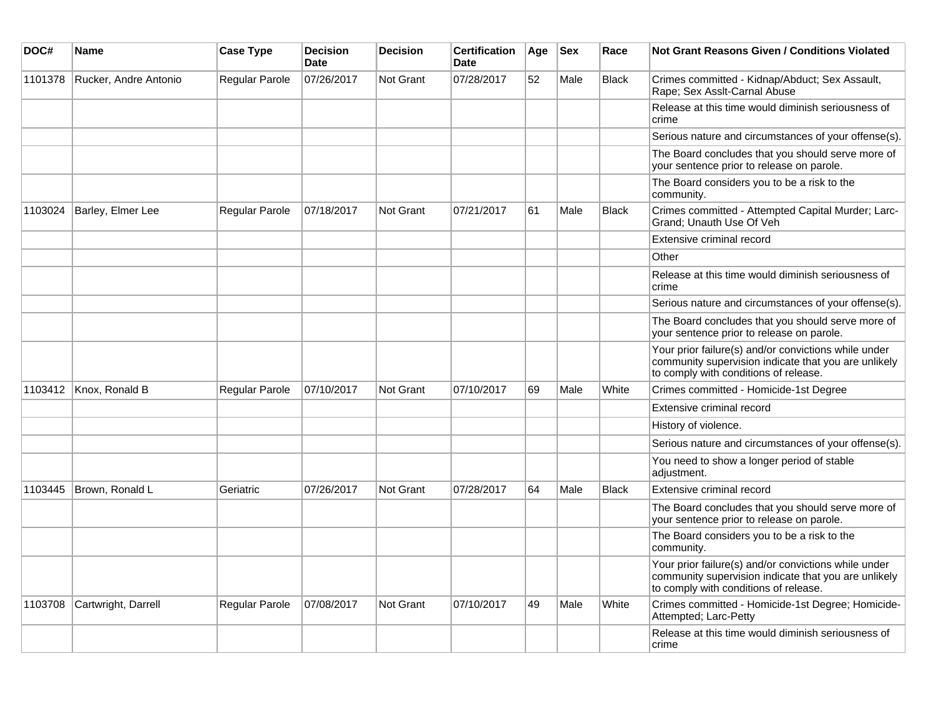| DOC#    | <b>Name</b>           | <b>Case Type</b> | <b>Decision</b><br>Date | <b>Decision</b>  | <b>Certification</b><br><b>Date</b> | Age | <b>Sex</b> | Race         | Not Grant Reasons Given / Conditions Violated                                                                                                         |
|---------|-----------------------|------------------|-------------------------|------------------|-------------------------------------|-----|------------|--------------|-------------------------------------------------------------------------------------------------------------------------------------------------------|
| 1101378 | Rucker, Andre Antonio | Regular Parole   | 07/26/2017              | <b>Not Grant</b> | 07/28/2017                          | 52  | Male       | <b>Black</b> | Crimes committed - Kidnap/Abduct; Sex Assault,<br>Rape; Sex Asslt-Carnal Abuse                                                                        |
|         |                       |                  |                         |                  |                                     |     |            |              | Release at this time would diminish seriousness of<br>crime                                                                                           |
|         |                       |                  |                         |                  |                                     |     |            |              | Serious nature and circumstances of your offense(s).                                                                                                  |
|         |                       |                  |                         |                  |                                     |     |            |              | The Board concludes that you should serve more of<br>your sentence prior to release on parole.                                                        |
|         |                       |                  |                         |                  |                                     |     |            |              | The Board considers you to be a risk to the<br>community.                                                                                             |
| 1103024 | Barley, Elmer Lee     | Regular Parole   | 07/18/2017              | Not Grant        | 07/21/2017                          | 61  | Male       | <b>Black</b> | Crimes committed - Attempted Capital Murder; Larc-<br>Grand; Unauth Use Of Veh                                                                        |
|         |                       |                  |                         |                  |                                     |     |            |              | Extensive criminal record                                                                                                                             |
|         |                       |                  |                         |                  |                                     |     |            |              | Other                                                                                                                                                 |
|         |                       |                  |                         |                  |                                     |     |            |              | Release at this time would diminish seriousness of<br>crime                                                                                           |
|         |                       |                  |                         |                  |                                     |     |            |              | Serious nature and circumstances of your offense(s).                                                                                                  |
|         |                       |                  |                         |                  |                                     |     |            |              | The Board concludes that you should serve more of<br>your sentence prior to release on parole.                                                        |
|         |                       |                  |                         |                  |                                     |     |            |              | Your prior failure(s) and/or convictions while under<br>community supervision indicate that you are unlikely<br>to comply with conditions of release. |
| 1103412 | Knox, Ronald B        | Regular Parole   | 07/10/2017              | Not Grant        | 07/10/2017                          | 69  | Male       | White        | Crimes committed - Homicide-1st Degree                                                                                                                |
|         |                       |                  |                         |                  |                                     |     |            |              | Extensive criminal record                                                                                                                             |
|         |                       |                  |                         |                  |                                     |     |            |              | History of violence.                                                                                                                                  |
|         |                       |                  |                         |                  |                                     |     |            |              | Serious nature and circumstances of your offense(s).                                                                                                  |
|         |                       |                  |                         |                  |                                     |     |            |              | You need to show a longer period of stable<br>adjustment.                                                                                             |
| 1103445 | Brown, Ronald L       | Geriatric        | 07/26/2017              | <b>Not Grant</b> | 07/28/2017                          | 64  | Male       | <b>Black</b> | Extensive criminal record                                                                                                                             |
|         |                       |                  |                         |                  |                                     |     |            |              | The Board concludes that you should serve more of<br>your sentence prior to release on parole.                                                        |
|         |                       |                  |                         |                  |                                     |     |            |              | The Board considers you to be a risk to the<br>community.                                                                                             |
|         |                       |                  |                         |                  |                                     |     |            |              | Your prior failure(s) and/or convictions while under<br>community supervision indicate that you are unlikely<br>to comply with conditions of release. |
| 1103708 | Cartwright, Darrell   | Regular Parole   | 07/08/2017              | Not Grant        | 07/10/2017                          | 49  | Male       | White        | Crimes committed - Homicide-1st Degree; Homicide-<br>Attempted; Larc-Petty                                                                            |
|         |                       |                  |                         |                  |                                     |     |            |              | Release at this time would diminish seriousness of<br>crime                                                                                           |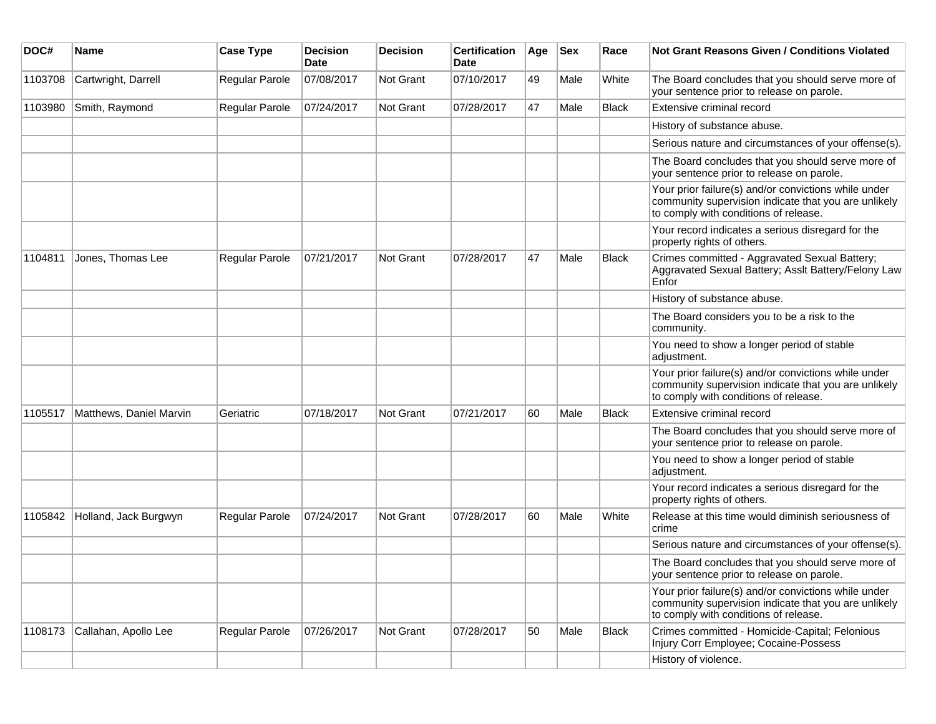| DOC#    | <b>Name</b>             | <b>Case Type</b> | Decision<br><b>Date</b> | <b>Decision</b>  | <b>Certification</b><br>Date | Age | <b>Sex</b> | Race         | Not Grant Reasons Given / Conditions Violated                                                                                                         |
|---------|-------------------------|------------------|-------------------------|------------------|------------------------------|-----|------------|--------------|-------------------------------------------------------------------------------------------------------------------------------------------------------|
| 1103708 | Cartwright, Darrell     | Regular Parole   | 07/08/2017              | Not Grant        | 07/10/2017                   | 49  | Male       | White        | The Board concludes that you should serve more of<br>your sentence prior to release on parole.                                                        |
| 1103980 | Smith, Raymond          | Regular Parole   | 07/24/2017              | Not Grant        | 07/28/2017                   | 47  | Male       | <b>Black</b> | Extensive criminal record                                                                                                                             |
|         |                         |                  |                         |                  |                              |     |            |              | History of substance abuse.                                                                                                                           |
|         |                         |                  |                         |                  |                              |     |            |              | Serious nature and circumstances of your offense(s).                                                                                                  |
|         |                         |                  |                         |                  |                              |     |            |              | The Board concludes that you should serve more of<br>your sentence prior to release on parole.                                                        |
|         |                         |                  |                         |                  |                              |     |            |              | Your prior failure(s) and/or convictions while under<br>community supervision indicate that you are unlikely<br>to comply with conditions of release. |
|         |                         |                  |                         |                  |                              |     |            |              | Your record indicates a serious disregard for the<br>property rights of others.                                                                       |
| 1104811 | Jones, Thomas Lee       | Regular Parole   | 07/21/2017              | <b>Not Grant</b> | 07/28/2017                   | 47  | Male       | <b>Black</b> | Crimes committed - Aggravated Sexual Battery;<br>Aggravated Sexual Battery; Assit Battery/Felony Law<br>Enfor                                         |
|         |                         |                  |                         |                  |                              |     |            |              | History of substance abuse.                                                                                                                           |
|         |                         |                  |                         |                  |                              |     |            |              | The Board considers you to be a risk to the<br>community.                                                                                             |
|         |                         |                  |                         |                  |                              |     |            |              | You need to show a longer period of stable<br>adjustment.                                                                                             |
|         |                         |                  |                         |                  |                              |     |            |              | Your prior failure(s) and/or convictions while under<br>community supervision indicate that you are unlikely<br>to comply with conditions of release. |
| 1105517 | Matthews, Daniel Marvin | Geriatric        | 07/18/2017              | Not Grant        | 07/21/2017                   | 60  | Male       | <b>Black</b> | Extensive criminal record                                                                                                                             |
|         |                         |                  |                         |                  |                              |     |            |              | The Board concludes that you should serve more of<br>your sentence prior to release on parole.                                                        |
|         |                         |                  |                         |                  |                              |     |            |              | You need to show a longer period of stable<br>adjustment.                                                                                             |
|         |                         |                  |                         |                  |                              |     |            |              | Your record indicates a serious disregard for the<br>property rights of others.                                                                       |
| 1105842 | Holland, Jack Burgwyn   | Regular Parole   | 07/24/2017              | Not Grant        | 07/28/2017                   | 60  | Male       | White        | Release at this time would diminish seriousness of<br>crime                                                                                           |
|         |                         |                  |                         |                  |                              |     |            |              | Serious nature and circumstances of your offense(s).                                                                                                  |
|         |                         |                  |                         |                  |                              |     |            |              | The Board concludes that you should serve more of<br>your sentence prior to release on parole.                                                        |
|         |                         |                  |                         |                  |                              |     |            |              | Your prior failure(s) and/or convictions while under<br>community supervision indicate that you are unlikely<br>to comply with conditions of release. |
| 1108173 | Callahan, Apollo Lee    | Regular Parole   | 07/26/2017              | Not Grant        | 07/28/2017                   | 50  | Male       | <b>Black</b> | Crimes committed - Homicide-Capital; Felonious<br>Injury Corr Employee; Cocaine-Possess                                                               |
|         |                         |                  |                         |                  |                              |     |            |              | History of violence.                                                                                                                                  |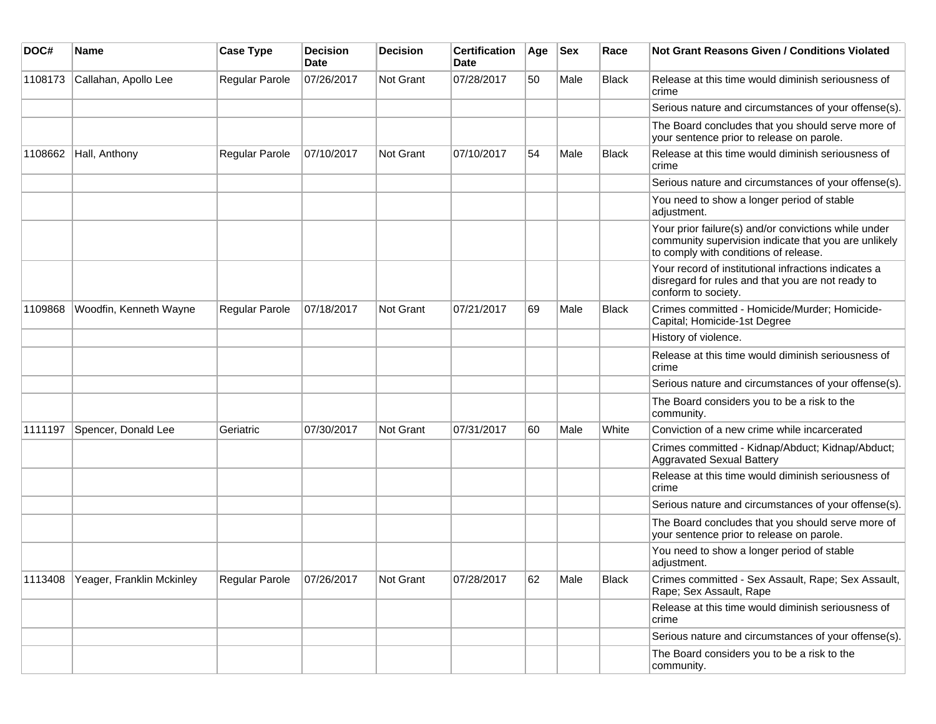| DOC#    | <b>Name</b>               | <b>Case Type</b>      | <b>Decision</b><br>Date | <b>Decision</b> | <b>Certification</b><br>Date | Age | <b>Sex</b> | Race         | <b>Not Grant Reasons Given / Conditions Violated</b>                                                                                                  |
|---------|---------------------------|-----------------------|-------------------------|-----------------|------------------------------|-----|------------|--------------|-------------------------------------------------------------------------------------------------------------------------------------------------------|
| 1108173 | Callahan, Apollo Lee      | Regular Parole        | 07/26/2017              | Not Grant       | 07/28/2017                   | 50  | Male       | <b>Black</b> | Release at this time would diminish seriousness of<br>crime                                                                                           |
|         |                           |                       |                         |                 |                              |     |            |              | Serious nature and circumstances of your offense(s).                                                                                                  |
|         |                           |                       |                         |                 |                              |     |            |              | The Board concludes that you should serve more of<br>your sentence prior to release on parole.                                                        |
| 1108662 | Hall, Anthony             | Regular Parole        | 07/10/2017              | Not Grant       | 07/10/2017                   | 54  | Male       | <b>Black</b> | Release at this time would diminish seriousness of<br>crime                                                                                           |
|         |                           |                       |                         |                 |                              |     |            |              | Serious nature and circumstances of your offense(s).                                                                                                  |
|         |                           |                       |                         |                 |                              |     |            |              | You need to show a longer period of stable<br>adjustment.                                                                                             |
|         |                           |                       |                         |                 |                              |     |            |              | Your prior failure(s) and/or convictions while under<br>community supervision indicate that you are unlikely<br>to comply with conditions of release. |
|         |                           |                       |                         |                 |                              |     |            |              | Your record of institutional infractions indicates a<br>disregard for rules and that you are not ready to<br>conform to society.                      |
| 1109868 | Woodfin, Kenneth Wayne    | <b>Regular Parole</b> | 07/18/2017              | Not Grant       | 07/21/2017                   | 69  | Male       | <b>Black</b> | Crimes committed - Homicide/Murder; Homicide-<br>Capital; Homicide-1st Degree                                                                         |
|         |                           |                       |                         |                 |                              |     |            |              | History of violence.                                                                                                                                  |
|         |                           |                       |                         |                 |                              |     |            |              | Release at this time would diminish seriousness of<br>crime                                                                                           |
|         |                           |                       |                         |                 |                              |     |            |              | Serious nature and circumstances of your offense(s).                                                                                                  |
|         |                           |                       |                         |                 |                              |     |            |              | The Board considers you to be a risk to the<br>community.                                                                                             |
| 1111197 | Spencer, Donald Lee       | Geriatric             | 07/30/2017              | Not Grant       | 07/31/2017                   | 60  | Male       | White        | Conviction of a new crime while incarcerated                                                                                                          |
|         |                           |                       |                         |                 |                              |     |            |              | Crimes committed - Kidnap/Abduct; Kidnap/Abduct;<br>Aggravated Sexual Battery                                                                         |
|         |                           |                       |                         |                 |                              |     |            |              | Release at this time would diminish seriousness of<br>crime                                                                                           |
|         |                           |                       |                         |                 |                              |     |            |              | Serious nature and circumstances of your offense(s).                                                                                                  |
|         |                           |                       |                         |                 |                              |     |            |              | The Board concludes that you should serve more of<br>your sentence prior to release on parole.                                                        |
|         |                           |                       |                         |                 |                              |     |            |              | You need to show a longer period of stable<br>adjustment.                                                                                             |
| 1113408 | Yeager, Franklin Mckinley | Regular Parole        | 07/26/2017              | Not Grant       | 07/28/2017                   | 62  | Male       | Black        | Crimes committed - Sex Assault, Rape; Sex Assault,<br>Rape; Sex Assault, Rape                                                                         |
|         |                           |                       |                         |                 |                              |     |            |              | Release at this time would diminish seriousness of<br>crime                                                                                           |
|         |                           |                       |                         |                 |                              |     |            |              | Serious nature and circumstances of your offense(s).                                                                                                  |
|         |                           |                       |                         |                 |                              |     |            |              | The Board considers you to be a risk to the<br>community.                                                                                             |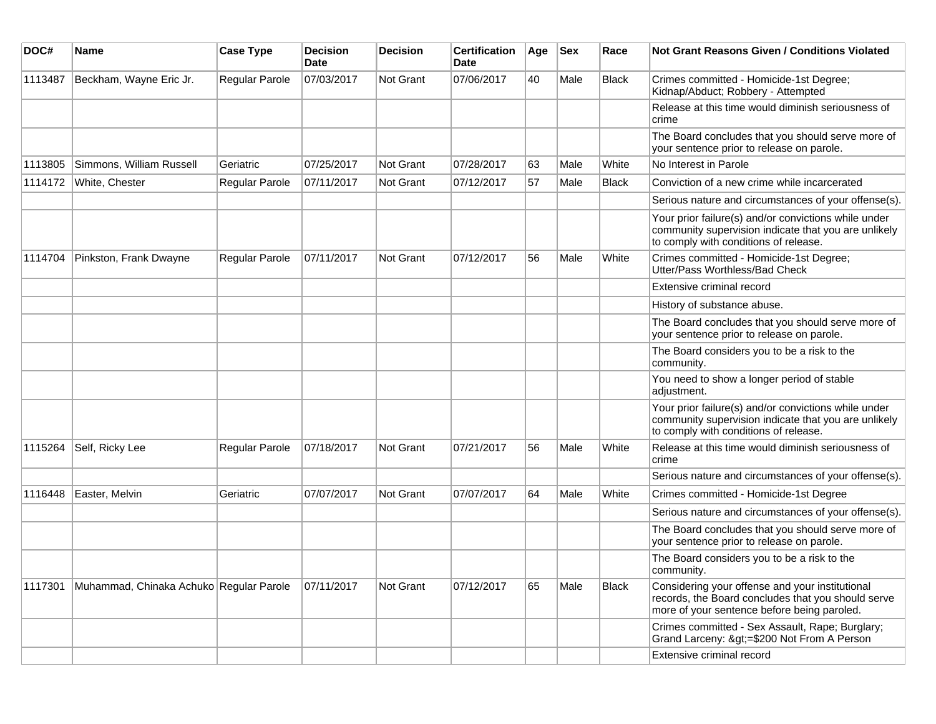| DOC#    | Name                                    | <b>Case Type</b>      | <b>Decision</b><br>Date | Decision         | <b>Certification</b><br><b>Date</b> | Age | <b>Sex</b> | Race         | <b>Not Grant Reasons Given / Conditions Violated</b>                                                                                                  |
|---------|-----------------------------------------|-----------------------|-------------------------|------------------|-------------------------------------|-----|------------|--------------|-------------------------------------------------------------------------------------------------------------------------------------------------------|
| 1113487 | Beckham, Wayne Eric Jr.                 | Regular Parole        | 07/03/2017              | Not Grant        | 07/06/2017                          | 40  | Male       | <b>Black</b> | Crimes committed - Homicide-1st Degree;<br>Kidnap/Abduct; Robbery - Attempted                                                                         |
|         |                                         |                       |                         |                  |                                     |     |            |              | Release at this time would diminish seriousness of<br>crime                                                                                           |
|         |                                         |                       |                         |                  |                                     |     |            |              | The Board concludes that you should serve more of<br>your sentence prior to release on parole.                                                        |
| 1113805 | Simmons, William Russell                | Geriatric             | 07/25/2017              | Not Grant        | 07/28/2017                          | 63  | Male       | White        | No Interest in Parole                                                                                                                                 |
| 1114172 | White, Chester                          | Regular Parole        | 07/11/2017              | Not Grant        | 07/12/2017                          | 57  | Male       | <b>Black</b> | Conviction of a new crime while incarcerated                                                                                                          |
|         |                                         |                       |                         |                  |                                     |     |            |              | Serious nature and circumstances of your offense(s).                                                                                                  |
|         |                                         |                       |                         |                  |                                     |     |            |              | Your prior failure(s) and/or convictions while under<br>community supervision indicate that you are unlikely<br>to comply with conditions of release. |
| 1114704 | Pinkston, Frank Dwayne                  | <b>Regular Parole</b> | 07/11/2017              | <b>Not Grant</b> | 07/12/2017                          | 56  | Male       | White        | Crimes committed - Homicide-1st Degree;<br>Utter/Pass Worthless/Bad Check                                                                             |
|         |                                         |                       |                         |                  |                                     |     |            |              | Extensive criminal record                                                                                                                             |
|         |                                         |                       |                         |                  |                                     |     |            |              | History of substance abuse.                                                                                                                           |
|         |                                         |                       |                         |                  |                                     |     |            |              | The Board concludes that you should serve more of<br>your sentence prior to release on parole.                                                        |
|         |                                         |                       |                         |                  |                                     |     |            |              | The Board considers you to be a risk to the<br>community.                                                                                             |
|         |                                         |                       |                         |                  |                                     |     |            |              | You need to show a longer period of stable<br>adjustment.                                                                                             |
|         |                                         |                       |                         |                  |                                     |     |            |              | Your prior failure(s) and/or convictions while under<br>community supervision indicate that you are unlikely<br>to comply with conditions of release. |
| 1115264 | Self, Ricky Lee                         | Regular Parole        | 07/18/2017              | Not Grant        | 07/21/2017                          | 56  | Male       | White        | Release at this time would diminish seriousness of<br>crime                                                                                           |
|         |                                         |                       |                         |                  |                                     |     |            |              | Serious nature and circumstances of your offense(s).                                                                                                  |
| 1116448 | Easter, Melvin                          | Geriatric             | 07/07/2017              | Not Grant        | 07/07/2017                          | 64  | Male       | White        | Crimes committed - Homicide-1st Degree                                                                                                                |
|         |                                         |                       |                         |                  |                                     |     |            |              | Serious nature and circumstances of your offense(s).                                                                                                  |
|         |                                         |                       |                         |                  |                                     |     |            |              | The Board concludes that you should serve more of<br>your sentence prior to release on parole.                                                        |
|         |                                         |                       |                         |                  |                                     |     |            |              | The Board considers you to be a risk to the<br>community.                                                                                             |
| 1117301 | Muhammad, Chinaka Achuko Regular Parole |                       | 07/11/2017              | Not Grant        | 07/12/2017                          | 65  | Male       | Black        | Considering your offense and your institutional<br>records, the Board concludes that you should serve<br>more of your sentence before being paroled.  |
|         |                                         |                       |                         |                  |                                     |     |            |              | Crimes committed - Sex Assault, Rape; Burglary;<br>Grand Larceny: >=\$200 Not From A Person                                                           |
|         |                                         |                       |                         |                  |                                     |     |            |              | Extensive criminal record                                                                                                                             |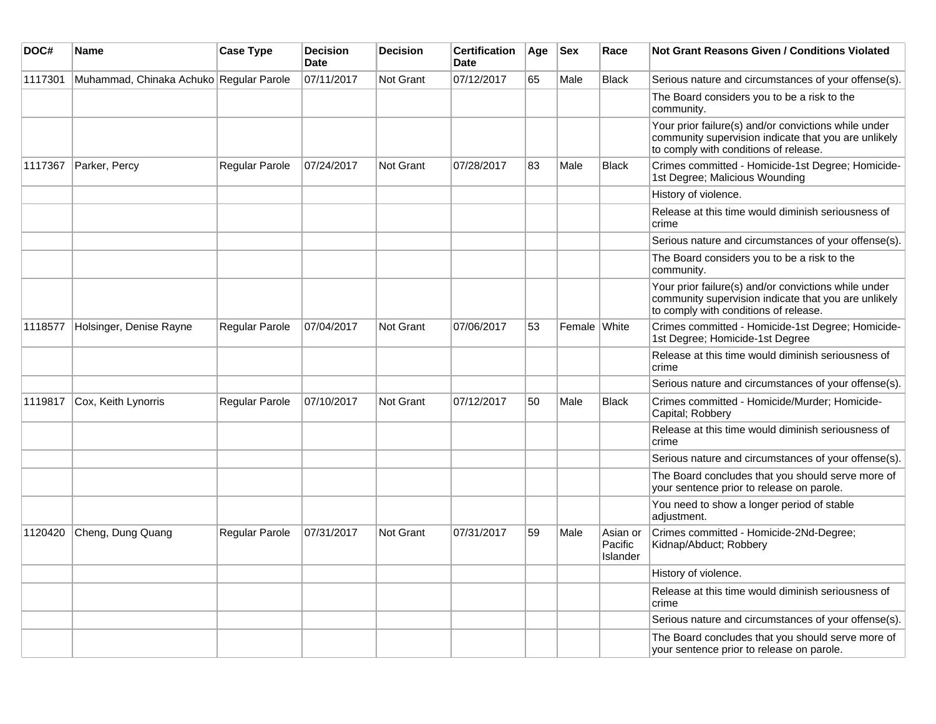| DOC#    | Name                                    | <b>Case Type</b> | <b>Decision</b><br><b>Date</b> | <b>Decision</b>  | <b>Certification</b><br><b>Date</b> | Age | <b>Sex</b>   | Race                            | <b>Not Grant Reasons Given / Conditions Violated</b>                                                                                                  |
|---------|-----------------------------------------|------------------|--------------------------------|------------------|-------------------------------------|-----|--------------|---------------------------------|-------------------------------------------------------------------------------------------------------------------------------------------------------|
| 1117301 | Muhammad, Chinaka Achuko Regular Parole |                  | 07/11/2017                     | <b>Not Grant</b> | 07/12/2017                          | 65  | Male         | <b>Black</b>                    | Serious nature and circumstances of your offense(s).                                                                                                  |
|         |                                         |                  |                                |                  |                                     |     |              |                                 | The Board considers you to be a risk to the<br>community.                                                                                             |
|         |                                         |                  |                                |                  |                                     |     |              |                                 | Your prior failure(s) and/or convictions while under<br>community supervision indicate that you are unlikely<br>to comply with conditions of release. |
| 1117367 | Parker, Percy                           | Regular Parole   | 07/24/2017                     | Not Grant        | 07/28/2017                          | 83  | Male         | <b>Black</b>                    | Crimes committed - Homicide-1st Degree; Homicide-<br>1st Degree; Malicious Wounding                                                                   |
|         |                                         |                  |                                |                  |                                     |     |              |                                 | History of violence.                                                                                                                                  |
|         |                                         |                  |                                |                  |                                     |     |              |                                 | Release at this time would diminish seriousness of<br>crime                                                                                           |
|         |                                         |                  |                                |                  |                                     |     |              |                                 | Serious nature and circumstances of your offense(s).                                                                                                  |
|         |                                         |                  |                                |                  |                                     |     |              |                                 | The Board considers you to be a risk to the<br>community.                                                                                             |
|         |                                         |                  |                                |                  |                                     |     |              |                                 | Your prior failure(s) and/or convictions while under<br>community supervision indicate that you are unlikely<br>to comply with conditions of release. |
| 1118577 | Holsinger, Denise Rayne                 | Regular Parole   | 07/04/2017                     | Not Grant        | 07/06/2017                          | 53  | Female White |                                 | Crimes committed - Homicide-1st Degree; Homicide-<br>1st Degree; Homicide-1st Degree                                                                  |
|         |                                         |                  |                                |                  |                                     |     |              |                                 | Release at this time would diminish seriousness of<br>crime                                                                                           |
|         |                                         |                  |                                |                  |                                     |     |              |                                 | Serious nature and circumstances of your offense(s).                                                                                                  |
| 1119817 | Cox, Keith Lynorris                     | Regular Parole   | 07/10/2017                     | <b>Not Grant</b> | 07/12/2017                          | 50  | Male         | <b>Black</b>                    | Crimes committed - Homicide/Murder; Homicide-<br>Capital; Robbery                                                                                     |
|         |                                         |                  |                                |                  |                                     |     |              |                                 | Release at this time would diminish seriousness of<br>crime                                                                                           |
|         |                                         |                  |                                |                  |                                     |     |              |                                 | Serious nature and circumstances of your offense(s).                                                                                                  |
|         |                                         |                  |                                |                  |                                     |     |              |                                 | The Board concludes that you should serve more of<br>your sentence prior to release on parole.                                                        |
|         |                                         |                  |                                |                  |                                     |     |              |                                 | You need to show a longer period of stable<br>adjustment.                                                                                             |
| 1120420 | Cheng, Dung Quang                       | Regular Parole   | 07/31/2017                     | Not Grant        | 07/31/2017                          | 59  | Male         | Asian or<br>Pacific<br>Islander | Crimes committed - Homicide-2Nd-Degree;<br>Kidnap/Abduct; Robbery                                                                                     |
|         |                                         |                  |                                |                  |                                     |     |              |                                 | History of violence.                                                                                                                                  |
|         |                                         |                  |                                |                  |                                     |     |              |                                 | Release at this time would diminish seriousness of<br>crime                                                                                           |
|         |                                         |                  |                                |                  |                                     |     |              |                                 | Serious nature and circumstances of your offense(s).                                                                                                  |
|         |                                         |                  |                                |                  |                                     |     |              |                                 | The Board concludes that you should serve more of<br>your sentence prior to release on parole.                                                        |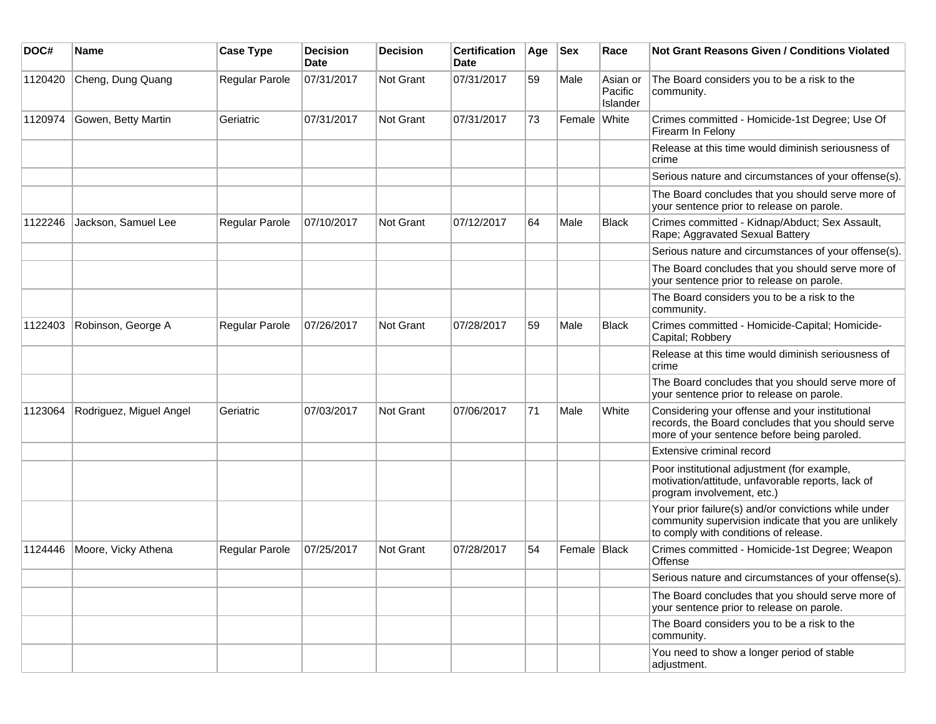| DOC#    | <b>Name</b>             | <b>Case Type</b> | <b>Decision</b><br><b>Date</b> | <b>Decision</b>  | <b>Certification</b><br>Date | Age | <b>Sex</b>     | Race                            | <b>Not Grant Reasons Given / Conditions Violated</b>                                                                                                  |
|---------|-------------------------|------------------|--------------------------------|------------------|------------------------------|-----|----------------|---------------------------------|-------------------------------------------------------------------------------------------------------------------------------------------------------|
| 1120420 | Cheng, Dung Quang       | Regular Parole   | 07/31/2017                     | <b>Not Grant</b> | 07/31/2017                   | 59  | Male           | Asian or<br>Pacific<br>Islander | The Board considers you to be a risk to the<br>community.                                                                                             |
| 1120974 | Gowen, Betty Martin     | Geriatric        | 07/31/2017                     | Not Grant        | 07/31/2017                   | 73  | Female White   |                                 | Crimes committed - Homicide-1st Degree; Use Of<br>Firearm In Felony                                                                                   |
|         |                         |                  |                                |                  |                              |     |                |                                 | Release at this time would diminish seriousness of<br>crime                                                                                           |
|         |                         |                  |                                |                  |                              |     |                |                                 | Serious nature and circumstances of your offense(s).                                                                                                  |
|         |                         |                  |                                |                  |                              |     |                |                                 | The Board concludes that you should serve more of<br>your sentence prior to release on parole.                                                        |
| 1122246 | Jackson, Samuel Lee     | Regular Parole   | 07/10/2017                     | <b>Not Grant</b> | 07/12/2017                   | 64  | Male           | Black                           | Crimes committed - Kidnap/Abduct; Sex Assault,<br>Rape; Aggravated Sexual Battery                                                                     |
|         |                         |                  |                                |                  |                              |     |                |                                 | Serious nature and circumstances of your offense(s).                                                                                                  |
|         |                         |                  |                                |                  |                              |     |                |                                 | The Board concludes that you should serve more of<br>your sentence prior to release on parole.                                                        |
|         |                         |                  |                                |                  |                              |     |                |                                 | The Board considers you to be a risk to the<br>community.                                                                                             |
| 1122403 | Robinson, George A      | Regular Parole   | 07/26/2017                     | <b>Not Grant</b> | 07/28/2017                   | 59  | Male           | Black                           | Crimes committed - Homicide-Capital; Homicide-<br>Capital; Robbery                                                                                    |
|         |                         |                  |                                |                  |                              |     |                |                                 | Release at this time would diminish seriousness of<br>crime                                                                                           |
|         |                         |                  |                                |                  |                              |     |                |                                 | The Board concludes that you should serve more of<br>your sentence prior to release on parole.                                                        |
| 1123064 | Rodriguez, Miguel Angel | Geriatric        | 07/03/2017                     | <b>Not Grant</b> | 07/06/2017                   | 71  | Male           | White                           | Considering your offense and your institutional<br>records, the Board concludes that you should serve<br>more of your sentence before being paroled.  |
|         |                         |                  |                                |                  |                              |     |                |                                 | Extensive criminal record                                                                                                                             |
|         |                         |                  |                                |                  |                              |     |                |                                 | Poor institutional adjustment (for example,<br>motivation/attitude, unfavorable reports, lack of<br>program involvement, etc.)                        |
|         |                         |                  |                                |                  |                              |     |                |                                 | Your prior failure(s) and/or convictions while under<br>community supervision indicate that you are unlikely<br>to comply with conditions of release. |
| 1124446 | Moore, Vicky Athena     | Regular Parole   | 07/25/2017                     | Not Grant        | 07/28/2017                   | 54  | Female   Black |                                 | Crimes committed - Homicide-1st Degree; Weapon<br>Offense                                                                                             |
|         |                         |                  |                                |                  |                              |     |                |                                 | Serious nature and circumstances of your offense(s).                                                                                                  |
|         |                         |                  |                                |                  |                              |     |                |                                 | The Board concludes that you should serve more of<br>your sentence prior to release on parole.                                                        |
|         |                         |                  |                                |                  |                              |     |                |                                 | The Board considers you to be a risk to the<br>community.                                                                                             |
|         |                         |                  |                                |                  |                              |     |                |                                 | You need to show a longer period of stable<br>adjustment.                                                                                             |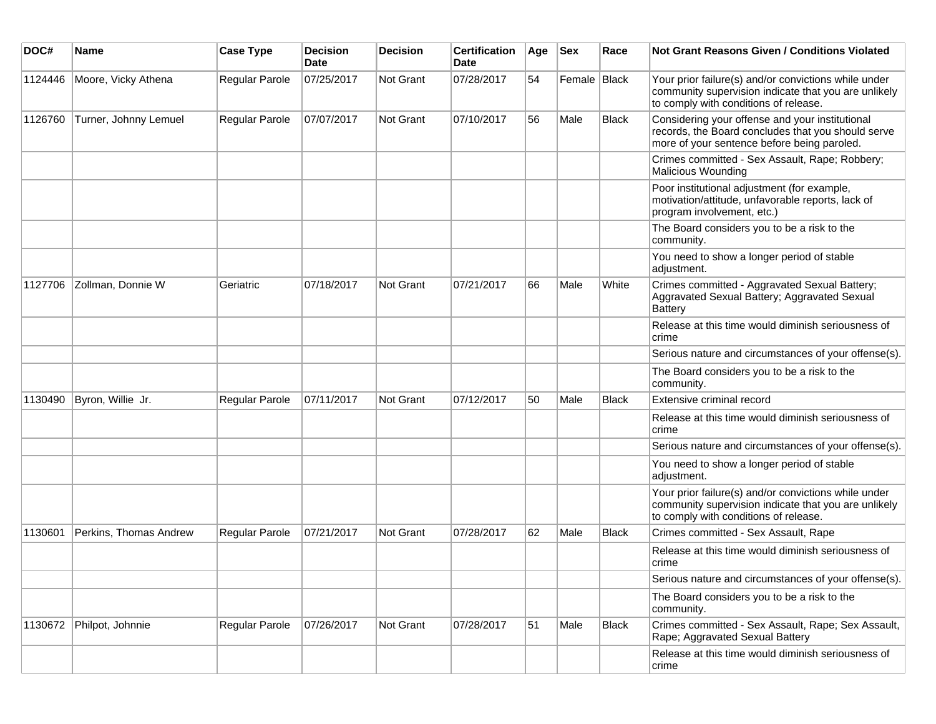| DOC#    | <b>Name</b>            | <b>Case Type</b> | Decision<br><b>Date</b> | <b>Decision</b>  | <b>Certification</b><br>Date | Age | <b>Sex</b>   | Race         | <b>Not Grant Reasons Given / Conditions Violated</b>                                                                                                  |
|---------|------------------------|------------------|-------------------------|------------------|------------------------------|-----|--------------|--------------|-------------------------------------------------------------------------------------------------------------------------------------------------------|
| 1124446 | Moore, Vicky Athena    | Regular Parole   | 07/25/2017              | Not Grant        | 07/28/2017                   | 54  | Female Black |              | Your prior failure(s) and/or convictions while under<br>community supervision indicate that you are unlikely<br>to comply with conditions of release. |
| 1126760 | Turner, Johnny Lemuel  | Regular Parole   | 07/07/2017              | Not Grant        | 07/10/2017                   | 56  | Male         | <b>Black</b> | Considering your offense and your institutional<br>records, the Board concludes that you should serve<br>more of your sentence before being paroled.  |
|         |                        |                  |                         |                  |                              |     |              |              | Crimes committed - Sex Assault, Rape; Robbery;<br><b>Malicious Wounding</b>                                                                           |
|         |                        |                  |                         |                  |                              |     |              |              | Poor institutional adjustment (for example,<br>motivation/attitude, unfavorable reports, lack of<br>program involvement, etc.)                        |
|         |                        |                  |                         |                  |                              |     |              |              | The Board considers you to be a risk to the<br>community.                                                                                             |
|         |                        |                  |                         |                  |                              |     |              |              | You need to show a longer period of stable<br>adjustment.                                                                                             |
| 1127706 | Zollman, Donnie W      | Geriatric        | 07/18/2017              | <b>Not Grant</b> | 07/21/2017                   | 66  | Male         | White        | Crimes committed - Aggravated Sexual Battery;<br>Aggravated Sexual Battery; Aggravated Sexual<br><b>Battery</b>                                       |
|         |                        |                  |                         |                  |                              |     |              |              | Release at this time would diminish seriousness of<br>crime                                                                                           |
|         |                        |                  |                         |                  |                              |     |              |              | Serious nature and circumstances of your offense(s).                                                                                                  |
|         |                        |                  |                         |                  |                              |     |              |              | The Board considers you to be a risk to the<br>community.                                                                                             |
| 1130490 | Byron, Willie Jr.      | Regular Parole   | 07/11/2017              | <b>Not Grant</b> | 07/12/2017                   | 50  | Male         | <b>Black</b> | Extensive criminal record                                                                                                                             |
|         |                        |                  |                         |                  |                              |     |              |              | Release at this time would diminish seriousness of<br>crime                                                                                           |
|         |                        |                  |                         |                  |                              |     |              |              | Serious nature and circumstances of your offense(s).                                                                                                  |
|         |                        |                  |                         |                  |                              |     |              |              | You need to show a longer period of stable<br>adjustment.                                                                                             |
|         |                        |                  |                         |                  |                              |     |              |              | Your prior failure(s) and/or convictions while under<br>community supervision indicate that you are unlikely<br>to comply with conditions of release. |
| 1130601 | Perkins, Thomas Andrew | Regular Parole   | 07/21/2017              | <b>Not Grant</b> | 07/28/2017                   | 62  | Male         | <b>Black</b> | Crimes committed - Sex Assault, Rape                                                                                                                  |
|         |                        |                  |                         |                  |                              |     |              |              | Release at this time would diminish seriousness of<br>crime                                                                                           |
|         |                        |                  |                         |                  |                              |     |              |              | Serious nature and circumstances of your offense(s).                                                                                                  |
|         |                        |                  |                         |                  |                              |     |              |              | The Board considers you to be a risk to the<br>community.                                                                                             |
| 1130672 | Philpot, Johnnie       | Regular Parole   | 07/26/2017              | Not Grant        | 07/28/2017                   | 51  | Male         | <b>Black</b> | Crimes committed - Sex Assault, Rape; Sex Assault,<br>Rape; Aggravated Sexual Battery                                                                 |
|         |                        |                  |                         |                  |                              |     |              |              | Release at this time would diminish seriousness of<br>crime                                                                                           |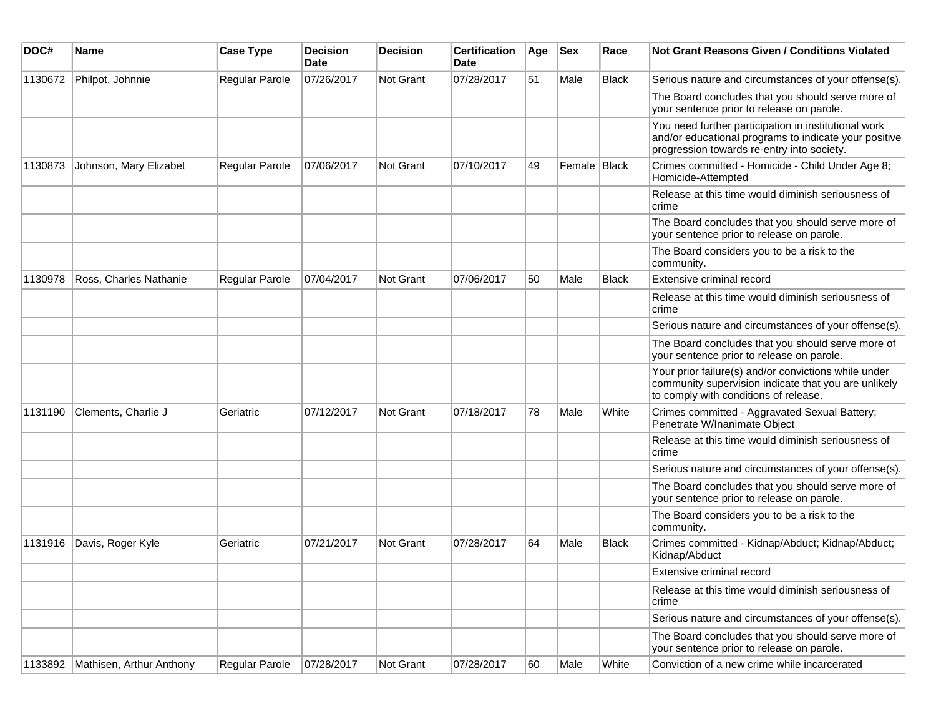| DOC#    | Name                     | <b>Case Type</b> | <b>Decision</b><br><b>Date</b> | <b>Decision</b> | <b>Certification</b><br>Date | Age | <b>Sex</b>   | Race         | <b>Not Grant Reasons Given / Conditions Violated</b>                                                                                                        |
|---------|--------------------------|------------------|--------------------------------|-----------------|------------------------------|-----|--------------|--------------|-------------------------------------------------------------------------------------------------------------------------------------------------------------|
| 1130672 | Philpot, Johnnie         | Regular Parole   | 07/26/2017                     | Not Grant       | 07/28/2017                   | 51  | Male         | <b>Black</b> | Serious nature and circumstances of your offense(s).                                                                                                        |
|         |                          |                  |                                |                 |                              |     |              |              | The Board concludes that you should serve more of<br>your sentence prior to release on parole.                                                              |
|         |                          |                  |                                |                 |                              |     |              |              | You need further participation in institutional work<br>and/or educational programs to indicate your positive<br>progression towards re-entry into society. |
| 1130873 | Johnson, Mary Elizabet   | Regular Parole   | 07/06/2017                     | Not Grant       | 07/10/2017                   | 49  | Female Black |              | Crimes committed - Homicide - Child Under Age 8;<br>Homicide-Attempted                                                                                      |
|         |                          |                  |                                |                 |                              |     |              |              | Release at this time would diminish seriousness of<br>crime                                                                                                 |
|         |                          |                  |                                |                 |                              |     |              |              | The Board concludes that you should serve more of<br>your sentence prior to release on parole.                                                              |
|         |                          |                  |                                |                 |                              |     |              |              | The Board considers you to be a risk to the<br>community.                                                                                                   |
| 1130978 | Ross, Charles Nathanie   | Regular Parole   | 07/04/2017                     | Not Grant       | 07/06/2017                   | 50  | Male         | <b>Black</b> | Extensive criminal record                                                                                                                                   |
|         |                          |                  |                                |                 |                              |     |              |              | Release at this time would diminish seriousness of<br>crime                                                                                                 |
|         |                          |                  |                                |                 |                              |     |              |              | Serious nature and circumstances of your offense(s).                                                                                                        |
|         |                          |                  |                                |                 |                              |     |              |              | The Board concludes that you should serve more of<br>your sentence prior to release on parole.                                                              |
|         |                          |                  |                                |                 |                              |     |              |              | Your prior failure(s) and/or convictions while under<br>community supervision indicate that you are unlikely<br>to comply with conditions of release.       |
| 1131190 | Clements, Charlie J      | Geriatric        | 07/12/2017                     | Not Grant       | 07/18/2017                   | 78  | Male         | White        | Crimes committed - Aggravated Sexual Battery;<br>Penetrate W/Inanimate Object                                                                               |
|         |                          |                  |                                |                 |                              |     |              |              | Release at this time would diminish seriousness of<br>crime                                                                                                 |
|         |                          |                  |                                |                 |                              |     |              |              | Serious nature and circumstances of your offense(s).                                                                                                        |
|         |                          |                  |                                |                 |                              |     |              |              | The Board concludes that you should serve more of<br>your sentence prior to release on parole.                                                              |
|         |                          |                  |                                |                 |                              |     |              |              | The Board considers you to be a risk to the<br>community.                                                                                                   |
| 1131916 | Davis, Roger Kyle        | Geriatric        | 07/21/2017                     | Not Grant       | 07/28/2017                   | 64  | Male         | <b>Black</b> | Crimes committed - Kidnap/Abduct; Kidnap/Abduct;<br>Kidnap/Abduct                                                                                           |
|         |                          |                  |                                |                 |                              |     |              |              | Extensive criminal record                                                                                                                                   |
|         |                          |                  |                                |                 |                              |     |              |              | Release at this time would diminish seriousness of<br>crime                                                                                                 |
|         |                          |                  |                                |                 |                              |     |              |              | Serious nature and circumstances of your offense(s).                                                                                                        |
|         |                          |                  |                                |                 |                              |     |              |              | The Board concludes that you should serve more of<br>your sentence prior to release on parole.                                                              |
| 1133892 | Mathisen, Arthur Anthony | Regular Parole   | 07/28/2017                     | Not Grant       | 07/28/2017                   | 60  | Male         | White        | Conviction of a new crime while incarcerated                                                                                                                |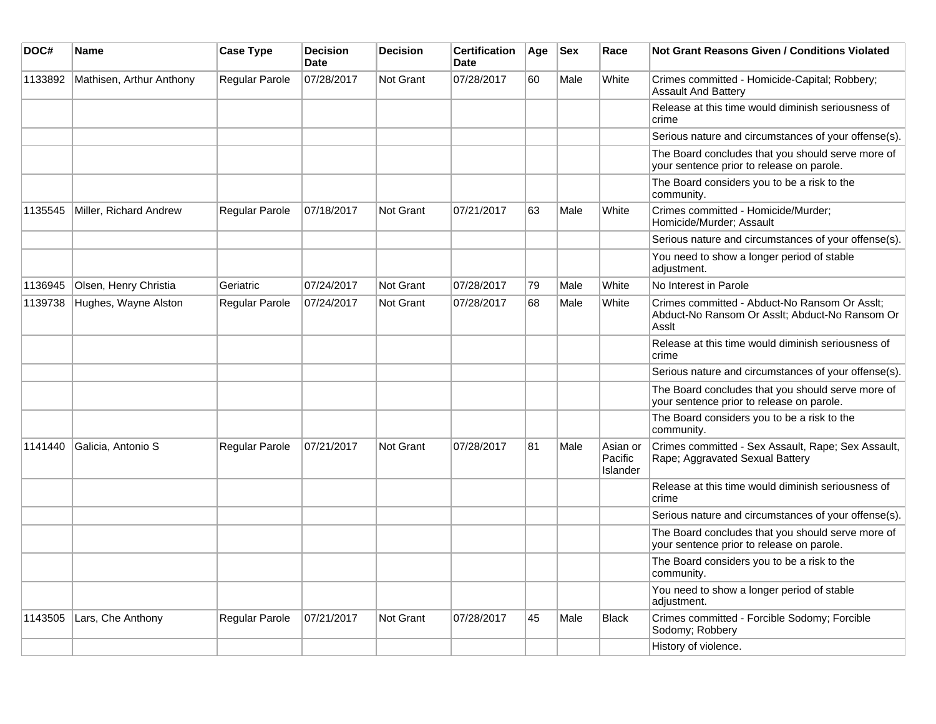| DOC#    | Name                     | <b>Case Type</b>      | <b>Decision</b><br>Date | <b>Decision</b>  | <b>Certification</b><br>Date | Age | <b>Sex</b> | Race                            | <b>Not Grant Reasons Given / Conditions Violated</b>                                                     |
|---------|--------------------------|-----------------------|-------------------------|------------------|------------------------------|-----|------------|---------------------------------|----------------------------------------------------------------------------------------------------------|
| 1133892 | Mathisen, Arthur Anthony | Regular Parole        | 07/28/2017              | Not Grant        | 07/28/2017                   | 60  | Male       | White                           | Crimes committed - Homicide-Capital; Robbery;<br><b>Assault And Battery</b>                              |
|         |                          |                       |                         |                  |                              |     |            |                                 | Release at this time would diminish seriousness of<br>crime                                              |
|         |                          |                       |                         |                  |                              |     |            |                                 | Serious nature and circumstances of your offense(s).                                                     |
|         |                          |                       |                         |                  |                              |     |            |                                 | The Board concludes that you should serve more of<br>your sentence prior to release on parole.           |
|         |                          |                       |                         |                  |                              |     |            |                                 | The Board considers you to be a risk to the<br>community.                                                |
| 1135545 | Miller, Richard Andrew   | <b>Regular Parole</b> | 07/18/2017              | Not Grant        | 07/21/2017                   | 63  | Male       | White                           | Crimes committed - Homicide/Murder;<br>Homicide/Murder; Assault                                          |
|         |                          |                       |                         |                  |                              |     |            |                                 | Serious nature and circumstances of your offense(s).                                                     |
|         |                          |                       |                         |                  |                              |     |            |                                 | You need to show a longer period of stable<br>adjustment.                                                |
| 1136945 | Olsen, Henry Christia    | Geriatric             | 07/24/2017              | Not Grant        | 07/28/2017                   | 79  | Male       | White                           | No Interest in Parole                                                                                    |
| 1139738 | Hughes, Wayne Alston     | Regular Parole        | 07/24/2017              | <b>Not Grant</b> | 07/28/2017                   | 68  | Male       | White                           | Crimes committed - Abduct-No Ransom Or Asslt;<br>Abduct-No Ransom Or Asslt; Abduct-No Ransom Or<br>Asslt |
|         |                          |                       |                         |                  |                              |     |            |                                 | Release at this time would diminish seriousness of<br>crime                                              |
|         |                          |                       |                         |                  |                              |     |            |                                 | Serious nature and circumstances of your offense(s).                                                     |
|         |                          |                       |                         |                  |                              |     |            |                                 | The Board concludes that you should serve more of<br>your sentence prior to release on parole.           |
|         |                          |                       |                         |                  |                              |     |            |                                 | The Board considers you to be a risk to the<br>community.                                                |
| 1141440 | Galicia, Antonio S       | <b>Regular Parole</b> | 07/21/2017              | Not Grant        | 07/28/2017                   | 81  | Male       | Asian or<br>Pacific<br>Islander | Crimes committed - Sex Assault, Rape; Sex Assault,<br>Rape; Aggravated Sexual Battery                    |
|         |                          |                       |                         |                  |                              |     |            |                                 | Release at this time would diminish seriousness of<br>crime                                              |
|         |                          |                       |                         |                  |                              |     |            |                                 | Serious nature and circumstances of your offense(s).                                                     |
|         |                          |                       |                         |                  |                              |     |            |                                 | The Board concludes that you should serve more of<br>your sentence prior to release on parole.           |
|         |                          |                       |                         |                  |                              |     |            |                                 | The Board considers you to be a risk to the<br>community.                                                |
|         |                          |                       |                         |                  |                              |     |            |                                 | You need to show a longer period of stable<br>adjustment.                                                |
| 1143505 | Lars, Che Anthony        | <b>Regular Parole</b> | 07/21/2017              | <b>Not Grant</b> | 07/28/2017                   | 45  | Male       | <b>Black</b>                    | Crimes committed - Forcible Sodomy; Forcible<br>Sodomy; Robbery                                          |
|         |                          |                       |                         |                  |                              |     |            |                                 | History of violence.                                                                                     |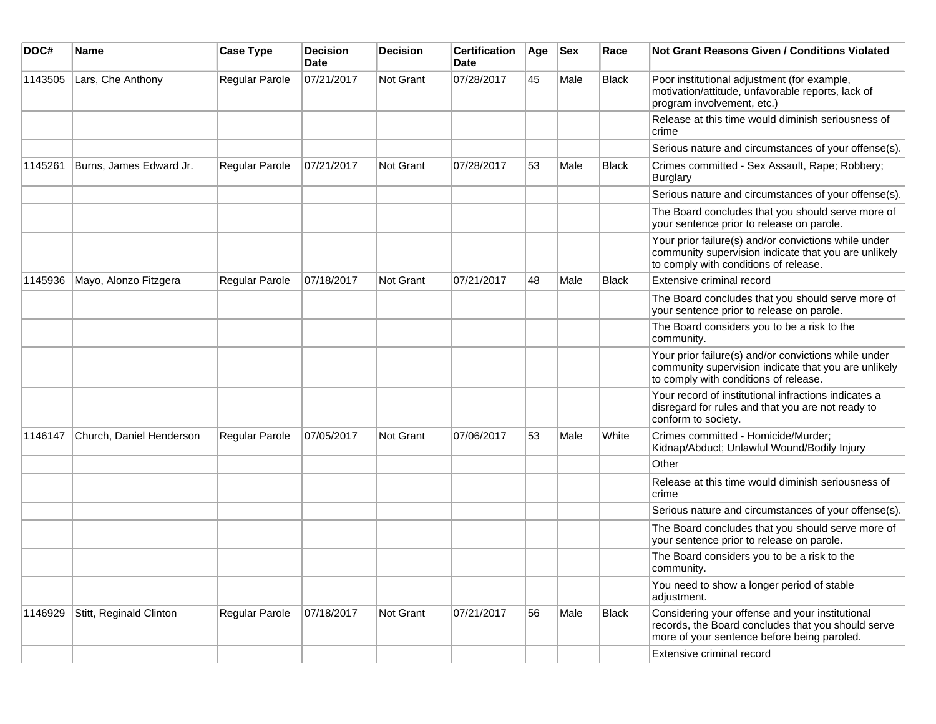| DOC#    | <b>Name</b>              | <b>Case Type</b>      | <b>Decision</b><br>Date | Decision  | <b>Certification</b><br>Date | Age | <b>Sex</b> | Race         | Not Grant Reasons Given / Conditions Violated                                                                                                         |
|---------|--------------------------|-----------------------|-------------------------|-----------|------------------------------|-----|------------|--------------|-------------------------------------------------------------------------------------------------------------------------------------------------------|
| 1143505 | Lars, Che Anthony        | Regular Parole        | 07/21/2017              | Not Grant | 07/28/2017                   | 45  | Male       | <b>Black</b> | Poor institutional adjustment (for example,<br>motivation/attitude, unfavorable reports, lack of<br>program involvement, etc.)                        |
|         |                          |                       |                         |           |                              |     |            |              | Release at this time would diminish seriousness of<br>crime                                                                                           |
|         |                          |                       |                         |           |                              |     |            |              | Serious nature and circumstances of your offense(s).                                                                                                  |
| 1145261 | Burns, James Edward Jr.  | <b>Regular Parole</b> | 07/21/2017              | Not Grant | 07/28/2017                   | 53  | Male       | Black        | Crimes committed - Sex Assault, Rape; Robbery;<br>Burglary                                                                                            |
|         |                          |                       |                         |           |                              |     |            |              | Serious nature and circumstances of your offense(s).                                                                                                  |
|         |                          |                       |                         |           |                              |     |            |              | The Board concludes that you should serve more of<br>your sentence prior to release on parole.                                                        |
|         |                          |                       |                         |           |                              |     |            |              | Your prior failure(s) and/or convictions while under<br>community supervision indicate that you are unlikely<br>to comply with conditions of release. |
| 1145936 | Mayo, Alonzo Fitzgera    | Regular Parole        | 07/18/2017              | Not Grant | 07/21/2017                   | 48  | Male       | <b>Black</b> | Extensive criminal record                                                                                                                             |
|         |                          |                       |                         |           |                              |     |            |              | The Board concludes that you should serve more of<br>your sentence prior to release on parole.                                                        |
|         |                          |                       |                         |           |                              |     |            |              | The Board considers you to be a risk to the<br>community.                                                                                             |
|         |                          |                       |                         |           |                              |     |            |              | Your prior failure(s) and/or convictions while under<br>community supervision indicate that you are unlikely<br>to comply with conditions of release. |
|         |                          |                       |                         |           |                              |     |            |              | Your record of institutional infractions indicates a<br>disregard for rules and that you are not ready to<br>conform to society.                      |
| 1146147 | Church, Daniel Henderson | <b>Regular Parole</b> | 07/05/2017              | Not Grant | 07/06/2017                   | 53  | Male       | White        | Crimes committed - Homicide/Murder;<br>Kidnap/Abduct; Unlawful Wound/Bodily Injury                                                                    |
|         |                          |                       |                         |           |                              |     |            |              | Other                                                                                                                                                 |
|         |                          |                       |                         |           |                              |     |            |              | Release at this time would diminish seriousness of<br>crime                                                                                           |
|         |                          |                       |                         |           |                              |     |            |              | Serious nature and circumstances of your offense(s).                                                                                                  |
|         |                          |                       |                         |           |                              |     |            |              | The Board concludes that you should serve more of<br>your sentence prior to release on parole.                                                        |
|         |                          |                       |                         |           |                              |     |            |              | The Board considers you to be a risk to the<br>community.                                                                                             |
|         |                          |                       |                         |           |                              |     |            |              | You need to show a longer period of stable<br>adjustment.                                                                                             |
| 1146929 | Stitt, Reginald Clinton  | Regular Parole        | 07/18/2017              | Not Grant | 07/21/2017                   | 56  | Male       | <b>Black</b> | Considering your offense and your institutional<br>records, the Board concludes that you should serve<br>more of your sentence before being paroled.  |
|         |                          |                       |                         |           |                              |     |            |              | Extensive criminal record                                                                                                                             |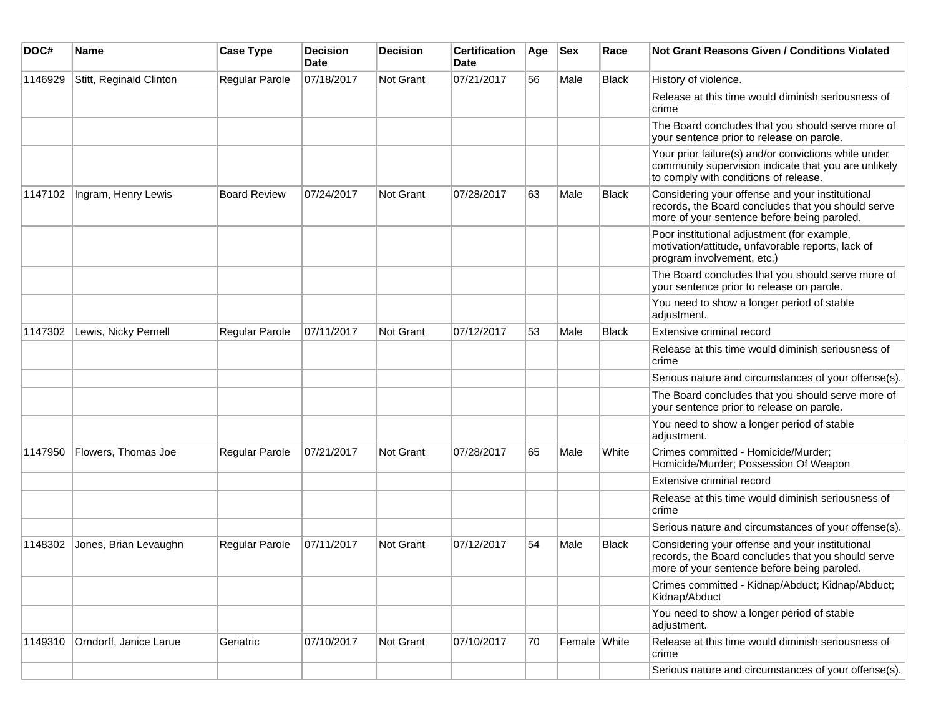| DOC#    | <b>Name</b>             | <b>Case Type</b>      | <b>Decision</b><br>Date | <b>Decision</b> | <b>Certification</b><br>Date | Age | Sex          | Race  | <b>Not Grant Reasons Given / Conditions Violated</b>                                                                                                  |
|---------|-------------------------|-----------------------|-------------------------|-----------------|------------------------------|-----|--------------|-------|-------------------------------------------------------------------------------------------------------------------------------------------------------|
| 1146929 | Stitt, Reginald Clinton | <b>Regular Parole</b> | 07/18/2017              | Not Grant       | 07/21/2017                   | 56  | Male         | Black | History of violence.                                                                                                                                  |
|         |                         |                       |                         |                 |                              |     |              |       | Release at this time would diminish seriousness of<br>crime                                                                                           |
|         |                         |                       |                         |                 |                              |     |              |       | The Board concludes that you should serve more of<br>your sentence prior to release on parole.                                                        |
|         |                         |                       |                         |                 |                              |     |              |       | Your prior failure(s) and/or convictions while under<br>community supervision indicate that you are unlikely<br>to comply with conditions of release. |
| 1147102 | Ingram, Henry Lewis     | <b>Board Review</b>   | 07/24/2017              | Not Grant       | 07/28/2017                   | 63  | Male         | Black | Considering your offense and your institutional<br>records, the Board concludes that you should serve<br>more of your sentence before being paroled.  |
|         |                         |                       |                         |                 |                              |     |              |       | Poor institutional adjustment (for example,<br>motivation/attitude, unfavorable reports, lack of<br>program involvement, etc.)                        |
|         |                         |                       |                         |                 |                              |     |              |       | The Board concludes that you should serve more of<br>your sentence prior to release on parole.                                                        |
|         |                         |                       |                         |                 |                              |     |              |       | You need to show a longer period of stable<br>adjustment.                                                                                             |
| 1147302 | Lewis, Nicky Pernell    | <b>Regular Parole</b> | 07/11/2017              | Not Grant       | 07/12/2017                   | 53  | Male         | Black | <b>Extensive criminal record</b>                                                                                                                      |
|         |                         |                       |                         |                 |                              |     |              |       | Release at this time would diminish seriousness of<br>crime                                                                                           |
|         |                         |                       |                         |                 |                              |     |              |       | Serious nature and circumstances of your offense(s).                                                                                                  |
|         |                         |                       |                         |                 |                              |     |              |       | The Board concludes that you should serve more of<br>your sentence prior to release on parole.                                                        |
|         |                         |                       |                         |                 |                              |     |              |       | You need to show a longer period of stable<br>adjustment.                                                                                             |
| 1147950 | Flowers, Thomas Joe     | Regular Parole        | 07/21/2017              | Not Grant       | 07/28/2017                   | 65  | Male         | White | Crimes committed - Homicide/Murder;<br>Homicide/Murder; Possession Of Weapon                                                                          |
|         |                         |                       |                         |                 |                              |     |              |       | Extensive criminal record                                                                                                                             |
|         |                         |                       |                         |                 |                              |     |              |       | Release at this time would diminish seriousness of<br>crime                                                                                           |
|         |                         |                       |                         |                 |                              |     |              |       | Serious nature and circumstances of your offense(s).                                                                                                  |
| 1148302 | Jones, Brian Levaughn   | Regular Parole        | 07/11/2017              | Not Grant       | 07/12/2017                   | 54  | Male         | Black | Considering your offense and your institutional<br>records, the Board concludes that you should serve<br>more of your sentence before being paroled.  |
|         |                         |                       |                         |                 |                              |     |              |       | Crimes committed - Kidnap/Abduct; Kidnap/Abduct;<br>Kidnap/Abduct                                                                                     |
|         |                         |                       |                         |                 |                              |     |              |       | You need to show a longer period of stable<br>adjustment.                                                                                             |
| 1149310 | Orndorff, Janice Larue  | Geriatric             | 07/10/2017              | Not Grant       | 07/10/2017                   | 70  | Female White |       | Release at this time would diminish seriousness of<br>crime                                                                                           |
|         |                         |                       |                         |                 |                              |     |              |       | Serious nature and circumstances of your offense(s).                                                                                                  |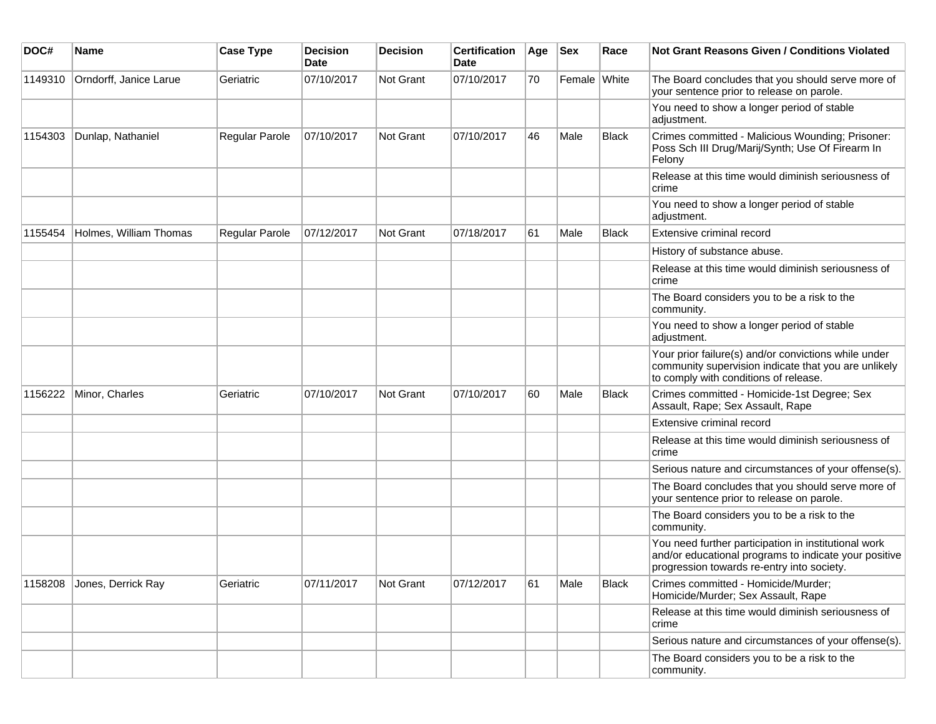| DOC#    | Name                   | <b>Case Type</b> | <b>Decision</b><br><b>Date</b> | <b>Decision</b> | <b>Certification</b><br>Date | Age | <b>Sex</b>   | Race         | <b>Not Grant Reasons Given / Conditions Violated</b>                                                                                                        |
|---------|------------------------|------------------|--------------------------------|-----------------|------------------------------|-----|--------------|--------------|-------------------------------------------------------------------------------------------------------------------------------------------------------------|
| 1149310 | Orndorff, Janice Larue | Geriatric        | 07/10/2017                     | Not Grant       | 07/10/2017                   | 70  | Female White |              | The Board concludes that you should serve more of<br>your sentence prior to release on parole.                                                              |
|         |                        |                  |                                |                 |                              |     |              |              | You need to show a longer period of stable<br>adjustment.                                                                                                   |
| 1154303 | Dunlap, Nathaniel      | Regular Parole   | 07/10/2017                     | Not Grant       | 07/10/2017                   | 46  | Male         | <b>Black</b> | Crimes committed - Malicious Wounding; Prisoner:<br>Poss Sch III Drug/Marij/Synth; Use Of Firearm In<br>Felony                                              |
|         |                        |                  |                                |                 |                              |     |              |              | Release at this time would diminish seriousness of<br>crime                                                                                                 |
|         |                        |                  |                                |                 |                              |     |              |              | You need to show a longer period of stable<br>adjustment.                                                                                                   |
| 1155454 | Holmes, William Thomas | Regular Parole   | 07/12/2017                     | Not Grant       | 07/18/2017                   | 61  | Male         | <b>Black</b> | Extensive criminal record                                                                                                                                   |
|         |                        |                  |                                |                 |                              |     |              |              | History of substance abuse.                                                                                                                                 |
|         |                        |                  |                                |                 |                              |     |              |              | Release at this time would diminish seriousness of<br>crime                                                                                                 |
|         |                        |                  |                                |                 |                              |     |              |              | The Board considers you to be a risk to the<br>community.                                                                                                   |
|         |                        |                  |                                |                 |                              |     |              |              | You need to show a longer period of stable<br>adjustment.                                                                                                   |
|         |                        |                  |                                |                 |                              |     |              |              | Your prior failure(s) and/or convictions while under<br>community supervision indicate that you are unlikely<br>to comply with conditions of release.       |
| 1156222 | Minor, Charles         | Geriatric        | 07/10/2017                     | Not Grant       | 07/10/2017                   | 60  | Male         | <b>Black</b> | Crimes committed - Homicide-1st Degree; Sex<br>Assault, Rape; Sex Assault, Rape                                                                             |
|         |                        |                  |                                |                 |                              |     |              |              | Extensive criminal record                                                                                                                                   |
|         |                        |                  |                                |                 |                              |     |              |              | Release at this time would diminish seriousness of<br>crime                                                                                                 |
|         |                        |                  |                                |                 |                              |     |              |              | Serious nature and circumstances of your offense(s).                                                                                                        |
|         |                        |                  |                                |                 |                              |     |              |              | The Board concludes that you should serve more of<br>your sentence prior to release on parole.                                                              |
|         |                        |                  |                                |                 |                              |     |              |              | The Board considers you to be a risk to the<br>community.                                                                                                   |
|         |                        |                  |                                |                 |                              |     |              |              | You need further participation in institutional work<br>and/or educational programs to indicate your positive<br>progression towards re-entry into society. |
| 1158208 | Jones, Derrick Ray     | Geriatric        | 07/11/2017                     | Not Grant       | 07/12/2017                   | 61  | Male         | Black        | Crimes committed - Homicide/Murder;<br>Homicide/Murder; Sex Assault, Rape                                                                                   |
|         |                        |                  |                                |                 |                              |     |              |              | Release at this time would diminish seriousness of<br>crime                                                                                                 |
|         |                        |                  |                                |                 |                              |     |              |              | Serious nature and circumstances of your offense(s).                                                                                                        |
|         |                        |                  |                                |                 |                              |     |              |              | The Board considers you to be a risk to the<br>community.                                                                                                   |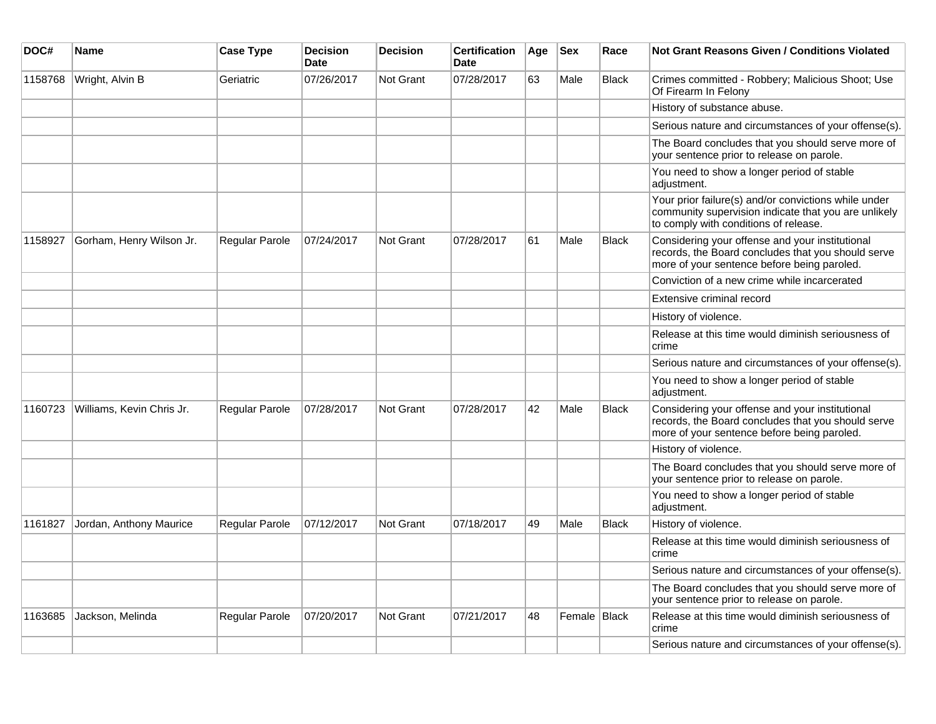| DOC#    | Name                      | <b>Case Type</b> | <b>Decision</b><br><b>Date</b> | <b>Decision</b>  | <b>Certification</b><br><b>Date</b> | Age | <b>Sex</b>   | Race         | Not Grant Reasons Given / Conditions Violated                                                                                                         |
|---------|---------------------------|------------------|--------------------------------|------------------|-------------------------------------|-----|--------------|--------------|-------------------------------------------------------------------------------------------------------------------------------------------------------|
| 1158768 | Wright, Alvin B           | Geriatric        | 07/26/2017                     | Not Grant        | 07/28/2017                          | 63  | Male         | Black        | Crimes committed - Robbery; Malicious Shoot; Use<br>Of Firearm In Felony                                                                              |
|         |                           |                  |                                |                  |                                     |     |              |              | History of substance abuse.                                                                                                                           |
|         |                           |                  |                                |                  |                                     |     |              |              | Serious nature and circumstances of your offense(s).                                                                                                  |
|         |                           |                  |                                |                  |                                     |     |              |              | The Board concludes that you should serve more of<br>your sentence prior to release on parole.                                                        |
|         |                           |                  |                                |                  |                                     |     |              |              | You need to show a longer period of stable<br>adjustment.                                                                                             |
|         |                           |                  |                                |                  |                                     |     |              |              | Your prior failure(s) and/or convictions while under<br>community supervision indicate that you are unlikely<br>to comply with conditions of release. |
| 1158927 | Gorham, Henry Wilson Jr.  | Regular Parole   | 07/24/2017                     | Not Grant        | 07/28/2017                          | 61  | Male         | <b>Black</b> | Considering your offense and your institutional<br>records, the Board concludes that you should serve<br>more of your sentence before being paroled.  |
|         |                           |                  |                                |                  |                                     |     |              |              | Conviction of a new crime while incarcerated                                                                                                          |
|         |                           |                  |                                |                  |                                     |     |              |              | Extensive criminal record                                                                                                                             |
|         |                           |                  |                                |                  |                                     |     |              |              | History of violence.                                                                                                                                  |
|         |                           |                  |                                |                  |                                     |     |              |              | Release at this time would diminish seriousness of<br>crime                                                                                           |
|         |                           |                  |                                |                  |                                     |     |              |              | Serious nature and circumstances of your offense(s).                                                                                                  |
|         |                           |                  |                                |                  |                                     |     |              |              | You need to show a longer period of stable<br>adjustment.                                                                                             |
| 1160723 | Williams, Kevin Chris Jr. | Regular Parole   | 07/28/2017                     | Not Grant        | 07/28/2017                          | 42  | Male         | <b>Black</b> | Considering your offense and your institutional<br>records, the Board concludes that you should serve<br>more of your sentence before being paroled.  |
|         |                           |                  |                                |                  |                                     |     |              |              | History of violence.                                                                                                                                  |
|         |                           |                  |                                |                  |                                     |     |              |              | The Board concludes that you should serve more of<br>your sentence prior to release on parole.                                                        |
|         |                           |                  |                                |                  |                                     |     |              |              | You need to show a longer period of stable<br>adjustment.                                                                                             |
| 1161827 | Jordan, Anthony Maurice   | Regular Parole   | 07/12/2017                     | <b>Not Grant</b> | 07/18/2017                          | 49  | Male         | <b>Black</b> | History of violence.                                                                                                                                  |
|         |                           |                  |                                |                  |                                     |     |              |              | Release at this time would diminish seriousness of<br>crime                                                                                           |
|         |                           |                  |                                |                  |                                     |     |              |              | Serious nature and circumstances of your offense(s).                                                                                                  |
|         |                           |                  |                                |                  |                                     |     |              |              | The Board concludes that you should serve more of<br>your sentence prior to release on parole.                                                        |
| 1163685 | Jackson, Melinda          | Regular Parole   | 07/20/2017                     | <b>Not Grant</b> | 07/21/2017                          | 48  | Female Black |              | Release at this time would diminish seriousness of<br>crime                                                                                           |
|         |                           |                  |                                |                  |                                     |     |              |              | Serious nature and circumstances of your offense(s).                                                                                                  |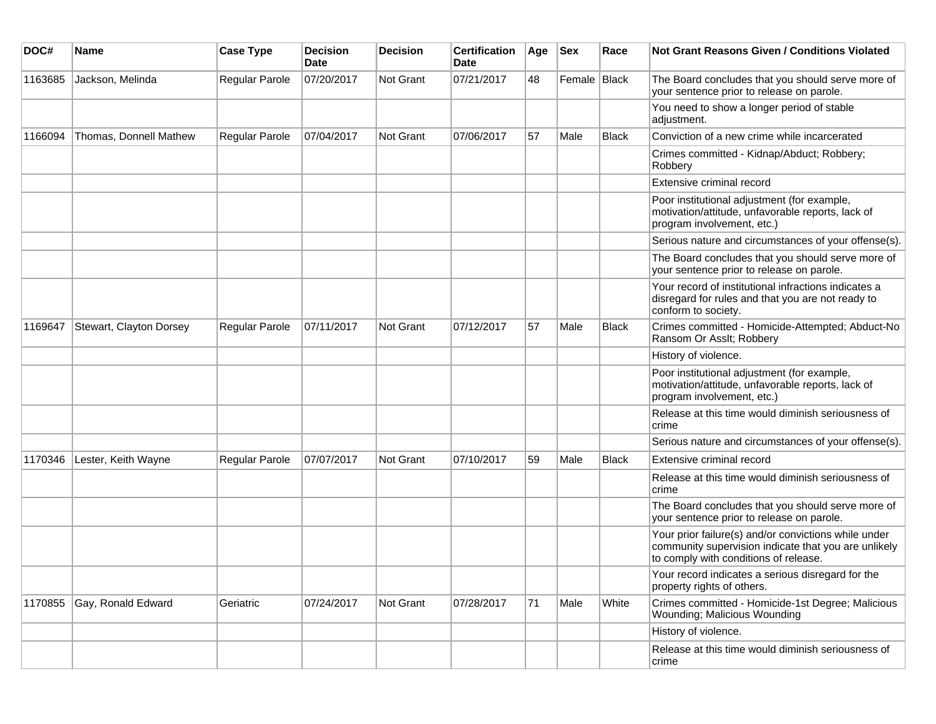| DOC#    | <b>Name</b>             | <b>Case Type</b>      | <b>Decision</b><br><b>Date</b> | <b>Decision</b> | <b>Certification</b><br>Date | Age | <b>Sex</b>   | Race  | <b>Not Grant Reasons Given / Conditions Violated</b>                                                                                                  |
|---------|-------------------------|-----------------------|--------------------------------|-----------------|------------------------------|-----|--------------|-------|-------------------------------------------------------------------------------------------------------------------------------------------------------|
| 1163685 | Jackson, Melinda        | Regular Parole        | 07/20/2017                     | Not Grant       | 07/21/2017                   | 48  | Female Black |       | The Board concludes that you should serve more of<br>your sentence prior to release on parole.                                                        |
|         |                         |                       |                                |                 |                              |     |              |       | You need to show a longer period of stable<br>adjustment.                                                                                             |
| 1166094 | Thomas, Donnell Mathew  | Regular Parole        | 07/04/2017                     | Not Grant       | 07/06/2017                   | 57  | Male         | Black | Conviction of a new crime while incarcerated                                                                                                          |
|         |                         |                       |                                |                 |                              |     |              |       | Crimes committed - Kidnap/Abduct; Robbery;<br>Robbery                                                                                                 |
|         |                         |                       |                                |                 |                              |     |              |       | Extensive criminal record                                                                                                                             |
|         |                         |                       |                                |                 |                              |     |              |       | Poor institutional adjustment (for example,<br>motivation/attitude, unfavorable reports, lack of<br>program involvement, etc.)                        |
|         |                         |                       |                                |                 |                              |     |              |       | Serious nature and circumstances of your offense(s).                                                                                                  |
|         |                         |                       |                                |                 |                              |     |              |       | The Board concludes that you should serve more of<br>your sentence prior to release on parole.                                                        |
|         |                         |                       |                                |                 |                              |     |              |       | Your record of institutional infractions indicates a<br>disregard for rules and that you are not ready to<br>conform to society.                      |
| 1169647 | Stewart, Clayton Dorsey | <b>Regular Parole</b> | 07/11/2017                     | Not Grant       | 07/12/2017                   | 57  | Male         | Black | Crimes committed - Homicide-Attempted; Abduct-No<br>Ransom Or Asslt; Robbery                                                                          |
|         |                         |                       |                                |                 |                              |     |              |       | History of violence.                                                                                                                                  |
|         |                         |                       |                                |                 |                              |     |              |       | Poor institutional adjustment (for example,<br>motivation/attitude, unfavorable reports, lack of<br>program involvement, etc.)                        |
|         |                         |                       |                                |                 |                              |     |              |       | Release at this time would diminish seriousness of<br>crime                                                                                           |
|         |                         |                       |                                |                 |                              |     |              |       | Serious nature and circumstances of your offense(s).                                                                                                  |
| 1170346 | Lester, Keith Wayne     | Regular Parole        | 07/07/2017                     | Not Grant       | 07/10/2017                   | 59  | Male         | Black | Extensive criminal record                                                                                                                             |
|         |                         |                       |                                |                 |                              |     |              |       | Release at this time would diminish seriousness of<br>crime                                                                                           |
|         |                         |                       |                                |                 |                              |     |              |       | The Board concludes that you should serve more of<br>your sentence prior to release on parole.                                                        |
|         |                         |                       |                                |                 |                              |     |              |       | Your prior failure(s) and/or convictions while under<br>community supervision indicate that you are unlikely<br>to comply with conditions of release. |
|         |                         |                       |                                |                 |                              |     |              |       | Your record indicates a serious disregard for the<br>property rights of others.                                                                       |
| 1170855 | Gay, Ronald Edward      | Geriatric             | 07/24/2017                     | Not Grant       | 07/28/2017                   | 71  | Male         | White | Crimes committed - Homicide-1st Degree; Malicious<br>Wounding; Malicious Wounding                                                                     |
|         |                         |                       |                                |                 |                              |     |              |       | History of violence.                                                                                                                                  |
|         |                         |                       |                                |                 |                              |     |              |       | Release at this time would diminish seriousness of<br>crime                                                                                           |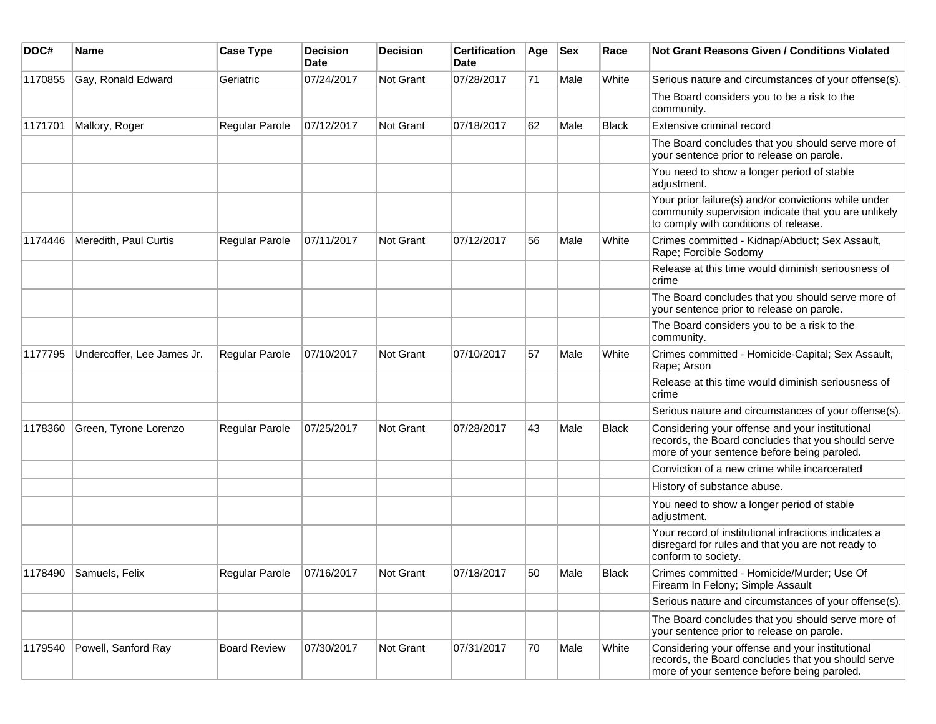| DOC#    | Name                       | <b>Case Type</b>    | <b>Decision</b><br><b>Date</b> | <b>Decision</b> | <b>Certification</b><br>Date | Age | <b>Sex</b> | Race         | <b>Not Grant Reasons Given / Conditions Violated</b>                                                                                                  |
|---------|----------------------------|---------------------|--------------------------------|-----------------|------------------------------|-----|------------|--------------|-------------------------------------------------------------------------------------------------------------------------------------------------------|
| 1170855 | Gay, Ronald Edward         | Geriatric           | 07/24/2017                     | Not Grant       | 07/28/2017                   | 71  | Male       | White        | Serious nature and circumstances of your offense(s).                                                                                                  |
|         |                            |                     |                                |                 |                              |     |            |              | The Board considers you to be a risk to the<br>community.                                                                                             |
| 1171701 | Mallory, Roger             | Regular Parole      | 07/12/2017                     | Not Grant       | 07/18/2017                   | 62  | Male       | <b>Black</b> | Extensive criminal record                                                                                                                             |
|         |                            |                     |                                |                 |                              |     |            |              | The Board concludes that you should serve more of<br>your sentence prior to release on parole.                                                        |
|         |                            |                     |                                |                 |                              |     |            |              | You need to show a longer period of stable<br>adjustment.                                                                                             |
|         |                            |                     |                                |                 |                              |     |            |              | Your prior failure(s) and/or convictions while under<br>community supervision indicate that you are unlikely<br>to comply with conditions of release. |
| 1174446 | Meredith, Paul Curtis      | Regular Parole      | 07/11/2017                     | Not Grant       | 07/12/2017                   | 56  | Male       | White        | Crimes committed - Kidnap/Abduct; Sex Assault,<br>Rape; Forcible Sodomy                                                                               |
|         |                            |                     |                                |                 |                              |     |            |              | Release at this time would diminish seriousness of<br>crime                                                                                           |
|         |                            |                     |                                |                 |                              |     |            |              | The Board concludes that you should serve more of<br>your sentence prior to release on parole.                                                        |
|         |                            |                     |                                |                 |                              |     |            |              | The Board considers you to be a risk to the<br>community.                                                                                             |
| 1177795 | Undercoffer, Lee James Jr. | Regular Parole      | 07/10/2017                     | Not Grant       | 07/10/2017                   | 57  | Male       | White        | Crimes committed - Homicide-Capital; Sex Assault,<br>Rape; Arson                                                                                      |
|         |                            |                     |                                |                 |                              |     |            |              | Release at this time would diminish seriousness of<br>crime                                                                                           |
|         |                            |                     |                                |                 |                              |     |            |              | Serious nature and circumstances of your offense(s).                                                                                                  |
| 1178360 | Green, Tyrone Lorenzo      | Regular Parole      | 07/25/2017                     | Not Grant       | 07/28/2017                   | 43  | Male       | <b>Black</b> | Considering your offense and your institutional<br>records, the Board concludes that you should serve<br>more of your sentence before being paroled.  |
|         |                            |                     |                                |                 |                              |     |            |              | Conviction of a new crime while incarcerated                                                                                                          |
|         |                            |                     |                                |                 |                              |     |            |              | History of substance abuse.                                                                                                                           |
|         |                            |                     |                                |                 |                              |     |            |              | You need to show a longer period of stable<br>adjustment.                                                                                             |
|         |                            |                     |                                |                 |                              |     |            |              | Your record of institutional infractions indicates a<br>disregard for rules and that you are not ready to<br>conform to society.                      |
|         | 1178490 Samuels, Felix     | Regular Parole      | 07/16/2017                     | Not Grant       | 07/18/2017                   | 50  | Male       | Black        | Crimes committed - Homicide/Murder; Use Of<br>Firearm In Felony; Simple Assault                                                                       |
|         |                            |                     |                                |                 |                              |     |            |              | Serious nature and circumstances of your offense(s).                                                                                                  |
|         |                            |                     |                                |                 |                              |     |            |              | The Board concludes that you should serve more of<br>your sentence prior to release on parole.                                                        |
| 1179540 | Powell, Sanford Ray        | <b>Board Review</b> | 07/30/2017                     | Not Grant       | 07/31/2017                   | 70  | Male       | White        | Considering your offense and your institutional<br>records, the Board concludes that you should serve<br>more of your sentence before being paroled.  |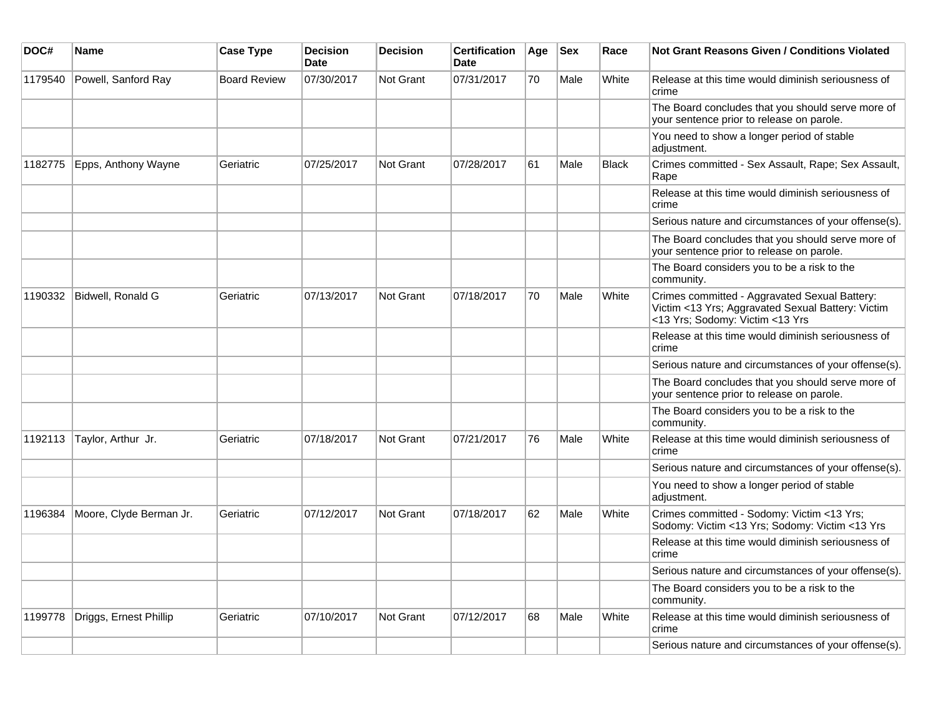| DOC#    | Name                    | <b>Case Type</b>    | <b>Decision</b><br><b>Date</b> | <b>Decision</b>  | <b>Certification</b><br><b>Date</b> | Age | <b>Sex</b> | Race         | <b>Not Grant Reasons Given / Conditions Violated</b>                                                                                  |
|---------|-------------------------|---------------------|--------------------------------|------------------|-------------------------------------|-----|------------|--------------|---------------------------------------------------------------------------------------------------------------------------------------|
| 1179540 | Powell, Sanford Ray     | <b>Board Review</b> | 07/30/2017                     | Not Grant        | 07/31/2017                          | 70  | Male       | White        | Release at this time would diminish seriousness of<br>crime                                                                           |
|         |                         |                     |                                |                  |                                     |     |            |              | The Board concludes that you should serve more of<br>your sentence prior to release on parole.                                        |
|         |                         |                     |                                |                  |                                     |     |            |              | You need to show a longer period of stable<br>adjustment.                                                                             |
| 1182775 | Epps, Anthony Wayne     | Geriatric           | 07/25/2017                     | Not Grant        | 07/28/2017                          | 61  | Male       | <b>Black</b> | Crimes committed - Sex Assault, Rape; Sex Assault,<br>Rape                                                                            |
|         |                         |                     |                                |                  |                                     |     |            |              | Release at this time would diminish seriousness of<br>crime                                                                           |
|         |                         |                     |                                |                  |                                     |     |            |              | Serious nature and circumstances of your offense(s).                                                                                  |
|         |                         |                     |                                |                  |                                     |     |            |              | The Board concludes that you should serve more of<br>your sentence prior to release on parole.                                        |
|         |                         |                     |                                |                  |                                     |     |            |              | The Board considers you to be a risk to the<br>community.                                                                             |
| 1190332 | Bidwell, Ronald G       | Geriatric           | 07/13/2017                     | Not Grant        | 07/18/2017                          | 70  | Male       | White        | Crimes committed - Aggravated Sexual Battery:<br>Victim <13 Yrs; Aggravated Sexual Battery: Victim<br><13 Yrs; Sodomy: Victim <13 Yrs |
|         |                         |                     |                                |                  |                                     |     |            |              | Release at this time would diminish seriousness of<br>crime                                                                           |
|         |                         |                     |                                |                  |                                     |     |            |              | Serious nature and circumstances of your offense(s).                                                                                  |
|         |                         |                     |                                |                  |                                     |     |            |              | The Board concludes that you should serve more of<br>your sentence prior to release on parole.                                        |
|         |                         |                     |                                |                  |                                     |     |            |              | The Board considers you to be a risk to the<br>community.                                                                             |
| 1192113 | Taylor, Arthur Jr.      | Geriatric           | 07/18/2017                     | Not Grant        | 07/21/2017                          | 76  | Male       | White        | Release at this time would diminish seriousness of<br>crime                                                                           |
|         |                         |                     |                                |                  |                                     |     |            |              | Serious nature and circumstances of your offense(s).                                                                                  |
|         |                         |                     |                                |                  |                                     |     |            |              | You need to show a longer period of stable<br>adjustment.                                                                             |
| 1196384 | Moore, Clyde Berman Jr. | Geriatric           | 07/12/2017                     | <b>Not Grant</b> | 07/18/2017                          | 62  | Male       | White        | Crimes committed - Sodomy: Victim <13 Yrs;<br>Sodomy: Victim <13 Yrs; Sodomy: Victim <13 Yrs                                          |
|         |                         |                     |                                |                  |                                     |     |            |              | Release at this time would diminish seriousness of<br>crime                                                                           |
|         |                         |                     |                                |                  |                                     |     |            |              | Serious nature and circumstances of your offense(s).                                                                                  |
|         |                         |                     |                                |                  |                                     |     |            |              | The Board considers you to be a risk to the<br>community.                                                                             |
| 1199778 | Driggs, Ernest Phillip  | Geriatric           | 07/10/2017                     | <b>Not Grant</b> | 07/12/2017                          | 68  | Male       | White        | Release at this time would diminish seriousness of<br>crime                                                                           |
|         |                         |                     |                                |                  |                                     |     |            |              | Serious nature and circumstances of your offense(s).                                                                                  |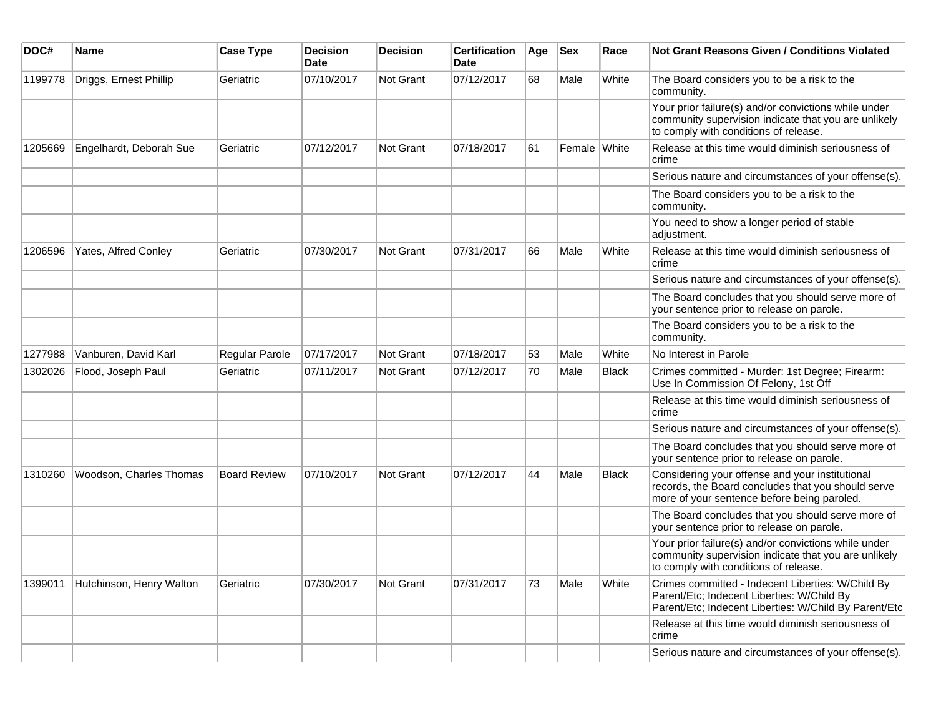| DOC#    | <b>Name</b>              | <b>Case Type</b>    | <b>Decision</b><br><b>Date</b> | <b>Decision</b>  | <b>Certification</b><br><b>Date</b> | Age | <b>Sex</b>   | Race         | <b>Not Grant Reasons Given / Conditions Violated</b>                                                                                                     |
|---------|--------------------------|---------------------|--------------------------------|------------------|-------------------------------------|-----|--------------|--------------|----------------------------------------------------------------------------------------------------------------------------------------------------------|
| 1199778 | Driggs, Ernest Phillip   | Geriatric           | 07/10/2017                     | Not Grant        | 07/12/2017                          | 68  | Male         | White        | The Board considers you to be a risk to the<br>community.                                                                                                |
|         |                          |                     |                                |                  |                                     |     |              |              | Your prior failure(s) and/or convictions while under<br>community supervision indicate that you are unlikely<br>to comply with conditions of release.    |
| 1205669 | Engelhardt, Deborah Sue  | Geriatric           | 07/12/2017                     | <b>Not Grant</b> | 07/18/2017                          | 61  | Female White |              | Release at this time would diminish seriousness of<br>crime                                                                                              |
|         |                          |                     |                                |                  |                                     |     |              |              | Serious nature and circumstances of your offense(s).                                                                                                     |
|         |                          |                     |                                |                  |                                     |     |              |              | The Board considers you to be a risk to the<br>community.                                                                                                |
|         |                          |                     |                                |                  |                                     |     |              |              | You need to show a longer period of stable<br>adjustment.                                                                                                |
| 1206596 | Yates, Alfred Conley     | Geriatric           | 07/30/2017                     | <b>Not Grant</b> | 07/31/2017                          | 66  | Male         | White        | Release at this time would diminish seriousness of<br>crime                                                                                              |
|         |                          |                     |                                |                  |                                     |     |              |              | Serious nature and circumstances of your offense(s).                                                                                                     |
|         |                          |                     |                                |                  |                                     |     |              |              | The Board concludes that you should serve more of<br>your sentence prior to release on parole.                                                           |
|         |                          |                     |                                |                  |                                     |     |              |              | The Board considers you to be a risk to the<br>community.                                                                                                |
| 1277988 | Vanburen, David Karl     | Regular Parole      | 07/17/2017                     | <b>Not Grant</b> | 07/18/2017                          | 53  | Male         | White        | No Interest in Parole                                                                                                                                    |
| 1302026 | Flood, Joseph Paul       | Geriatric           | 07/11/2017                     | <b>Not Grant</b> | 07/12/2017                          | 70  | Male         | <b>Black</b> | Crimes committed - Murder: 1st Degree; Firearm:<br>Use In Commission Of Felony, 1st Off                                                                  |
|         |                          |                     |                                |                  |                                     |     |              |              | Release at this time would diminish seriousness of<br>crime                                                                                              |
|         |                          |                     |                                |                  |                                     |     |              |              | Serious nature and circumstances of your offense(s).                                                                                                     |
|         |                          |                     |                                |                  |                                     |     |              |              | The Board concludes that you should serve more of<br>your sentence prior to release on parole.                                                           |
| 1310260 | Woodson, Charles Thomas  | <b>Board Review</b> | 07/10/2017                     | <b>Not Grant</b> | 07/12/2017                          | 44  | Male         | <b>Black</b> | Considering your offense and your institutional<br>records, the Board concludes that you should serve<br>more of your sentence before being paroled.     |
|         |                          |                     |                                |                  |                                     |     |              |              | The Board concludes that you should serve more of<br>your sentence prior to release on parole.                                                           |
|         |                          |                     |                                |                  |                                     |     |              |              | Your prior failure(s) and/or convictions while under<br>community supervision indicate that you are unlikely<br>to comply with conditions of release.    |
| 1399011 | Hutchinson, Henry Walton | Geriatric           | 07/30/2017                     | <b>Not Grant</b> | 07/31/2017                          | 73  | Male         | White        | Crimes committed - Indecent Liberties: W/Child By<br>Parent/Etc; Indecent Liberties: W/Child By<br>Parent/Etc; Indecent Liberties: W/Child By Parent/Etc |
|         |                          |                     |                                |                  |                                     |     |              |              | Release at this time would diminish seriousness of<br>crime                                                                                              |
|         |                          |                     |                                |                  |                                     |     |              |              | Serious nature and circumstances of your offense(s).                                                                                                     |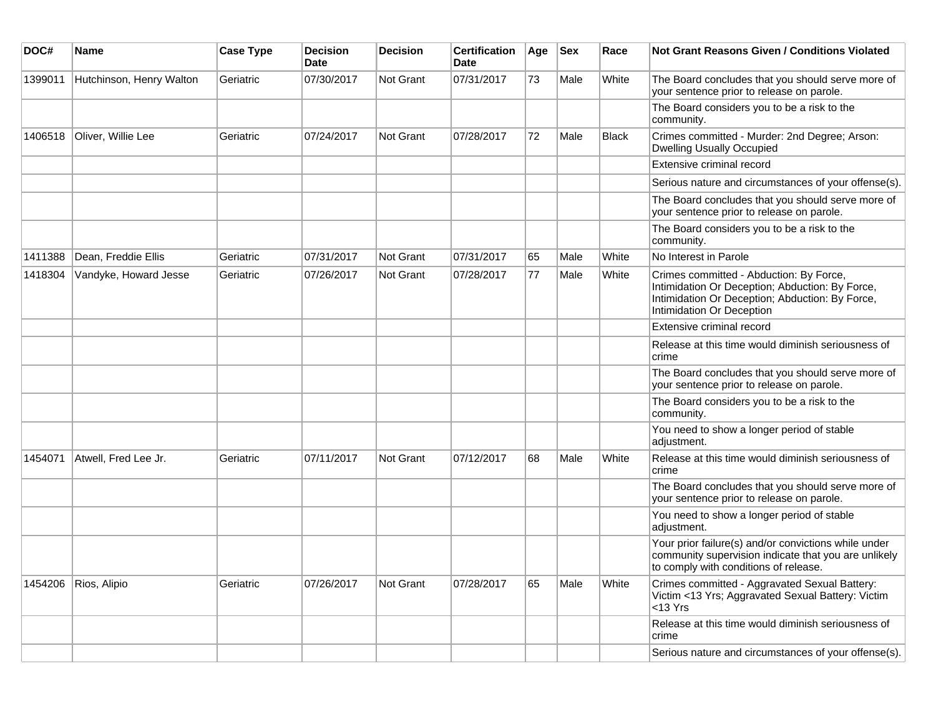| DOC#    | <b>Name</b>              | <b>Case Type</b> | <b>Decision</b><br><b>Date</b> | <b>Decision</b>  | <b>Certification</b><br><b>Date</b> | Age | <b>Sex</b> | Race         | <b>Not Grant Reasons Given / Conditions Violated</b>                                                                                                                       |
|---------|--------------------------|------------------|--------------------------------|------------------|-------------------------------------|-----|------------|--------------|----------------------------------------------------------------------------------------------------------------------------------------------------------------------------|
| 1399011 | Hutchinson, Henry Walton | Geriatric        | 07/30/2017                     | Not Grant        | 07/31/2017                          | 73  | Male       | White        | The Board concludes that you should serve more of<br>your sentence prior to release on parole.                                                                             |
|         |                          |                  |                                |                  |                                     |     |            |              | The Board considers you to be a risk to the<br>community.                                                                                                                  |
| 1406518 | Oliver, Willie Lee       | Geriatric        | 07/24/2017                     | Not Grant        | 07/28/2017                          | 72  | Male       | <b>Black</b> | Crimes committed - Murder: 2nd Degree; Arson:<br><b>Dwelling Usually Occupied</b>                                                                                          |
|         |                          |                  |                                |                  |                                     |     |            |              | Extensive criminal record                                                                                                                                                  |
|         |                          |                  |                                |                  |                                     |     |            |              | Serious nature and circumstances of your offense(s).                                                                                                                       |
|         |                          |                  |                                |                  |                                     |     |            |              | The Board concludes that you should serve more of<br>your sentence prior to release on parole.                                                                             |
|         |                          |                  |                                |                  |                                     |     |            |              | The Board considers you to be a risk to the<br>community.                                                                                                                  |
| 1411388 | Dean, Freddie Ellis      | Geriatric        | 07/31/2017                     | Not Grant        | 07/31/2017                          | 65  | Male       | White        | No Interest in Parole                                                                                                                                                      |
| 1418304 | Vandyke, Howard Jesse    | Geriatric        | 07/26/2017                     | <b>Not Grant</b> | 07/28/2017                          | 77  | Male       | White        | Crimes committed - Abduction: By Force,<br>Intimidation Or Deception; Abduction: By Force,<br>Intimidation Or Deception; Abduction: By Force,<br>Intimidation Or Deception |
|         |                          |                  |                                |                  |                                     |     |            |              | Extensive criminal record                                                                                                                                                  |
|         |                          |                  |                                |                  |                                     |     |            |              | Release at this time would diminish seriousness of<br>crime                                                                                                                |
|         |                          |                  |                                |                  |                                     |     |            |              | The Board concludes that you should serve more of<br>your sentence prior to release on parole.                                                                             |
|         |                          |                  |                                |                  |                                     |     |            |              | The Board considers you to be a risk to the<br>community.                                                                                                                  |
|         |                          |                  |                                |                  |                                     |     |            |              | You need to show a longer period of stable<br>adjustment.                                                                                                                  |
| 1454071 | Atwell, Fred Lee Jr.     | Geriatric        | 07/11/2017                     | <b>Not Grant</b> | 07/12/2017                          | 68  | Male       | White        | Release at this time would diminish seriousness of<br>crime                                                                                                                |
|         |                          |                  |                                |                  |                                     |     |            |              | The Board concludes that you should serve more of<br>your sentence prior to release on parole.                                                                             |
|         |                          |                  |                                |                  |                                     |     |            |              | You need to show a longer period of stable<br>adjustment.                                                                                                                  |
|         |                          |                  |                                |                  |                                     |     |            |              | Your prior failure(s) and/or convictions while under<br>community supervision indicate that you are unlikely<br>to comply with conditions of release.                      |
| 1454206 | Rios, Alipio             | Geriatric        | 07/26/2017                     | Not Grant        | 07/28/2017                          | 65  | Male       | White        | Crimes committed - Aggravated Sexual Battery:<br>Victim <13 Yrs; Aggravated Sexual Battery: Victim<br>$<$ 13 Yrs                                                           |
|         |                          |                  |                                |                  |                                     |     |            |              | Release at this time would diminish seriousness of<br>crime                                                                                                                |
|         |                          |                  |                                |                  |                                     |     |            |              | Serious nature and circumstances of your offense(s).                                                                                                                       |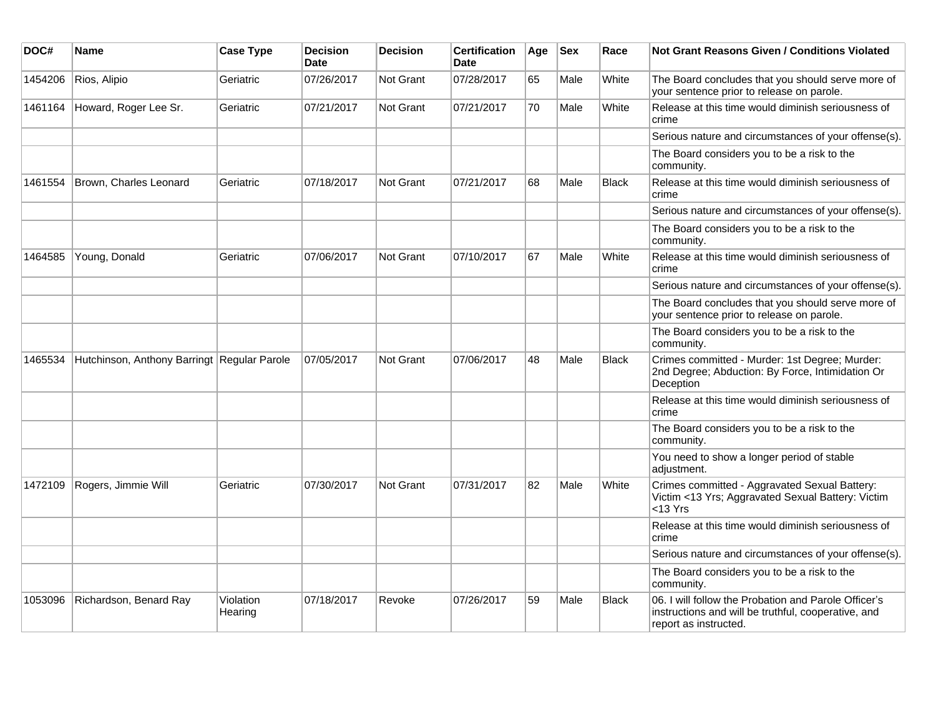| DOC#    | <b>Name</b>                                 | <b>Case Type</b>     | <b>Decision</b><br><b>Date</b> | <b>Decision</b>  | <b>Certification</b><br><b>Date</b> | Age | <b>Sex</b> | Race         | <b>Not Grant Reasons Given / Conditions Violated</b>                                                                                 |
|---------|---------------------------------------------|----------------------|--------------------------------|------------------|-------------------------------------|-----|------------|--------------|--------------------------------------------------------------------------------------------------------------------------------------|
| 1454206 | Rios, Alipio                                | Geriatric            | 07/26/2017                     | Not Grant        | 07/28/2017                          | 65  | Male       | White        | The Board concludes that you should serve more of<br>your sentence prior to release on parole.                                       |
| 1461164 | Howard, Roger Lee Sr.                       | Geriatric            | 07/21/2017                     | Not Grant        | 07/21/2017                          | 70  | Male       | White        | Release at this time would diminish seriousness of<br>crime                                                                          |
|         |                                             |                      |                                |                  |                                     |     |            |              | Serious nature and circumstances of your offense(s).                                                                                 |
|         |                                             |                      |                                |                  |                                     |     |            |              | The Board considers you to be a risk to the<br>community.                                                                            |
| 1461554 | Brown, Charles Leonard                      | Geriatric            | 07/18/2017                     | Not Grant        | 07/21/2017                          | 68  | Male       | <b>Black</b> | Release at this time would diminish seriousness of<br>crime                                                                          |
|         |                                             |                      |                                |                  |                                     |     |            |              | Serious nature and circumstances of your offense(s).                                                                                 |
|         |                                             |                      |                                |                  |                                     |     |            |              | The Board considers you to be a risk to the<br>community.                                                                            |
| 1464585 | Young, Donald                               | Geriatric            | 07/06/2017                     | Not Grant        | 07/10/2017                          | 67  | Male       | White        | Release at this time would diminish seriousness of<br>crime                                                                          |
|         |                                             |                      |                                |                  |                                     |     |            |              | Serious nature and circumstances of your offense(s).                                                                                 |
|         |                                             |                      |                                |                  |                                     |     |            |              | The Board concludes that you should serve more of<br>your sentence prior to release on parole.                                       |
|         |                                             |                      |                                |                  |                                     |     |            |              | The Board considers you to be a risk to the<br>community.                                                                            |
| 1465534 | Hutchinson, Anthony Barringt Regular Parole |                      | 07/05/2017                     | Not Grant        | 07/06/2017                          | 48  | Male       | Black        | Crimes committed - Murder: 1st Degree; Murder:<br>2nd Degree; Abduction: By Force, Intimidation Or<br>Deception                      |
|         |                                             |                      |                                |                  |                                     |     |            |              | Release at this time would diminish seriousness of<br>crime                                                                          |
|         |                                             |                      |                                |                  |                                     |     |            |              | The Board considers you to be a risk to the<br>community.                                                                            |
|         |                                             |                      |                                |                  |                                     |     |            |              | You need to show a longer period of stable<br>adjustment.                                                                            |
| 1472109 | Rogers, Jimmie Will                         | Geriatric            | 07/30/2017                     | <b>Not Grant</b> | 07/31/2017                          | 82  | Male       | White        | Crimes committed - Aggravated Sexual Battery:<br>Victim <13 Yrs; Aggravated Sexual Battery: Victim<br>$<$ 13 Yrs                     |
|         |                                             |                      |                                |                  |                                     |     |            |              | Release at this time would diminish seriousness of<br>crime                                                                          |
|         |                                             |                      |                                |                  |                                     |     |            |              | Serious nature and circumstances of your offense(s).                                                                                 |
|         |                                             |                      |                                |                  |                                     |     |            |              | The Board considers you to be a risk to the<br>community.                                                                            |
| 1053096 | Richardson, Benard Ray                      | Violation<br>Hearing | 07/18/2017                     | Revoke           | 07/26/2017                          | 59  | Male       | <b>Black</b> | 06. I will follow the Probation and Parole Officer's<br>instructions and will be truthful, cooperative, and<br>report as instructed. |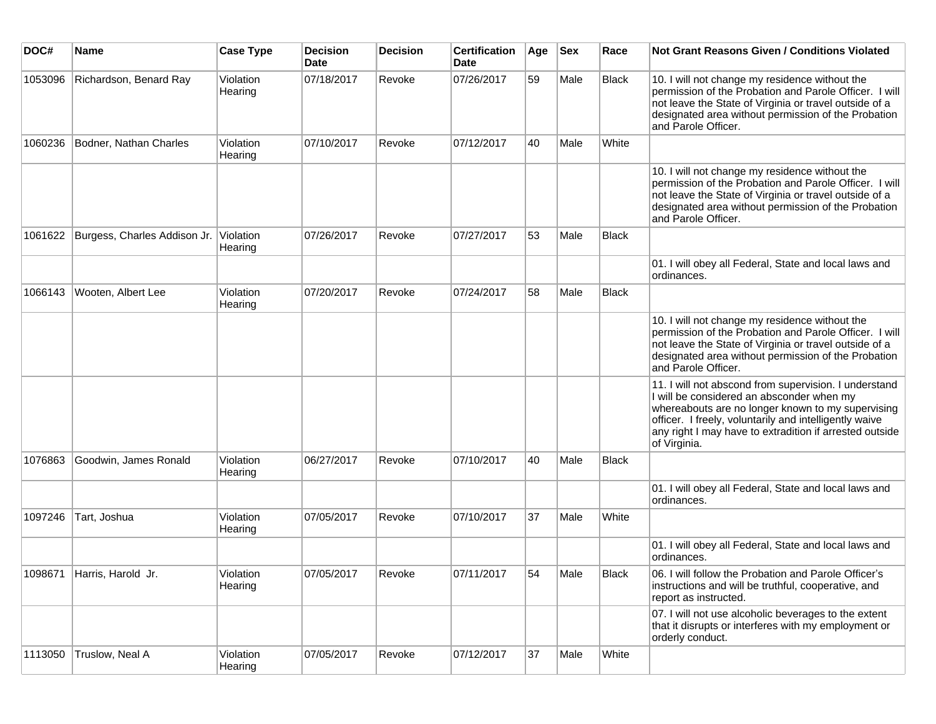| DOC#    | <b>Name</b>                  | <b>Case Type</b>     | <b>Decision</b><br><b>Date</b> | <b>Decision</b> | <b>Certification</b><br><b>Date</b> | Age | <b>Sex</b> | Race         | <b>Not Grant Reasons Given / Conditions Violated</b>                                                                                                                                                                                                                                         |
|---------|------------------------------|----------------------|--------------------------------|-----------------|-------------------------------------|-----|------------|--------------|----------------------------------------------------------------------------------------------------------------------------------------------------------------------------------------------------------------------------------------------------------------------------------------------|
| 1053096 | Richardson, Benard Ray       | Violation<br>Hearing | 07/18/2017                     | Revoke          | 07/26/2017                          | 59  | Male       | <b>Black</b> | 10. I will not change my residence without the<br>permission of the Probation and Parole Officer. I will<br>not leave the State of Virginia or travel outside of a<br>designated area without permission of the Probation<br>and Parole Officer.                                             |
| 1060236 | Bodner, Nathan Charles       | Violation<br>Hearing | 07/10/2017                     | Revoke          | 07/12/2017                          | 40  | Male       | White        |                                                                                                                                                                                                                                                                                              |
|         |                              |                      |                                |                 |                                     |     |            |              | 10. I will not change my residence without the<br>permission of the Probation and Parole Officer. I will<br>not leave the State of Virginia or travel outside of a<br>designated area without permission of the Probation<br>and Parole Officer.                                             |
| 1061622 | Burgess, Charles Addison Jr. | Violation<br>Hearing | 07/26/2017                     | Revoke          | 07/27/2017                          | 53  | Male       | Black        |                                                                                                                                                                                                                                                                                              |
|         |                              |                      |                                |                 |                                     |     |            |              | 01. I will obey all Federal, State and local laws and<br>ordinances.                                                                                                                                                                                                                         |
| 1066143 | Wooten, Albert Lee           | Violation<br>Hearing | 07/20/2017                     | Revoke          | 07/24/2017                          | 58  | Male       | Black        |                                                                                                                                                                                                                                                                                              |
|         |                              |                      |                                |                 |                                     |     |            |              | 10. I will not change my residence without the<br>permission of the Probation and Parole Officer. I will<br>not leave the State of Virginia or travel outside of a<br>designated area without permission of the Probation<br>and Parole Officer.                                             |
|         |                              |                      |                                |                 |                                     |     |            |              | 11. I will not abscond from supervision. I understand<br>I will be considered an absconder when my<br>whereabouts are no longer known to my supervising<br>officer. I freely, voluntarily and intelligently waive<br>any right I may have to extradition if arrested outside<br>of Virginia. |
| 1076863 | Goodwin, James Ronald        | Violation<br>Hearing | 06/27/2017                     | Revoke          | 07/10/2017                          | 40  | Male       | Black        |                                                                                                                                                                                                                                                                                              |
|         |                              |                      |                                |                 |                                     |     |            |              | 01. I will obey all Federal, State and local laws and<br>ordinances.                                                                                                                                                                                                                         |
| 1097246 | Tart, Joshua                 | Violation<br>Hearing | 07/05/2017                     | Revoke          | 07/10/2017                          | 37  | Male       | White        |                                                                                                                                                                                                                                                                                              |
|         |                              |                      |                                |                 |                                     |     |            |              | 01. I will obey all Federal, State and local laws and<br>ordinances.                                                                                                                                                                                                                         |
|         | 1098671 Harris, Harold Jr.   | Violation<br>Hearing | 07/05/2017                     | Revoke          | 07/11/2017                          | 54  | Male       | Black        | 06. I will follow the Probation and Parole Officer's<br>instructions and will be truthful, cooperative, and<br>report as instructed.                                                                                                                                                         |
|         |                              |                      |                                |                 |                                     |     |            |              | 07. I will not use alcoholic beverages to the extent<br>that it disrupts or interferes with my employment or<br>orderly conduct.                                                                                                                                                             |
| 1113050 | Truslow, Neal A              | Violation<br>Hearing | 07/05/2017                     | Revoke          | 07/12/2017                          | 37  | Male       | White        |                                                                                                                                                                                                                                                                                              |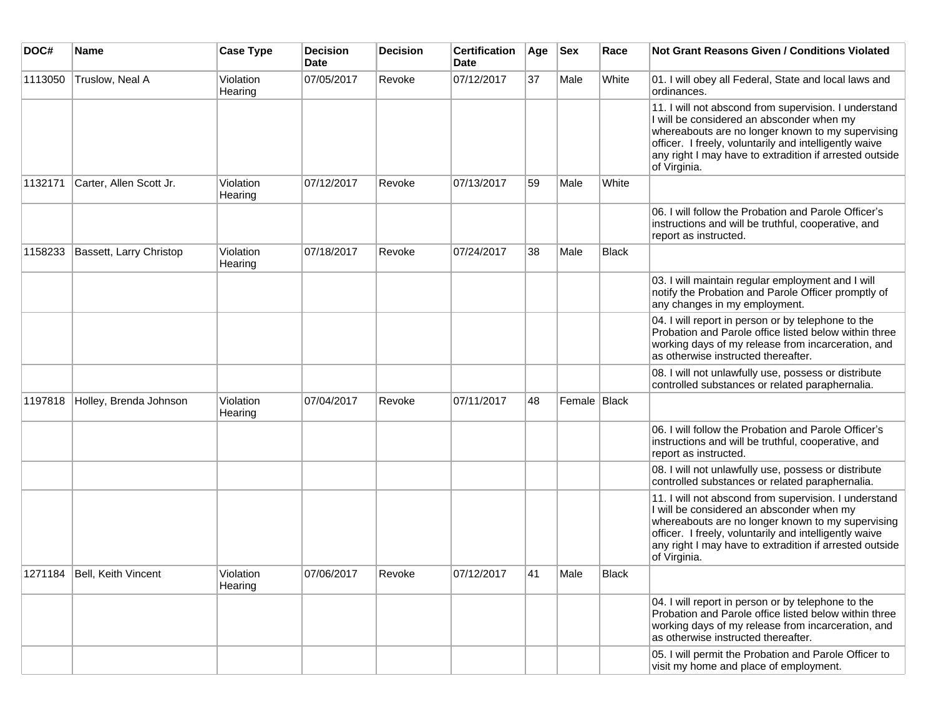| DOC#    | <b>Name</b>                   | <b>Case Type</b>     | <b>Decision</b><br><b>Date</b> | <b>Decision</b> | <b>Certification</b><br>Date | Age | <b>Sex</b>   | Race         | <b>Not Grant Reasons Given / Conditions Violated</b>                                                                                                                                                                                                                                         |
|---------|-------------------------------|----------------------|--------------------------------|-----------------|------------------------------|-----|--------------|--------------|----------------------------------------------------------------------------------------------------------------------------------------------------------------------------------------------------------------------------------------------------------------------------------------------|
| 1113050 | Truslow, Neal A               | Violation<br>Hearing | 07/05/2017                     | Revoke          | 07/12/2017                   | 37  | Male         | White        | 01. I will obey all Federal, State and local laws and<br>ordinances.                                                                                                                                                                                                                         |
|         |                               |                      |                                |                 |                              |     |              |              | 11. I will not abscond from supervision. I understand<br>I will be considered an absconder when my<br>whereabouts are no longer known to my supervising<br>officer. I freely, voluntarily and intelligently waive<br>any right I may have to extradition if arrested outside<br>of Virginia. |
| 1132171 | Carter, Allen Scott Jr.       | Violation<br>Hearing | 07/12/2017                     | Revoke          | 07/13/2017                   | 59  | Male         | White        |                                                                                                                                                                                                                                                                                              |
|         |                               |                      |                                |                 |                              |     |              |              | 06. I will follow the Probation and Parole Officer's<br>instructions and will be truthful, cooperative, and<br>report as instructed.                                                                                                                                                         |
| 1158233 | Bassett, Larry Christop       | Violation<br>Hearing | 07/18/2017                     | Revoke          | 07/24/2017                   | 38  | Male         | Black        |                                                                                                                                                                                                                                                                                              |
|         |                               |                      |                                |                 |                              |     |              |              | 03. I will maintain regular employment and I will<br>notify the Probation and Parole Officer promptly of<br>any changes in my employment.                                                                                                                                                    |
|         |                               |                      |                                |                 |                              |     |              |              | 04. I will report in person or by telephone to the<br>Probation and Parole office listed below within three<br>working days of my release from incarceration, and<br>as otherwise instructed thereafter.                                                                                     |
|         |                               |                      |                                |                 |                              |     |              |              | 08. I will not unlawfully use, possess or distribute<br>controlled substances or related paraphernalia.                                                                                                                                                                                      |
| 1197818 | Holley, Brenda Johnson        | Violation<br>Hearing | 07/04/2017                     | Revoke          | 07/11/2017                   | 48  | Female Black |              |                                                                                                                                                                                                                                                                                              |
|         |                               |                      |                                |                 |                              |     |              |              | 06. I will follow the Probation and Parole Officer's<br>instructions and will be truthful, cooperative, and<br>report as instructed.                                                                                                                                                         |
|         |                               |                      |                                |                 |                              |     |              |              | 08. I will not unlawfully use, possess or distribute<br>controlled substances or related paraphernalia.                                                                                                                                                                                      |
|         |                               |                      |                                |                 |                              |     |              |              | 11. I will not abscond from supervision. I understand<br>I will be considered an absconder when my<br>whereabouts are no longer known to my supervising<br>officer. I freely, voluntarily and intelligently waive<br>any right I may have to extradition if arrested outside<br>of Virginia. |
|         | 1271184   Bell, Keith Vincent | Violation<br>Hearing | 07/06/2017                     | Revoke          | 07/12/2017                   | 41  | Male         | <b>Black</b> |                                                                                                                                                                                                                                                                                              |
|         |                               |                      |                                |                 |                              |     |              |              | 04. I will report in person or by telephone to the<br>Probation and Parole office listed below within three<br>working days of my release from incarceration, and<br>as otherwise instructed thereafter.                                                                                     |
|         |                               |                      |                                |                 |                              |     |              |              | 05. I will permit the Probation and Parole Officer to<br>visit my home and place of employment.                                                                                                                                                                                              |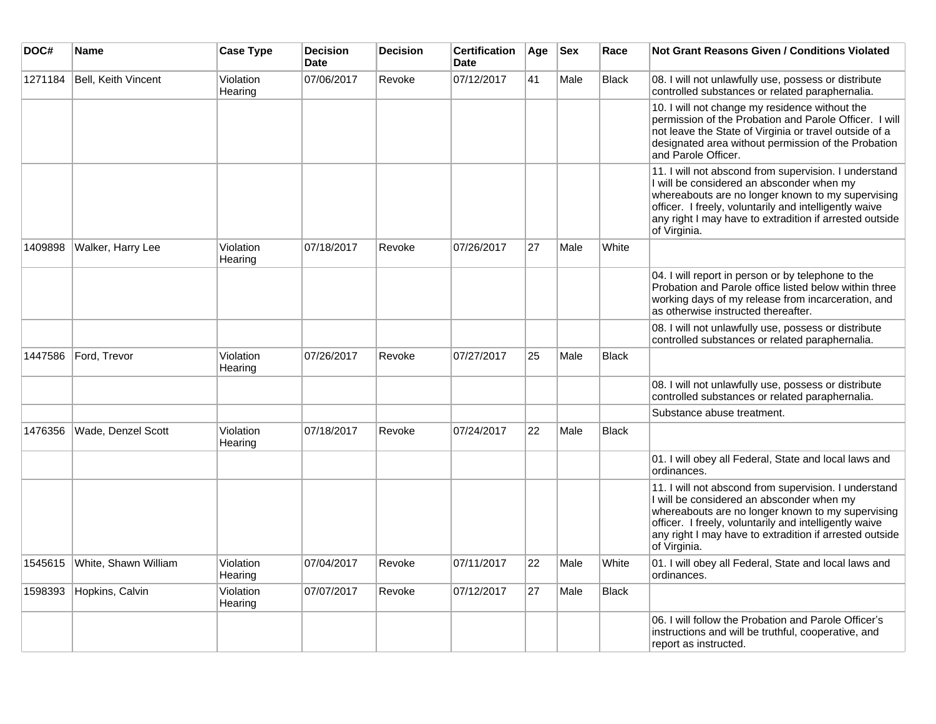| DOC#    | Name                       | <b>Case Type</b>     | <b>Decision</b><br><b>Date</b> | <b>Decision</b> | <b>Certification</b><br><b>Date</b> | Age | <b>Sex</b> | Race         | Not Grant Reasons Given / Conditions Violated                                                                                                                                                                                                                                                |
|---------|----------------------------|----------------------|--------------------------------|-----------------|-------------------------------------|-----|------------|--------------|----------------------------------------------------------------------------------------------------------------------------------------------------------------------------------------------------------------------------------------------------------------------------------------------|
| 1271184 | <b>Bell, Keith Vincent</b> | Violation<br>Hearing | 07/06/2017                     | Revoke          | 07/12/2017                          | 41  | Male       | <b>Black</b> | 08. I will not unlawfully use, possess or distribute<br>controlled substances or related paraphernalia.                                                                                                                                                                                      |
|         |                            |                      |                                |                 |                                     |     |            |              | 10. I will not change my residence without the<br>permission of the Probation and Parole Officer. I will<br>not leave the State of Virginia or travel outside of a<br>designated area without permission of the Probation<br>and Parole Officer.                                             |
|         |                            |                      |                                |                 |                                     |     |            |              | 11. I will not abscond from supervision. I understand<br>I will be considered an absconder when my<br>whereabouts are no longer known to my supervising<br>officer. I freely, voluntarily and intelligently waive<br>any right I may have to extradition if arrested outside<br>of Virginia. |
| 1409898 | Walker, Harry Lee          | Violation<br>Hearing | 07/18/2017                     | Revoke          | 07/26/2017                          | 27  | Male       | White        |                                                                                                                                                                                                                                                                                              |
|         |                            |                      |                                |                 |                                     |     |            |              | 04. I will report in person or by telephone to the<br>Probation and Parole office listed below within three<br>working days of my release from incarceration, and<br>as otherwise instructed thereafter.                                                                                     |
|         |                            |                      |                                |                 |                                     |     |            |              | 08. I will not unlawfully use, possess or distribute<br>controlled substances or related paraphernalia.                                                                                                                                                                                      |
| 1447586 | Ford, Trevor               | Violation<br>Hearing | 07/26/2017                     | Revoke          | 07/27/2017                          | 25  | Male       | <b>Black</b> |                                                                                                                                                                                                                                                                                              |
|         |                            |                      |                                |                 |                                     |     |            |              | 08. I will not unlawfully use, possess or distribute<br>controlled substances or related paraphernalia.                                                                                                                                                                                      |
|         |                            |                      |                                |                 |                                     |     |            |              | Substance abuse treatment.                                                                                                                                                                                                                                                                   |
| 1476356 | Wade, Denzel Scott         | Violation<br>Hearing | 07/18/2017                     | Revoke          | 07/24/2017                          | 22  | Male       | <b>Black</b> |                                                                                                                                                                                                                                                                                              |
|         |                            |                      |                                |                 |                                     |     |            |              | 01. I will obey all Federal, State and local laws and<br>ordinances.                                                                                                                                                                                                                         |
|         |                            |                      |                                |                 |                                     |     |            |              | 11. I will not abscond from supervision. I understand<br>I will be considered an absconder when my<br>whereabouts are no longer known to my supervising<br>officer. I freely, voluntarily and intelligently waive<br>any right I may have to extradition if arrested outside<br>of Virginia. |
| 1545615 | White, Shawn William       | Violation<br>Hearing | 07/04/2017                     | Revoke          | 07/11/2017                          | 22  | Male       | White        | 01. I will obey all Federal, State and local laws and<br>ordinances.                                                                                                                                                                                                                         |
| 1598393 | Hopkins, Calvin            | Violation<br>Hearing | 07/07/2017                     | Revoke          | 07/12/2017                          | 27  | Male       | <b>Black</b> |                                                                                                                                                                                                                                                                                              |
|         |                            |                      |                                |                 |                                     |     |            |              | 06. I will follow the Probation and Parole Officer's<br>instructions and will be truthful, cooperative, and<br>report as instructed.                                                                                                                                                         |